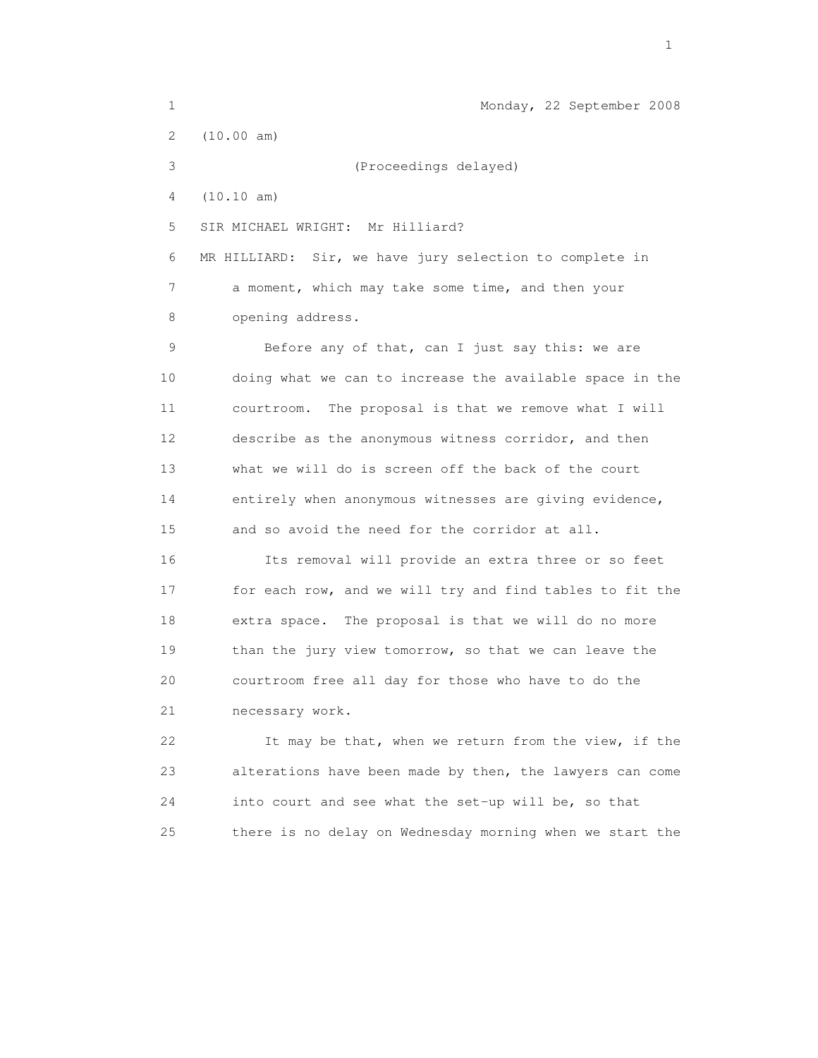| 1  | Monday, 22 September 2008                                |
|----|----------------------------------------------------------|
| 2  | (10.00 am)                                               |
| 3  | (Proceedings delayed)                                    |
| 4  | (10.10 am)                                               |
| 5  | SIR MICHAEL WRIGHT: Mr Hilliard?                         |
| 6  | MR HILLIARD: Sir, we have jury selection to complete in  |
| 7  | a moment, which may take some time, and then your        |
| 8  | opening address.                                         |
| 9  | Before any of that, can I just say this: we are          |
| 10 | doing what we can to increase the available space in the |
| 11 | The proposal is that we remove what I will<br>courtroom. |
| 12 | describe as the anonymous witness corridor, and then     |
| 13 | what we will do is screen off the back of the court      |
| 14 | entirely when anonymous witnesses are giving evidence,   |
| 15 | and so avoid the need for the corridor at all.           |
| 16 | Its removal will provide an extra three or so feet       |
| 17 | for each row, and we will try and find tables to fit the |
| 18 | extra space. The proposal is that we will do no more     |
| 19 | than the jury view tomorrow, so that we can leave the    |
| 20 | courtroom free all day for those who have to do the      |
| 21 | necessary work.                                          |
| 22 | It may be that, when we return from the view, if the     |
| 23 | alterations have been made by then, the lawyers can come |
| 24 | into court and see what the set-up will be, so that      |
| 25 | there is no delay on Wednesday morning when we start the |

the contract of the contract of the contract of the contract of the contract of the contract of the contract of the contract of the contract of the contract of the contract of the contract of the contract of the contract o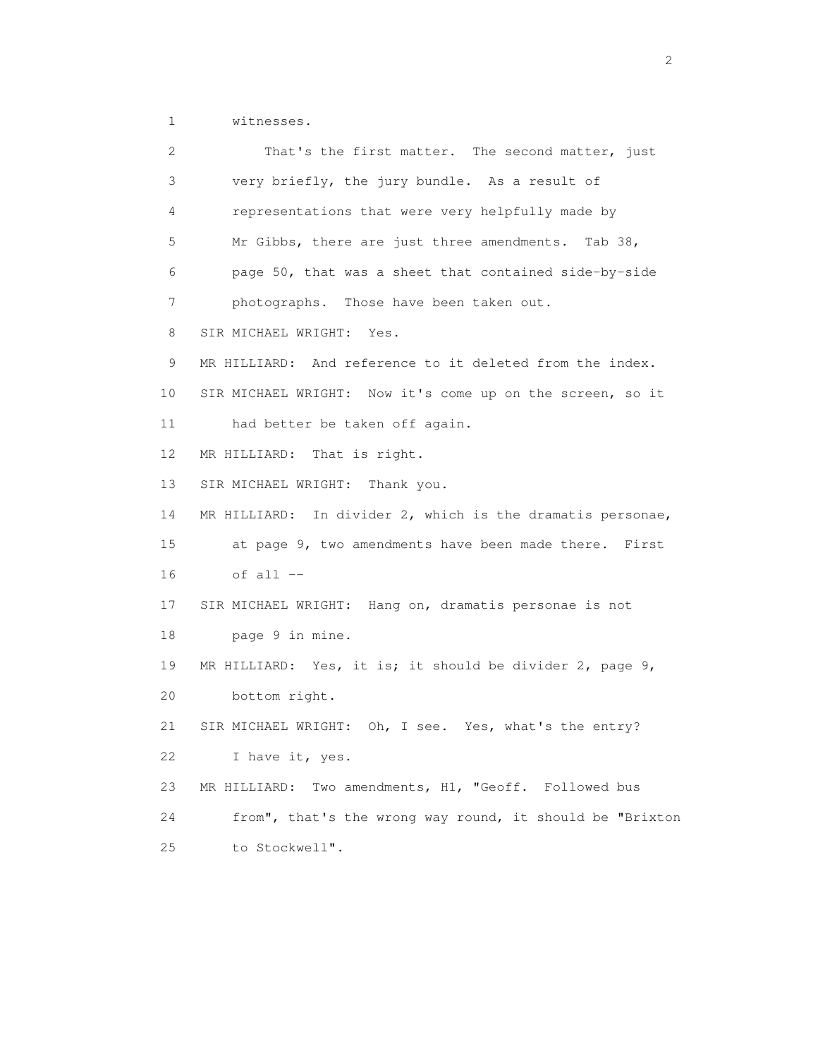1 witnesses.

| 2  | That's the first matter. The second matter, just           |
|----|------------------------------------------------------------|
| 3  | very briefly, the jury bundle. As a result of              |
| 4  | representations that were very helpfully made by           |
| 5  | Mr Gibbs, there are just three amendments. Tab 38,         |
| 6  | page 50, that was a sheet that contained side-by-side      |
| 7  | photographs. Those have been taken out.                    |
| 8  | SIR MICHAEL WRIGHT: Yes.                                   |
| 9  | MR HILLIARD: And reference to it deleted from the index.   |
| 10 | SIR MICHAEL WRIGHT: Now it's come up on the screen, so it  |
| 11 | had better be taken off again.                             |
| 12 | MR HILLIARD: That is right.                                |
| 13 | SIR MICHAEL WRIGHT: Thank you.                             |
| 14 | MR HILLIARD: In divider 2, which is the dramatis personae, |
| 15 | at page 9, two amendments have been made there. First      |
| 16 | of all --                                                  |
| 17 | SIR MICHAEL WRIGHT: Hang on, dramatis personae is not      |
| 18 | page 9 in mine.                                            |
| 19 | MR HILLIARD: Yes, it is; it should be divider 2, page 9,   |
| 20 | bottom right.                                              |
| 21 | SIR MICHAEL WRIGHT: Oh, I see. Yes, what's the entry?      |
| 22 | I have it, yes.                                            |
| 23 | Two amendments, H1, "Geoff. Followed bus<br>MR HILLIARD:   |
| 24 | from", that's the wrong way round, it should be "Brixton   |
| 25 | to Stockwell".                                             |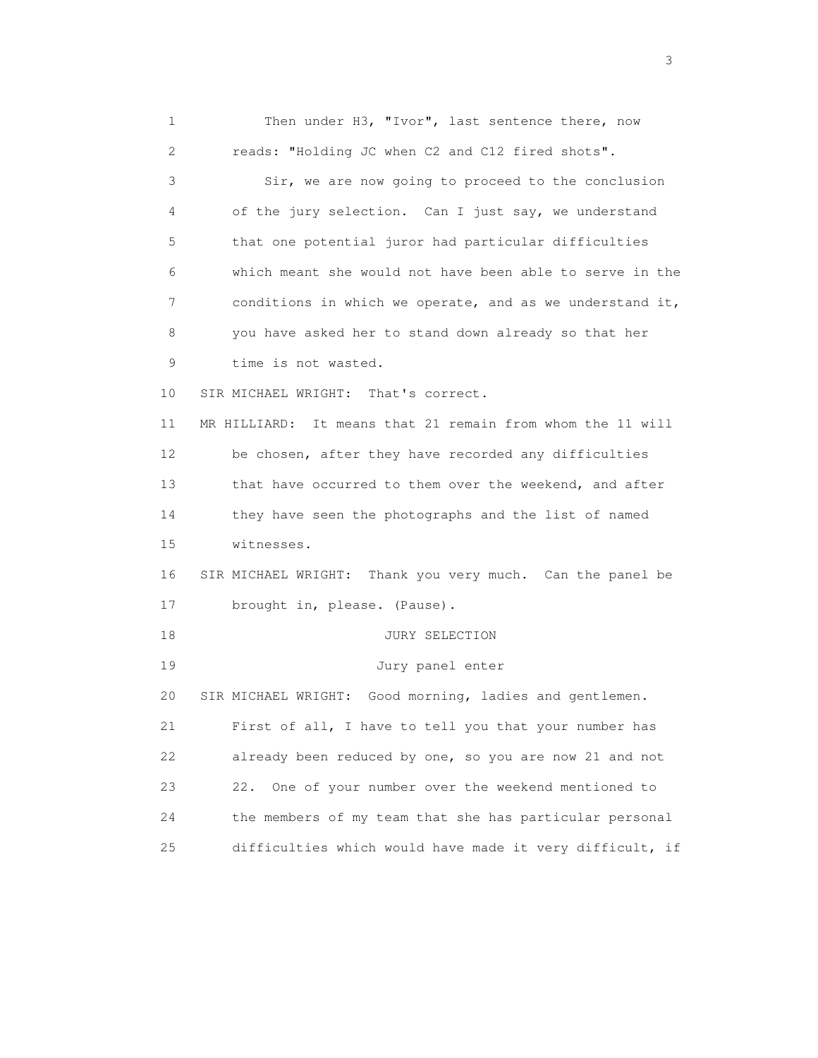1 Then under H3, "Ivor", last sentence there, now 2 reads: "Holding JC when C2 and C12 fired shots". 3 Sir, we are now going to proceed to the conclusion 4 of the jury selection. Can I just say, we understand 5 that one potential juror had particular difficulties 6 which meant she would not have been able to serve in the 7 conditions in which we operate, and as we understand it, 8 you have asked her to stand down already so that her 9 time is not wasted. 10 SIR MICHAEL WRIGHT: That's correct. 11 MR HILLIARD: It means that 21 remain from whom the 11 will 12 be chosen, after they have recorded any difficulties 13 that have occurred to them over the weekend, and after 14 they have seen the photographs and the list of named 15 witnesses. 16 SIR MICHAEL WRIGHT: Thank you very much. Can the panel be 17 brought in, please. (Pause). 18 JURY SELECTION 19 Jury panel enter 20 SIR MICHAEL WRIGHT: Good morning, ladies and gentlemen. 21 First of all, I have to tell you that your number has 22 already been reduced by one, so you are now 21 and not 23 22. One of your number over the weekend mentioned to 24 the members of my team that she has particular personal 25 difficulties which would have made it very difficult, if

 $\sim$  3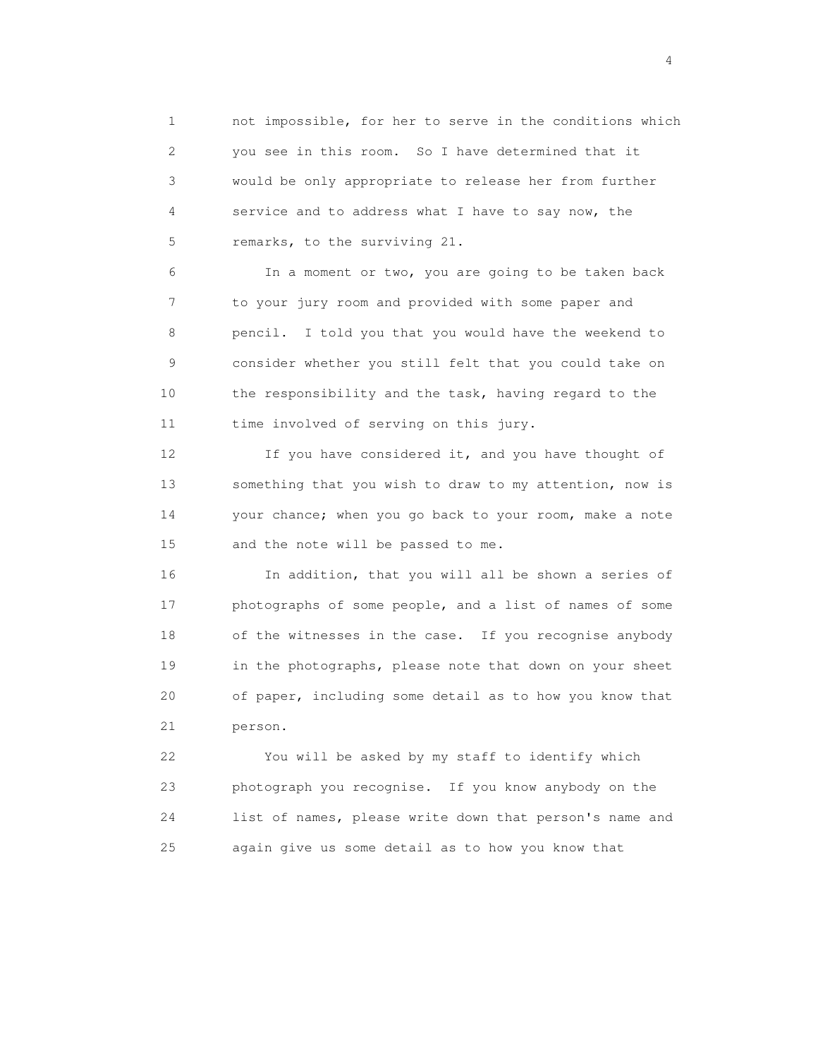1 not impossible, for her to serve in the conditions which 2 you see in this room. So I have determined that it 3 would be only appropriate to release her from further 4 service and to address what I have to say now, the 5 remarks, to the surviving 21.

 6 In a moment or two, you are going to be taken back 7 to your jury room and provided with some paper and 8 pencil. I told you that you would have the weekend to 9 consider whether you still felt that you could take on 10 the responsibility and the task, having regard to the 11 time involved of serving on this jury.

12 If you have considered it, and you have thought of 13 something that you wish to draw to my attention, now is 14 your chance; when you go back to your room, make a note 15 and the note will be passed to me.

 16 In addition, that you will all be shown a series of 17 photographs of some people, and a list of names of some 18 of the witnesses in the case. If you recognise anybody 19 in the photographs, please note that down on your sheet 20 of paper, including some detail as to how you know that 21 person.

 22 You will be asked by my staff to identify which 23 photograph you recognise. If you know anybody on the 24 list of names, please write down that person's name and 25 again give us some detail as to how you know that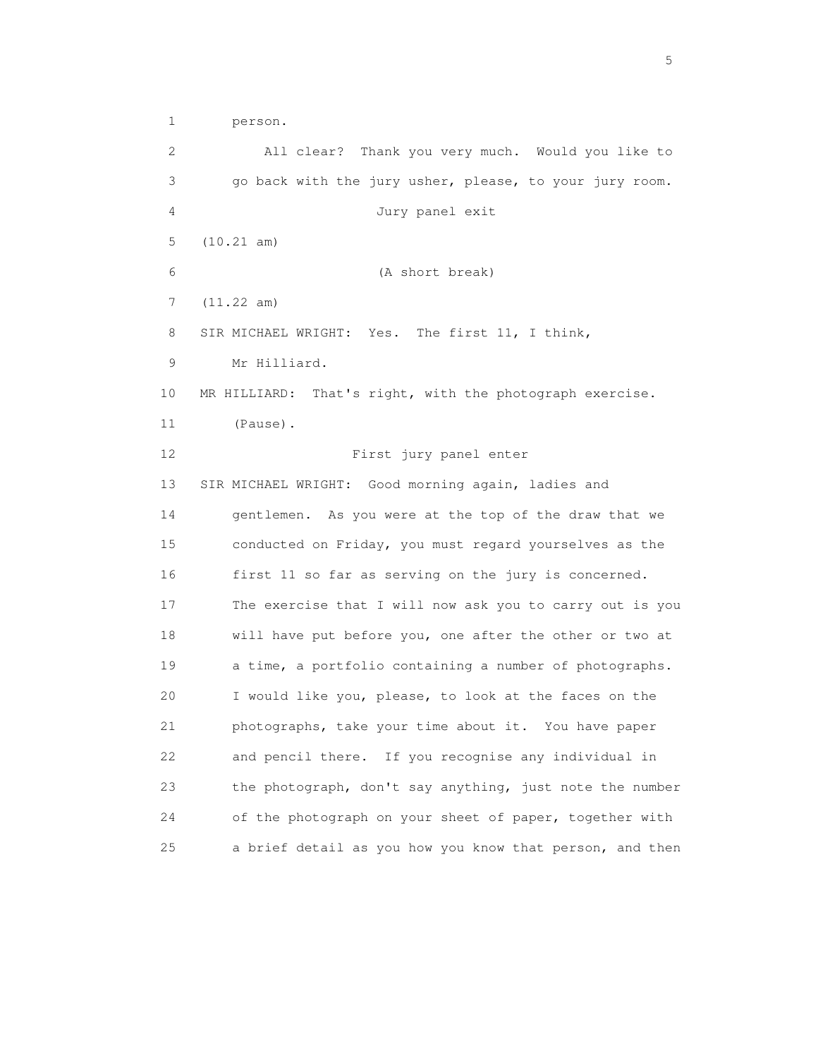1 person.

 2 All clear? Thank you very much. Would you like to 3 go back with the jury usher, please, to your jury room. 4 Jury panel exit 5 (10.21 am) 6 (A short break) 7 (11.22 am) 8 SIR MICHAEL WRIGHT: Yes. The first 11, I think, 9 Mr Hilliard. 10 MR HILLIARD: That's right, with the photograph exercise. 11 (Pause). 12 First jury panel enter 13 SIR MICHAEL WRIGHT: Good morning again, ladies and 14 gentlemen. As you were at the top of the draw that we 15 conducted on Friday, you must regard yourselves as the 16 first 11 so far as serving on the jury is concerned. 17 The exercise that I will now ask you to carry out is you 18 will have put before you, one after the other or two at 19 a time, a portfolio containing a number of photographs. 20 I would like you, please, to look at the faces on the 21 photographs, take your time about it. You have paper 22 and pencil there. If you recognise any individual in 23 the photograph, don't say anything, just note the number 24 of the photograph on your sheet of paper, together with 25 a brief detail as you how you know that person, and then

 $\sim$  5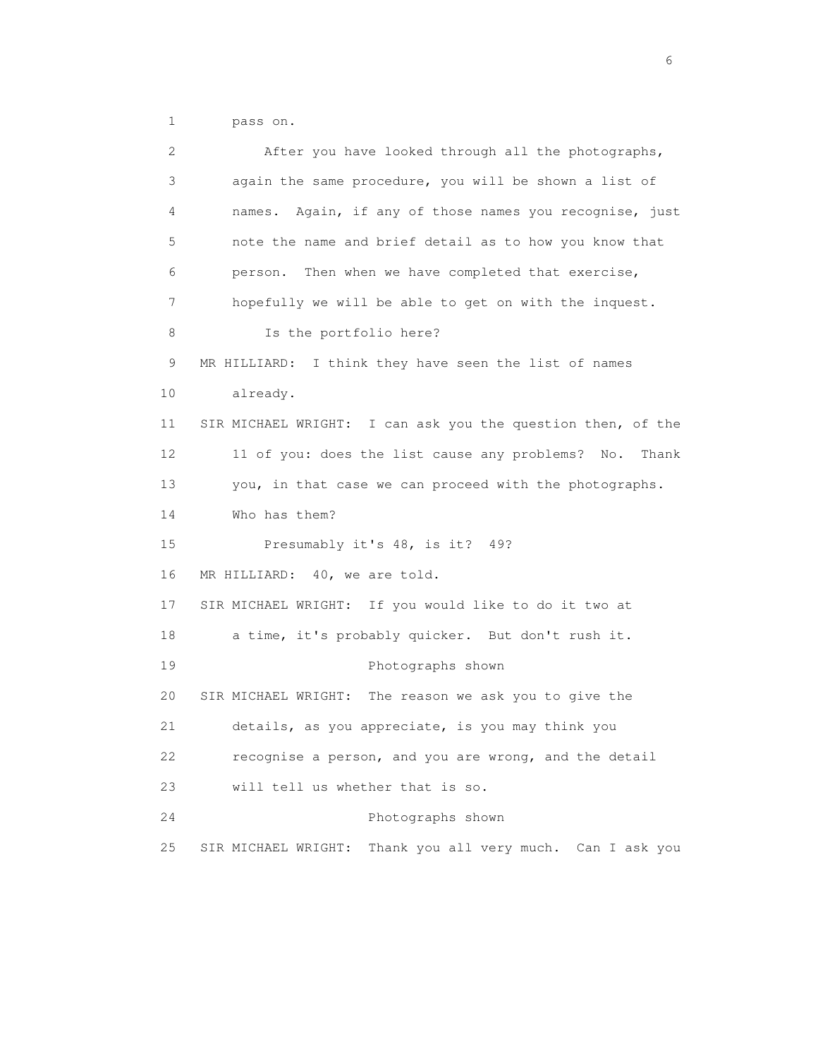1 pass on.

| 2  | After you have looked through all the photographs,            |
|----|---------------------------------------------------------------|
| 3  | again the same procedure, you will be shown a list of         |
| 4  | Again, if any of those names you recognise, just<br>names.    |
| 5  | note the name and brief detail as to how you know that        |
| 6  | person. Then when we have completed that exercise,            |
| 7  | hopefully we will be able to get on with the inquest.         |
| 8  | Is the portfolio here?                                        |
| 9  | MR HILLIARD: I think they have seen the list of names         |
| 10 | already.                                                      |
| 11 | SIR MICHAEL WRIGHT: I can ask you the question then, of the   |
| 12 | 11 of you: does the list cause any problems?<br>Thank<br>No.  |
| 13 | you, in that case we can proceed with the photographs.        |
| 14 | Who has them?                                                 |
| 15 | Presumably it's 48, is it? 49?                                |
| 16 | MR HILLIARD: 40, we are told.                                 |
| 17 | SIR MICHAEL WRIGHT: If you would like to do it two at         |
| 18 | a time, it's probably quicker. But don't rush it.             |
| 19 | Photographs shown                                             |
| 20 | SIR MICHAEL WRIGHT: The reason we ask you to give the         |
| 21 | details, as you appreciate, is you may think you              |
| 22 | recognise a person, and you are wrong, and the detail         |
| 23 | will tell us whether that is so.                              |
| 24 | Photographs shown                                             |
| 25 | Thank you all very much. Can I ask you<br>SIR MICHAEL WRIGHT: |

 $\sim$  6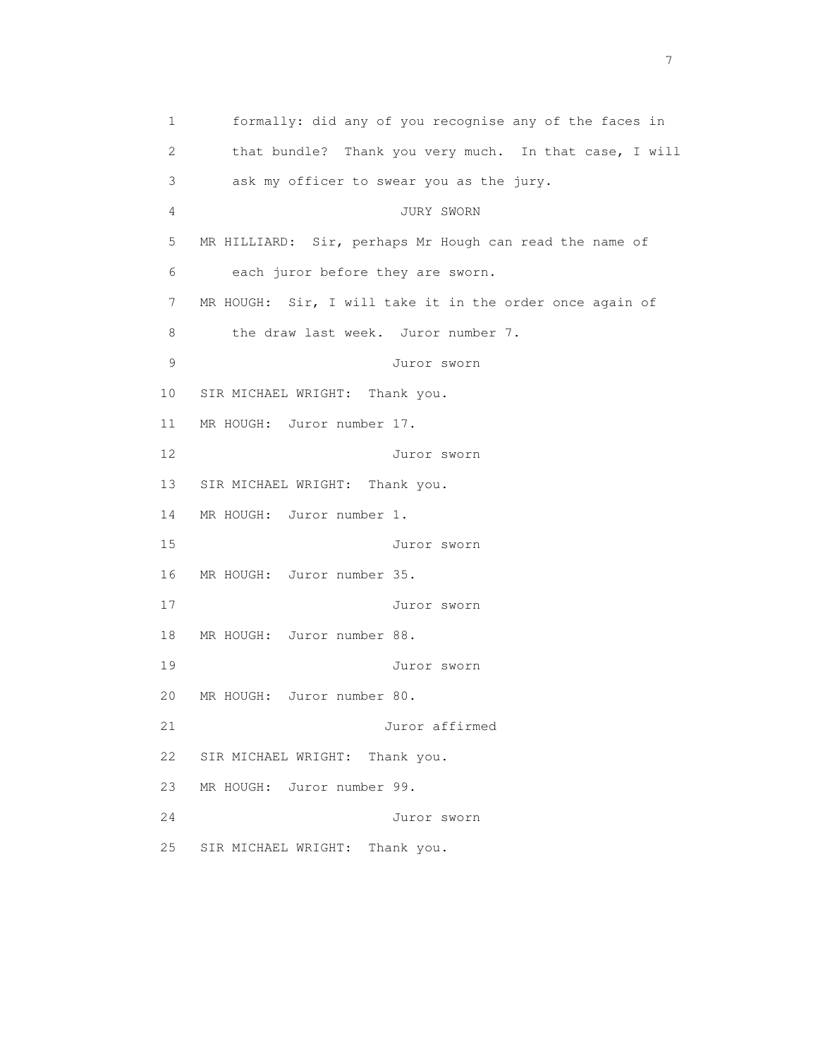1 formally: did any of you recognise any of the faces in 2 that bundle? Thank you very much. In that case, I will 3 ask my officer to swear you as the jury. 4 JURY SWORN 5 MR HILLIARD: Sir, perhaps Mr Hough can read the name of 6 each juror before they are sworn. 7 MR HOUGH: Sir, I will take it in the order once again of 8 the draw last week. Juror number 7. 9 Juror sworn 10 SIR MICHAEL WRIGHT: Thank you. 11 MR HOUGH: Juror number 17. 12 Juror sworn 13 SIR MICHAEL WRIGHT: Thank you. 14 MR HOUGH: Juror number 1. 15 Juror sworn 16 MR HOUGH: Juror number 35. 17 Juror sworn 18 MR HOUGH: Juror number 88. 19 Juror sworn 20 MR HOUGH: Juror number 80. 21 Juror affirmed 22 SIR MICHAEL WRIGHT: Thank you. 23 MR HOUGH: Juror number 99. 24 Juror sworn 25 SIR MICHAEL WRIGHT: Thank you.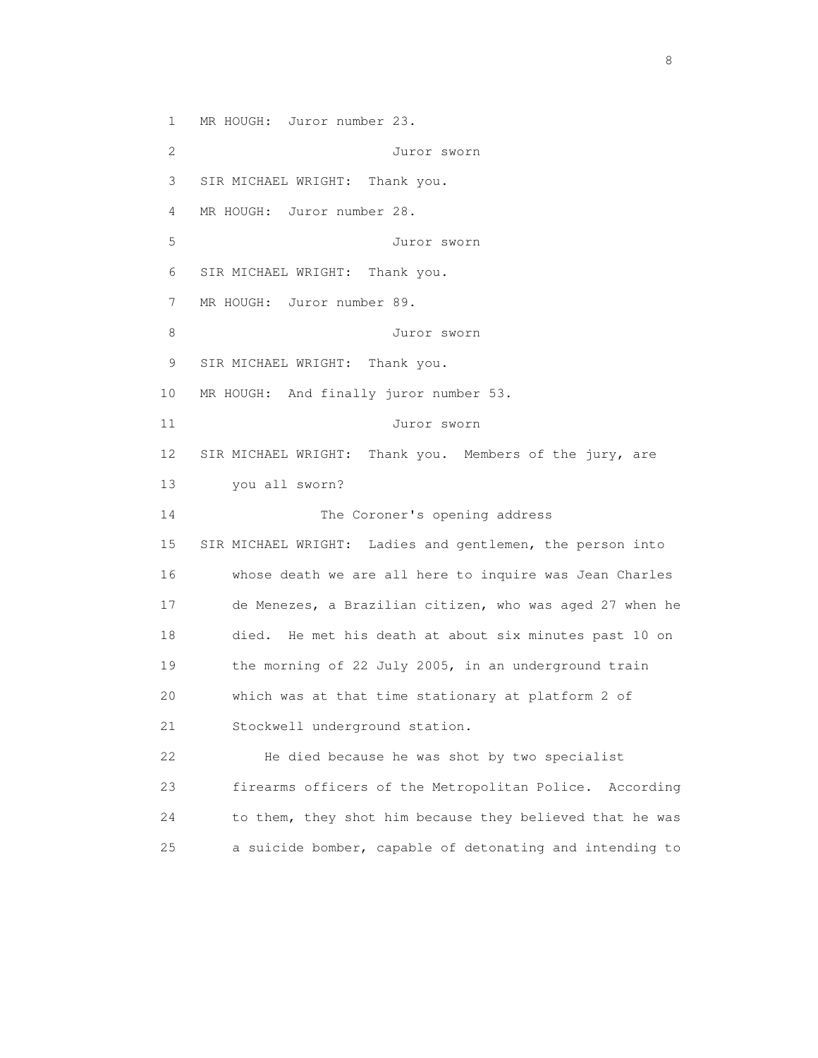1 MR HOUGH: Juror number 23.

 2 Juror sworn 3 SIR MICHAEL WRIGHT: Thank you. 4 MR HOUGH: Juror number 28. 5 Juror sworn 6 SIR MICHAEL WRIGHT: Thank you. 7 MR HOUGH: Juror number 89. 8 Juror sworn 9 SIR MICHAEL WRIGHT: Thank you. 10 MR HOUGH: And finally juror number 53. 11 Juror sworn 12 SIR MICHAEL WRIGHT: Thank you. Members of the jury, are 13 you all sworn? 14 The Coroner's opening address 15 SIR MICHAEL WRIGHT: Ladies and gentlemen, the person into 16 whose death we are all here to inquire was Jean Charles 17 de Menezes, a Brazilian citizen, who was aged 27 when he 18 died. He met his death at about six minutes past 10 on 19 the morning of 22 July 2005, in an underground train 20 which was at that time stationary at platform 2 of 21 Stockwell underground station. 22 He died because he was shot by two specialist 23 firearms officers of the Metropolitan Police. According

24 to them, they shot him because they believed that he was

25 a suicide bomber, capable of detonating and intending to

en de la construction de la construction de la construction de la construction de la construction de la constr<br>En 1980, en 1980, en 1980, en 1980, en 1980, en 1980, en 1980, en 1980, en 1980, en 1980, en 1980, en 1980, en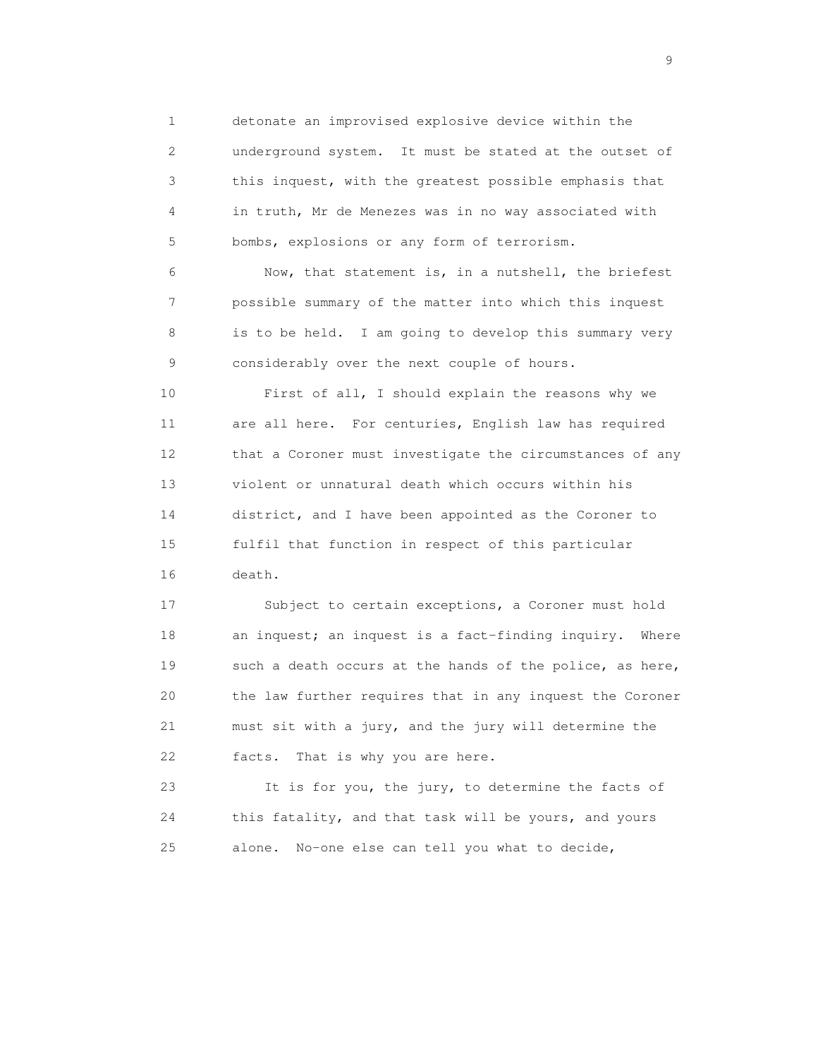1 detonate an improvised explosive device within the 2 underground system. It must be stated at the outset of 3 this inquest, with the greatest possible emphasis that 4 in truth, Mr de Menezes was in no way associated with 5 bombs, explosions or any form of terrorism.

 6 Now, that statement is, in a nutshell, the briefest 7 possible summary of the matter into which this inquest 8 is to be held. I am going to develop this summary very 9 considerably over the next couple of hours.

 10 First of all, I should explain the reasons why we 11 are all here. For centuries, English law has required 12 that a Coroner must investigate the circumstances of any 13 violent or unnatural death which occurs within his 14 district, and I have been appointed as the Coroner to 15 fulfil that function in respect of this particular 16 death.

 17 Subject to certain exceptions, a Coroner must hold 18 an inquest; an inquest is a fact-finding inquiry. Where 19 such a death occurs at the hands of the police, as here, 20 the law further requires that in any inquest the Coroner 21 must sit with a jury, and the jury will determine the 22 facts. That is why you are here.

 23 It is for you, the jury, to determine the facts of 24 this fatality, and that task will be yours, and yours 25 alone. No-one else can tell you what to decide,

en de la construction de la construction de la construction de la construction de la construction de la constr<br>1911 : la construction de la construction de la construction de la construction de la construction de la const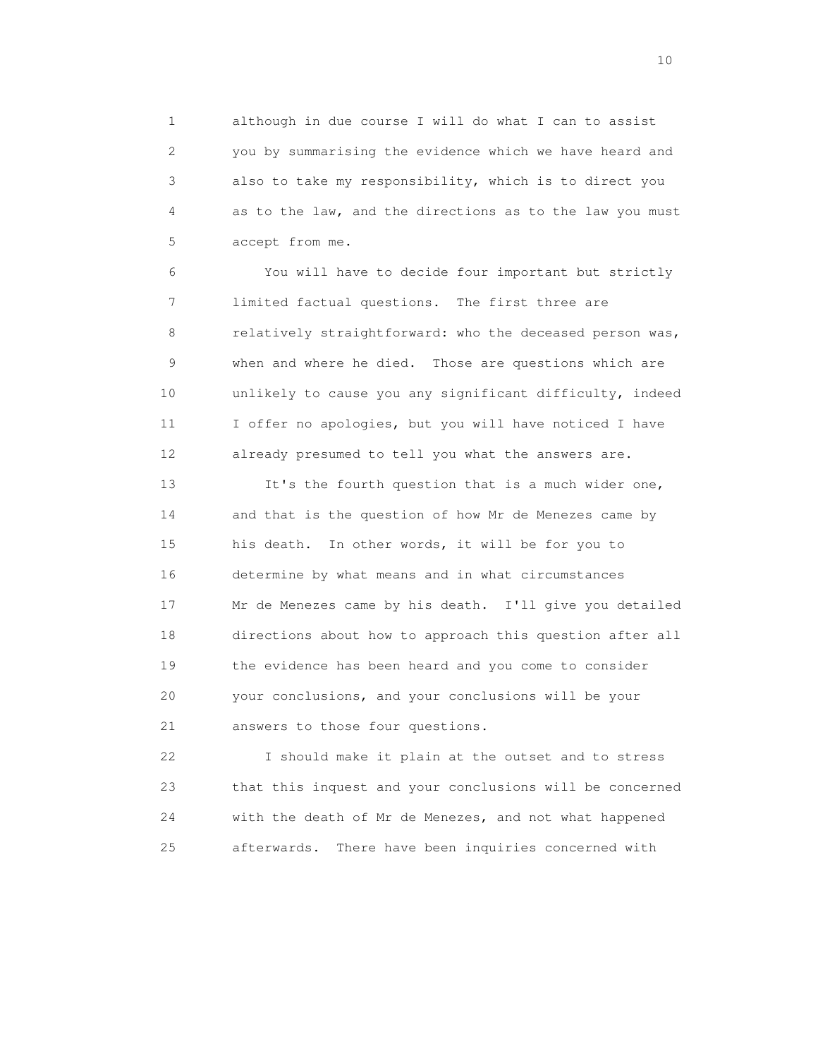1 although in due course I will do what I can to assist 2 you by summarising the evidence which we have heard and 3 also to take my responsibility, which is to direct you 4 as to the law, and the directions as to the law you must 5 accept from me.

 6 You will have to decide four important but strictly 7 limited factual questions. The first three are 8 relatively straightforward: who the deceased person was, 9 when and where he died. Those are questions which are 10 unlikely to cause you any significant difficulty, indeed 11 I offer no apologies, but you will have noticed I have 12 already presumed to tell you what the answers are.

 13 It's the fourth question that is a much wider one, 14 and that is the question of how Mr de Menezes came by 15 his death. In other words, it will be for you to 16 determine by what means and in what circumstances 17 Mr de Menezes came by his death. I'll give you detailed 18 directions about how to approach this question after all 19 the evidence has been heard and you come to consider 20 your conclusions, and your conclusions will be your 21 answers to those four questions.

 22 I should make it plain at the outset and to stress 23 that this inquest and your conclusions will be concerned 24 with the death of Mr de Menezes, and not what happened 25 afterwards. There have been inquiries concerned with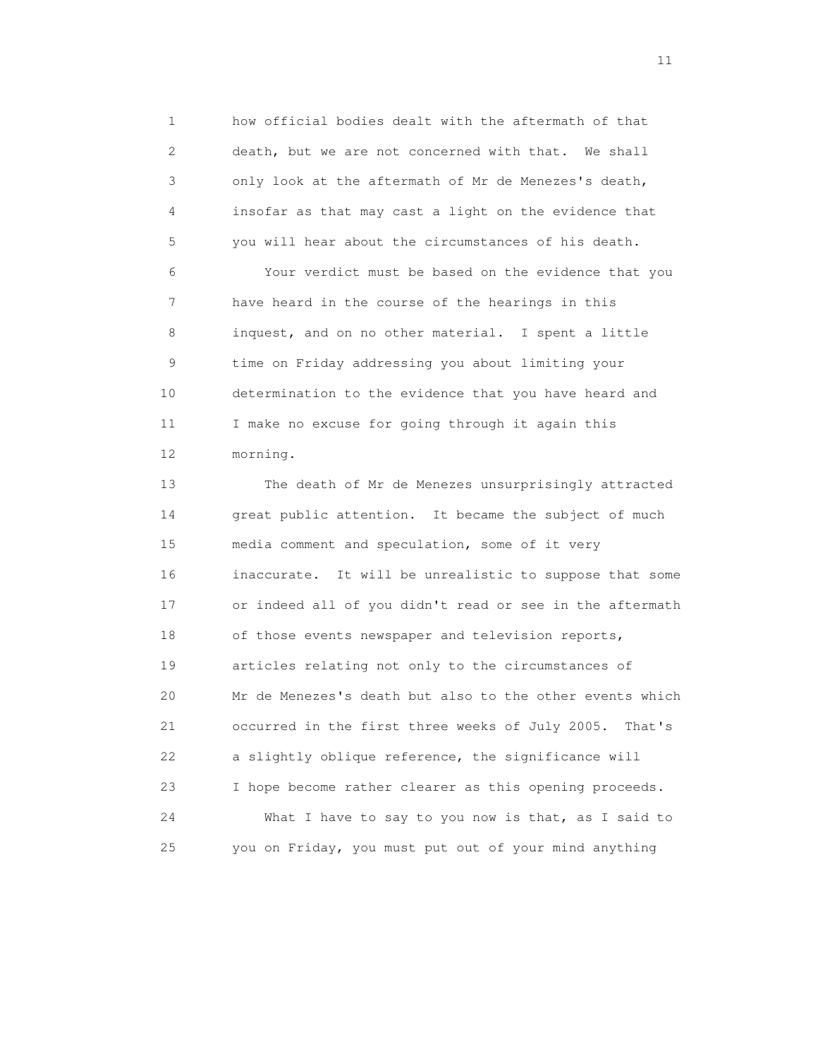1 how official bodies dealt with the aftermath of that 2 death, but we are not concerned with that. We shall 3 only look at the aftermath of Mr de Menezes's death, 4 insofar as that may cast a light on the evidence that 5 you will hear about the circumstances of his death.

 6 Your verdict must be based on the evidence that you 7 have heard in the course of the hearings in this 8 inquest, and on no other material. I spent a little 9 time on Friday addressing you about limiting your 10 determination to the evidence that you have heard and 11 I make no excuse for going through it again this 12 morning.

 13 The death of Mr de Menezes unsurprisingly attracted 14 great public attention. It became the subject of much 15 media comment and speculation, some of it very 16 inaccurate. It will be unrealistic to suppose that some 17 or indeed all of you didn't read or see in the aftermath 18 of those events newspaper and television reports, 19 articles relating not only to the circumstances of 20 Mr de Menezes's death but also to the other events which 21 occurred in the first three weeks of July 2005. That's 22 a slightly oblique reference, the significance will 23 I hope become rather clearer as this opening proceeds. 24 What I have to say to you now is that, as I said to 25 you on Friday, you must put out of your mind anything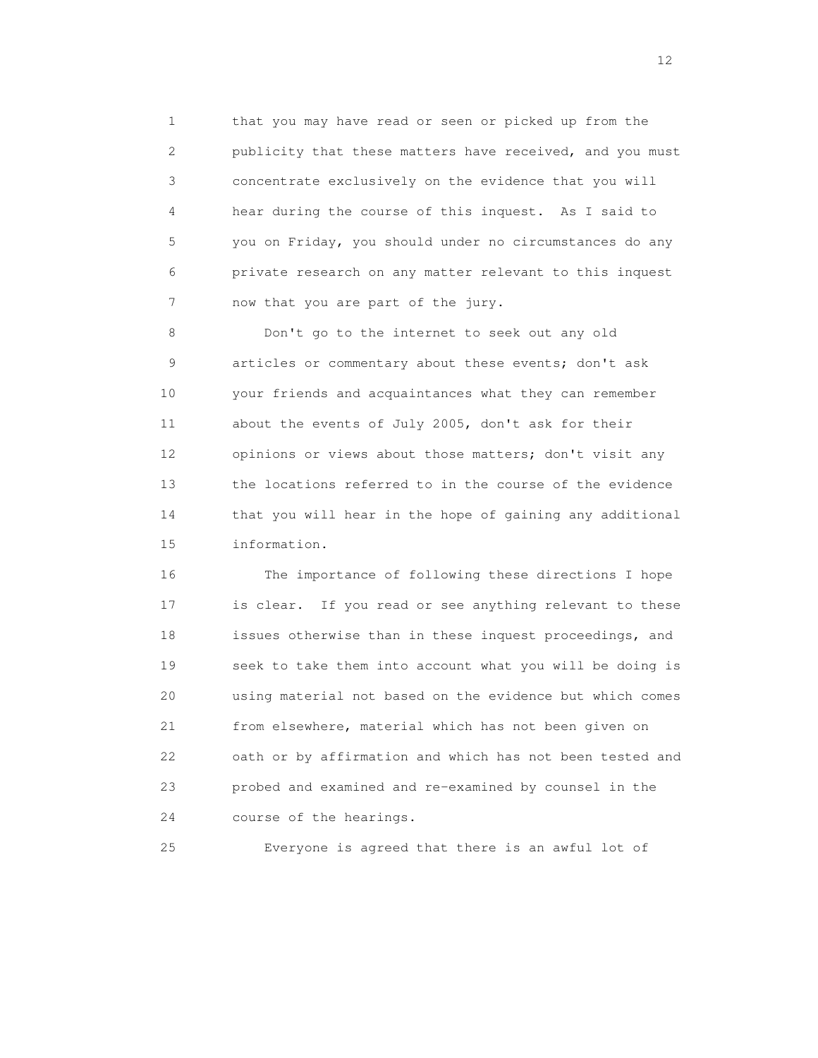1 that you may have read or seen or picked up from the 2 publicity that these matters have received, and you must 3 concentrate exclusively on the evidence that you will 4 hear during the course of this inquest. As I said to 5 you on Friday, you should under no circumstances do any 6 private research on any matter relevant to this inquest 7 now that you are part of the jury.

 8 Don't go to the internet to seek out any old 9 articles or commentary about these events; don't ask 10 your friends and acquaintances what they can remember 11 about the events of July 2005, don't ask for their 12 opinions or views about those matters; don't visit any 13 the locations referred to in the course of the evidence 14 that you will hear in the hope of gaining any additional 15 information.

 16 The importance of following these directions I hope 17 is clear. If you read or see anything relevant to these 18 issues otherwise than in these inquest proceedings, and 19 seek to take them into account what you will be doing is 20 using material not based on the evidence but which comes 21 from elsewhere, material which has not been given on 22 oath or by affirmation and which has not been tested and 23 probed and examined and re-examined by counsel in the 24 course of the hearings.

25 Everyone is agreed that there is an awful lot of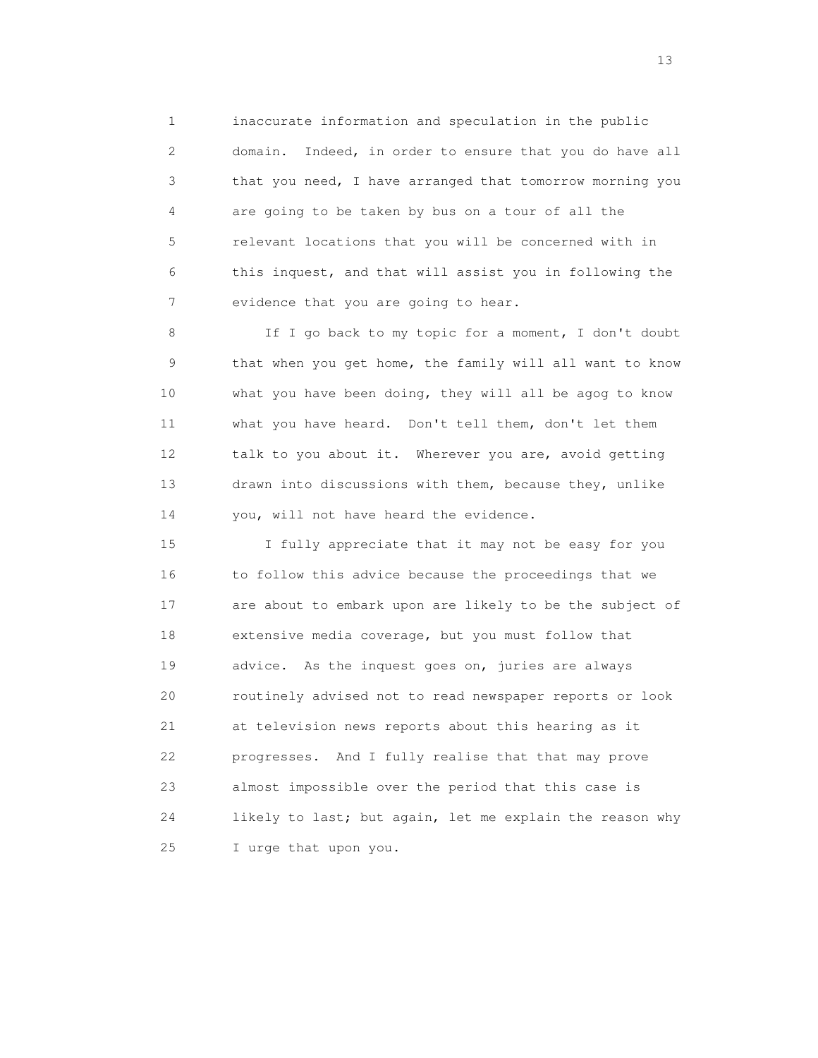1 inaccurate information and speculation in the public 2 domain. Indeed, in order to ensure that you do have all 3 that you need, I have arranged that tomorrow morning you 4 are going to be taken by bus on a tour of all the 5 relevant locations that you will be concerned with in 6 this inquest, and that will assist you in following the 7 evidence that you are going to hear.

 8 If I go back to my topic for a moment, I don't doubt 9 that when you get home, the family will all want to know 10 what you have been doing, they will all be agog to know 11 what you have heard. Don't tell them, don't let them 12 talk to you about it. Wherever you are, avoid getting 13 drawn into discussions with them, because they, unlike 14 you, will not have heard the evidence.

 15 I fully appreciate that it may not be easy for you 16 to follow this advice because the proceedings that we 17 are about to embark upon are likely to be the subject of 18 extensive media coverage, but you must follow that 19 advice. As the inquest goes on, juries are always 20 routinely advised not to read newspaper reports or look 21 at television news reports about this hearing as it 22 progresses. And I fully realise that that may prove 23 almost impossible over the period that this case is 24 likely to last; but again, let me explain the reason why 25 I urge that upon you.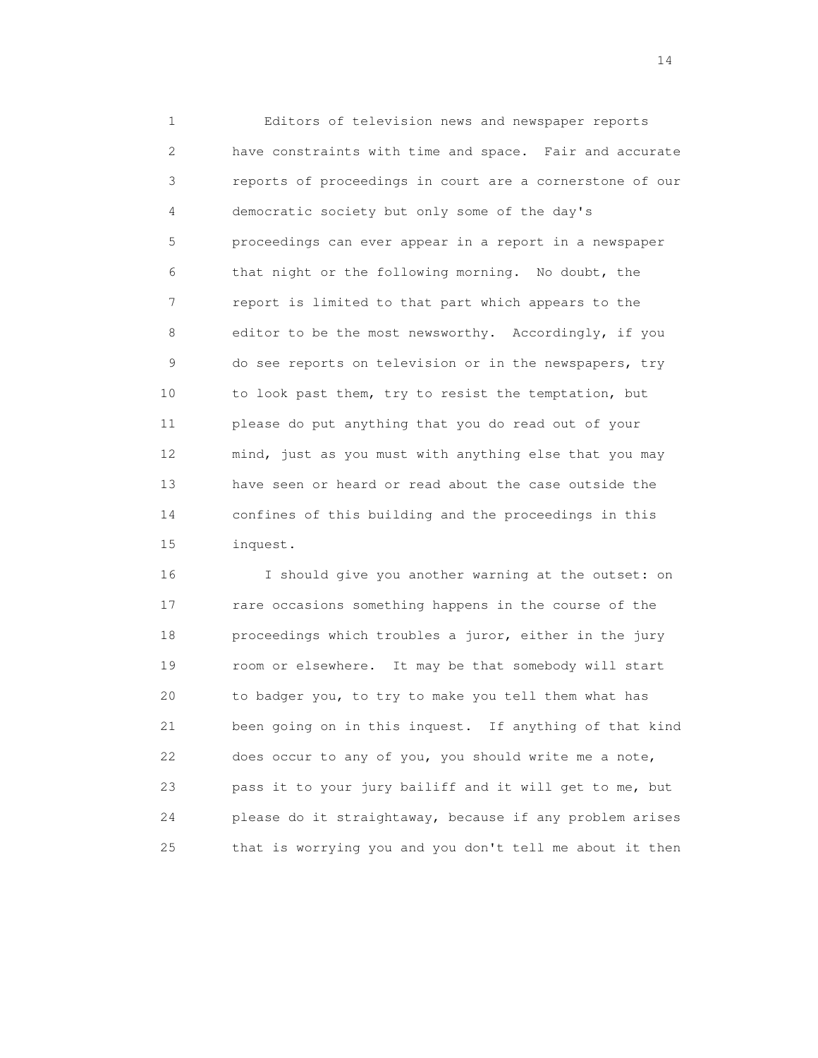1 Editors of television news and newspaper reports 2 have constraints with time and space. Fair and accurate 3 reports of proceedings in court are a cornerstone of our 4 democratic society but only some of the day's 5 proceedings can ever appear in a report in a newspaper 6 that night or the following morning. No doubt, the 7 report is limited to that part which appears to the 8 editor to be the most newsworthy. Accordingly, if you 9 do see reports on television or in the newspapers, try 10 to look past them, try to resist the temptation, but 11 please do put anything that you do read out of your 12 mind, just as you must with anything else that you may 13 have seen or heard or read about the case outside the 14 confines of this building and the proceedings in this 15 inquest.

 16 I should give you another warning at the outset: on 17 rare occasions something happens in the course of the 18 proceedings which troubles a juror, either in the jury 19 room or elsewhere. It may be that somebody will start 20 to badger you, to try to make you tell them what has 21 been going on in this inquest. If anything of that kind 22 does occur to any of you, you should write me a note, 23 pass it to your jury bailiff and it will get to me, but 24 please do it straightaway, because if any problem arises 25 that is worrying you and you don't tell me about it then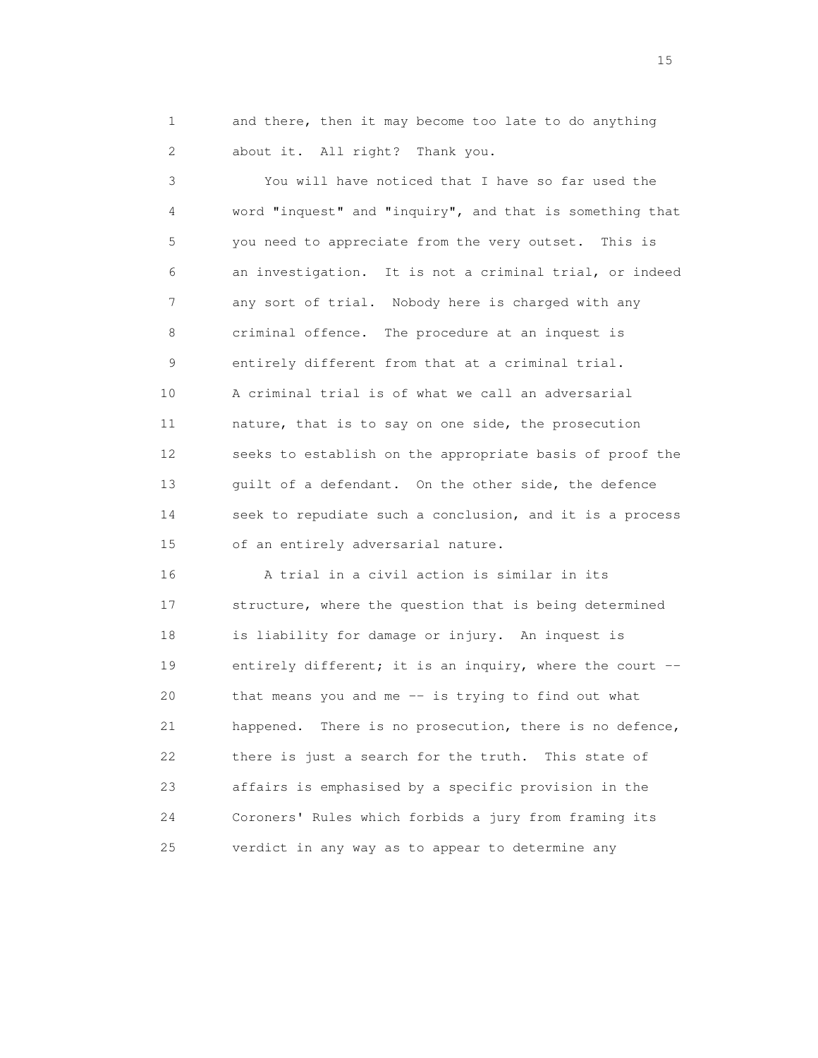1 and there, then it may become too late to do anything 2 about it. All right? Thank you.

 3 You will have noticed that I have so far used the 4 word "inquest" and "inquiry", and that is something that 5 you need to appreciate from the very outset. This is 6 an investigation. It is not a criminal trial, or indeed 7 any sort of trial. Nobody here is charged with any 8 criminal offence. The procedure at an inquest is 9 entirely different from that at a criminal trial. 10 A criminal trial is of what we call an adversarial 11 nature, that is to say on one side, the prosecution 12 seeks to establish on the appropriate basis of proof the 13 guilt of a defendant. On the other side, the defence 14 seek to repudiate such a conclusion, and it is a process 15 of an entirely adversarial nature.

 16 A trial in a civil action is similar in its 17 structure, where the question that is being determined 18 is liability for damage or injury. An inquest is 19 entirely different; it is an inquiry, where the court -- 20 that means you and me -- is trying to find out what 21 happened. There is no prosecution, there is no defence, 22 there is just a search for the truth. This state of 23 affairs is emphasised by a specific provision in the 24 Coroners' Rules which forbids a jury from framing its 25 verdict in any way as to appear to determine any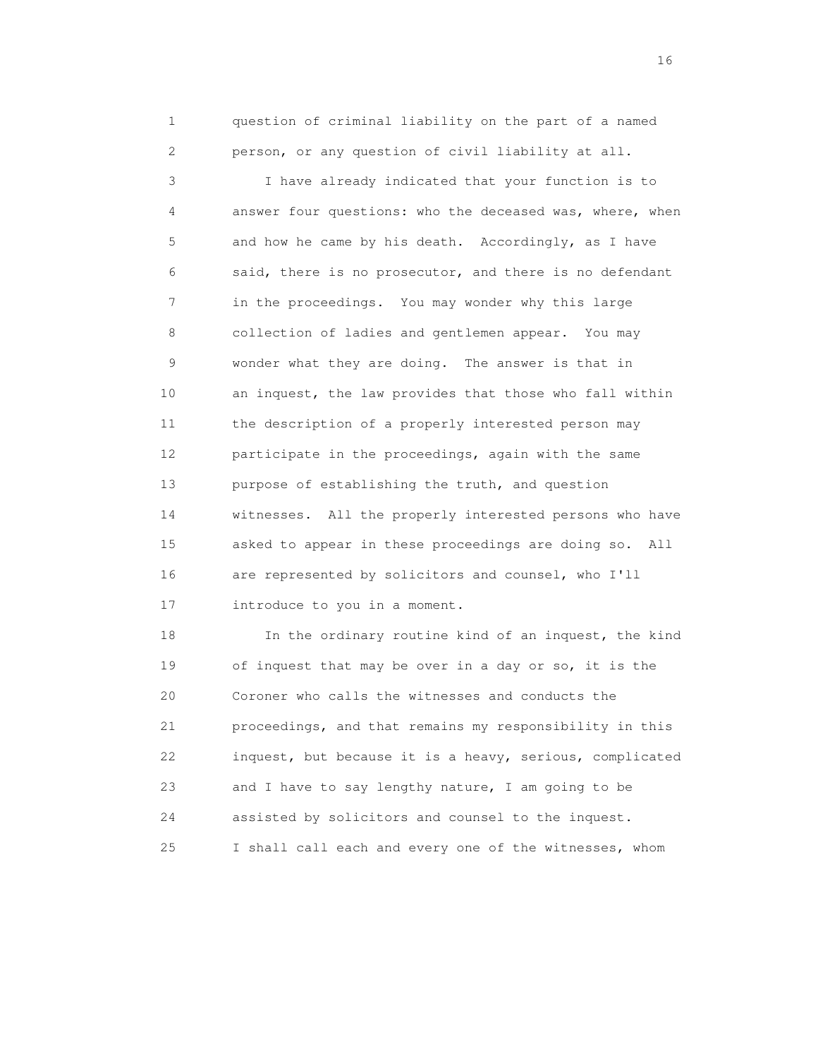1 question of criminal liability on the part of a named 2 person, or any question of civil liability at all.

 3 I have already indicated that your function is to 4 answer four questions: who the deceased was, where, when 5 and how he came by his death. Accordingly, as I have 6 said, there is no prosecutor, and there is no defendant 7 in the proceedings. You may wonder why this large 8 collection of ladies and gentlemen appear. You may 9 wonder what they are doing. The answer is that in 10 an inquest, the law provides that those who fall within 11 the description of a properly interested person may 12 participate in the proceedings, again with the same 13 purpose of establishing the truth, and question 14 witnesses. All the properly interested persons who have 15 asked to appear in these proceedings are doing so. All 16 are represented by solicitors and counsel, who I'll 17 introduce to you in a moment.

18 In the ordinary routine kind of an inquest, the kind 19 of inquest that may be over in a day or so, it is the 20 Coroner who calls the witnesses and conducts the 21 proceedings, and that remains my responsibility in this 22 inquest, but because it is a heavy, serious, complicated 23 and I have to say lengthy nature, I am going to be 24 assisted by solicitors and counsel to the inquest. 25 I shall call each and every one of the witnesses, whom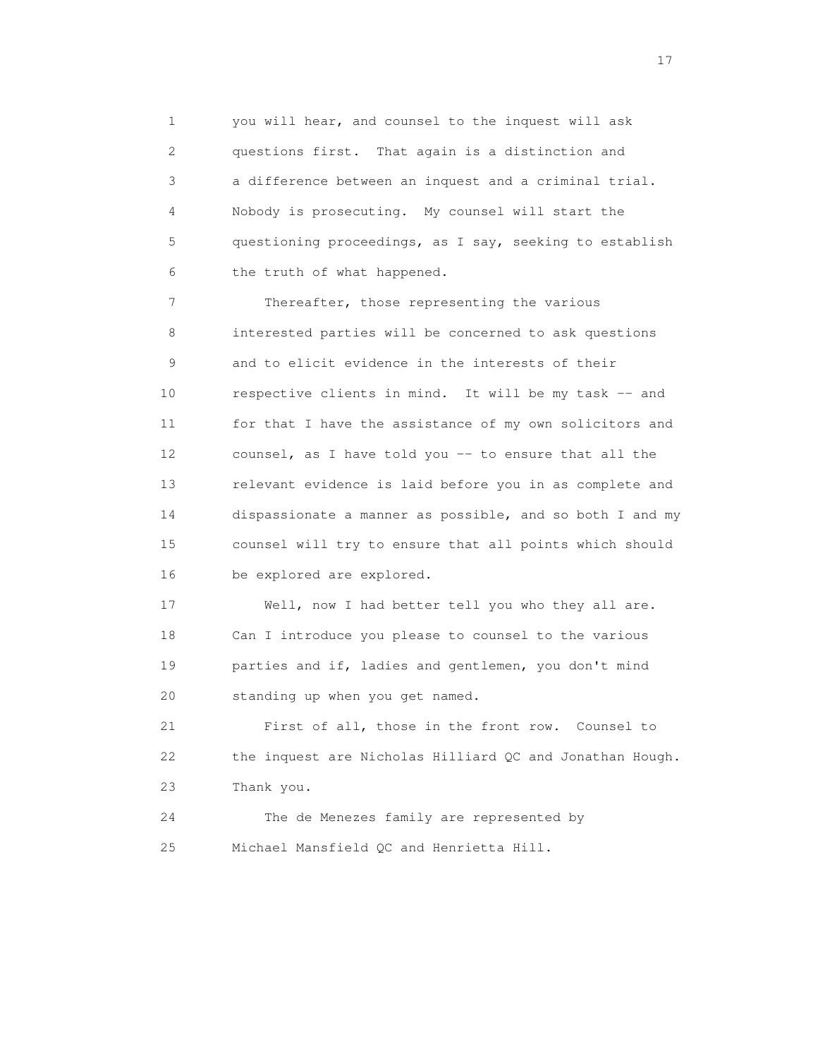1 you will hear, and counsel to the inquest will ask 2 questions first. That again is a distinction and 3 a difference between an inquest and a criminal trial. 4 Nobody is prosecuting. My counsel will start the 5 questioning proceedings, as I say, seeking to establish 6 the truth of what happened.

7 Thereafter, those representing the various 8 interested parties will be concerned to ask questions 9 and to elicit evidence in the interests of their 10 respective clients in mind. It will be my task -- and 11 for that I have the assistance of my own solicitors and 12 counsel, as I have told you -- to ensure that all the 13 relevant evidence is laid before you in as complete and 14 dispassionate a manner as possible, and so both I and my 15 counsel will try to ensure that all points which should 16 be explored are explored.

 17 Well, now I had better tell you who they all are. 18 Can I introduce you please to counsel to the various 19 parties and if, ladies and gentlemen, you don't mind 20 standing up when you get named.

 21 First of all, those in the front row. Counsel to 22 the inquest are Nicholas Hilliard QC and Jonathan Hough. 23 Thank you.

 24 The de Menezes family are represented by 25 Michael Mansfield QC and Henrietta Hill.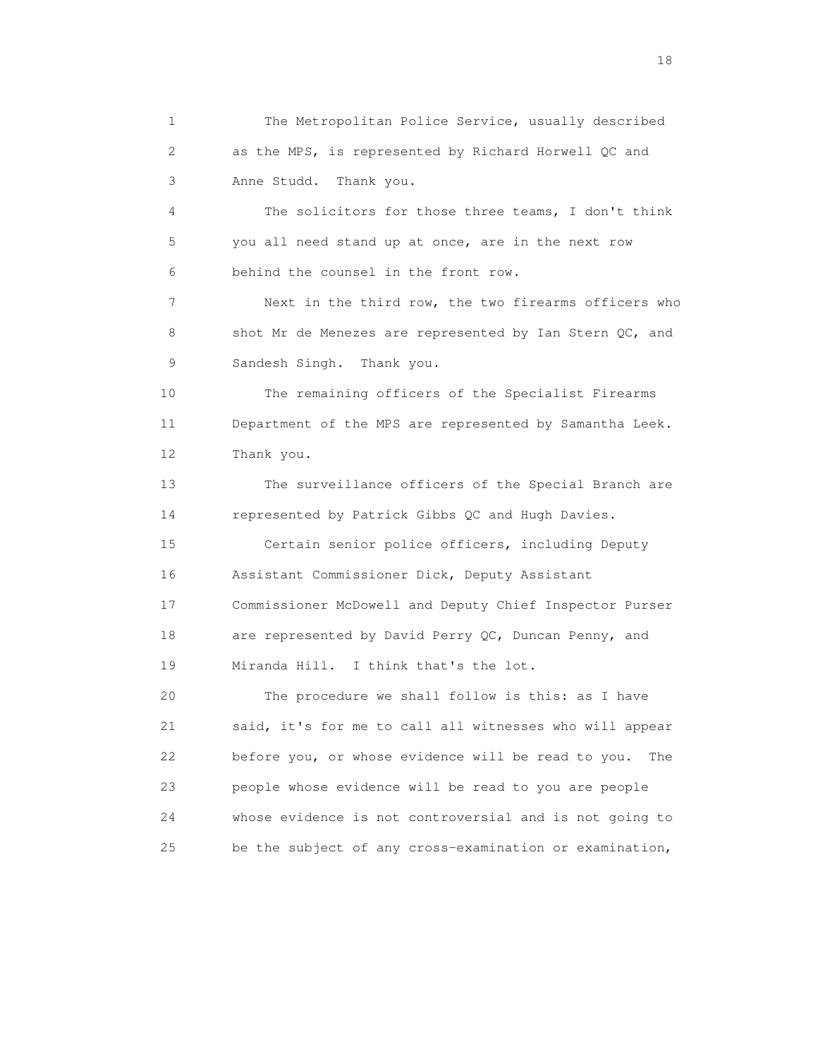1 The Metropolitan Police Service, usually described 2 as the MPS, is represented by Richard Horwell QC and 3 Anne Studd. Thank you. 4 The solicitors for those three teams, I don't think 5 you all need stand up at once, are in the next row 6 behind the counsel in the front row. 7 Next in the third row, the two firearms officers who 8 shot Mr de Menezes are represented by Ian Stern QC, and 9 Sandesh Singh. Thank you. 10 The remaining officers of the Specialist Firearms 11 Department of the MPS are represented by Samantha Leek. 12 Thank you. 13 The surveillance officers of the Special Branch are 14 represented by Patrick Gibbs QC and Hugh Davies. 15 Certain senior police officers, including Deputy 16 Assistant Commissioner Dick, Deputy Assistant 17 Commissioner McDowell and Deputy Chief Inspector Purser 18 are represented by David Perry QC, Duncan Penny, and 19 Miranda Hill. I think that's the lot. 20 The procedure we shall follow is this: as I have 21 said, it's for me to call all witnesses who will appear 22 before you, or whose evidence will be read to you. The 23 people whose evidence will be read to you are people 24 whose evidence is not controversial and is not going to 25 be the subject of any cross-examination or examination,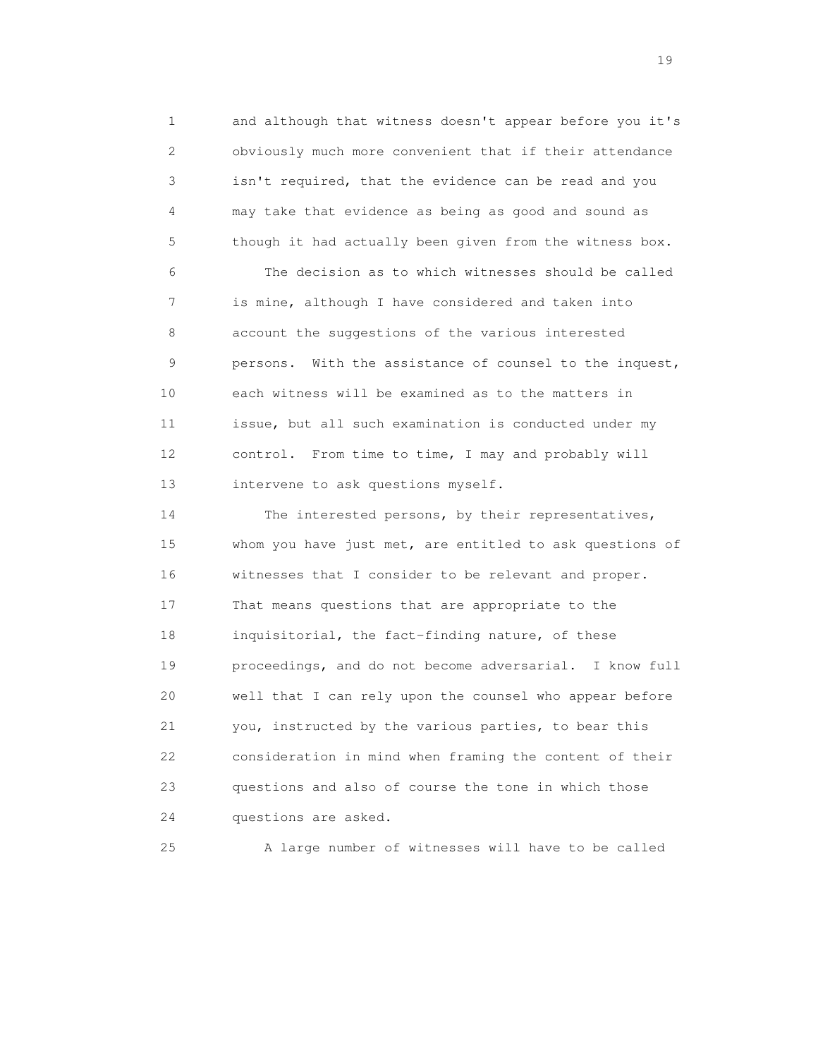1 and although that witness doesn't appear before you it's 2 obviously much more convenient that if their attendance 3 isn't required, that the evidence can be read and you 4 may take that evidence as being as good and sound as 5 though it had actually been given from the witness box.

 6 The decision as to which witnesses should be called 7 is mine, although I have considered and taken into 8 account the suggestions of the various interested 9 persons. With the assistance of counsel to the inquest, 10 each witness will be examined as to the matters in 11 issue, but all such examination is conducted under my 12 control. From time to time, I may and probably will 13 intervene to ask questions myself.

 14 The interested persons, by their representatives, 15 whom you have just met, are entitled to ask questions of 16 witnesses that I consider to be relevant and proper. 17 That means questions that are appropriate to the 18 inquisitorial, the fact-finding nature, of these 19 proceedings, and do not become adversarial. I know full 20 well that I can rely upon the counsel who appear before 21 you, instructed by the various parties, to bear this 22 consideration in mind when framing the content of their 23 questions and also of course the tone in which those 24 questions are asked.

25 A large number of witnesses will have to be called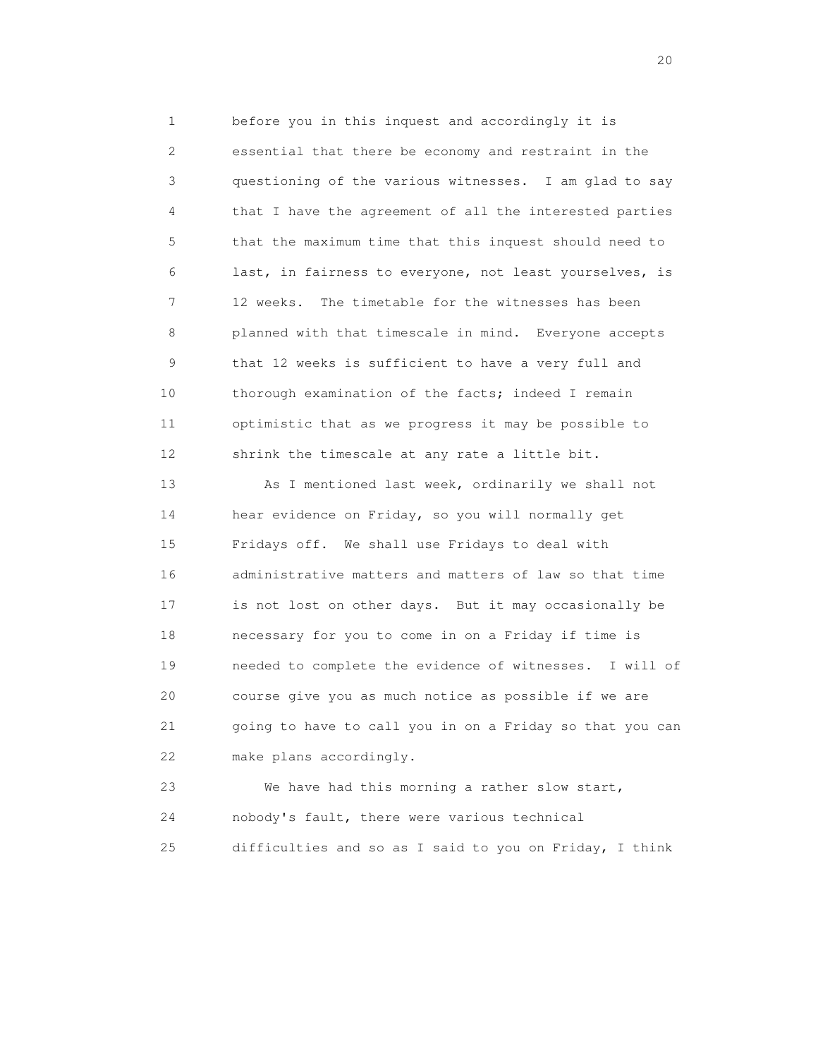1 before you in this inquest and accordingly it is 2 essential that there be economy and restraint in the 3 questioning of the various witnesses. I am glad to say 4 that I have the agreement of all the interested parties 5 that the maximum time that this inquest should need to 6 last, in fairness to everyone, not least yourselves, is 7 12 weeks. The timetable for the witnesses has been 8 planned with that timescale in mind. Everyone accepts 9 that 12 weeks is sufficient to have a very full and 10 thorough examination of the facts; indeed I remain 11 optimistic that as we progress it may be possible to 12 shrink the timescale at any rate a little bit.

13 As I mentioned last week, ordinarily we shall not 14 hear evidence on Friday, so you will normally get 15 Fridays off. We shall use Fridays to deal with 16 administrative matters and matters of law so that time 17 is not lost on other days. But it may occasionally be 18 necessary for you to come in on a Friday if time is 19 needed to complete the evidence of witnesses. I will of 20 course give you as much notice as possible if we are 21 going to have to call you in on a Friday so that you can 22 make plans accordingly.

 23 We have had this morning a rather slow start, 24 nobody's fault, there were various technical 25 difficulties and so as I said to you on Friday, I think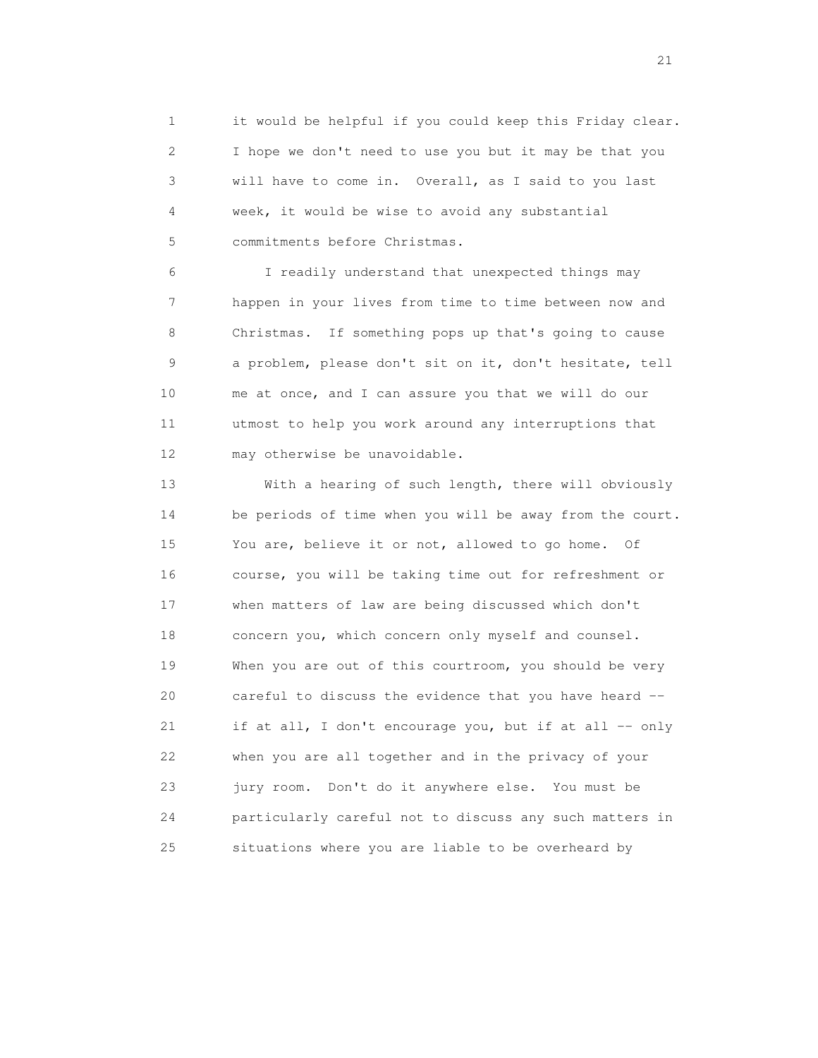1 it would be helpful if you could keep this Friday clear. 2 I hope we don't need to use you but it may be that you 3 will have to come in. Overall, as I said to you last 4 week, it would be wise to avoid any substantial 5 commitments before Christmas.

 6 I readily understand that unexpected things may 7 happen in your lives from time to time between now and 8 Christmas. If something pops up that's going to cause 9 a problem, please don't sit on it, don't hesitate, tell 10 me at once, and I can assure you that we will do our 11 utmost to help you work around any interruptions that 12 may otherwise be unavoidable.

 13 With a hearing of such length, there will obviously 14 be periods of time when you will be away from the court. 15 You are, believe it or not, allowed to go home. Of 16 course, you will be taking time out for refreshment or 17 when matters of law are being discussed which don't 18 concern you, which concern only myself and counsel. 19 When you are out of this courtroom, you should be very 20 careful to discuss the evidence that you have heard -- 21 if at all, I don't encourage you, but if at all -- only 22 when you are all together and in the privacy of your 23 jury room. Don't do it anywhere else. You must be 24 particularly careful not to discuss any such matters in 25 situations where you are liable to be overheard by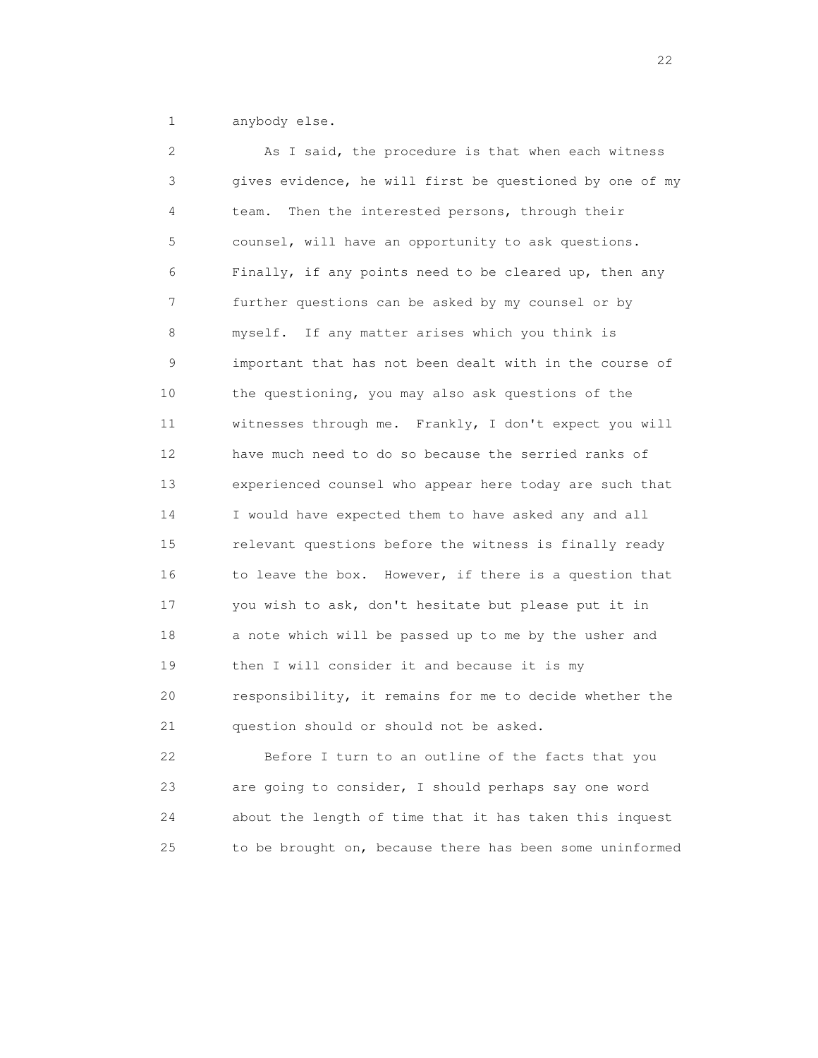1 anybody else.

 2 As I said, the procedure is that when each witness 3 gives evidence, he will first be questioned by one of my 4 team. Then the interested persons, through their 5 counsel, will have an opportunity to ask questions. 6 Finally, if any points need to be cleared up, then any 7 further questions can be asked by my counsel or by 8 myself. If any matter arises which you think is 9 important that has not been dealt with in the course of 10 the questioning, you may also ask questions of the 11 witnesses through me. Frankly, I don't expect you will 12 have much need to do so because the serried ranks of 13 experienced counsel who appear here today are such that 14 I would have expected them to have asked any and all 15 relevant questions before the witness is finally ready 16 to leave the box. However, if there is a question that 17 you wish to ask, don't hesitate but please put it in 18 a note which will be passed up to me by the usher and 19 then I will consider it and because it is my 20 responsibility, it remains for me to decide whether the 21 question should or should not be asked.

 22 Before I turn to an outline of the facts that you 23 are going to consider, I should perhaps say one word 24 about the length of time that it has taken this inquest 25 to be brought on, because there has been some uninformed

22 and 23 and 23 and 23 and 23 and 23 and 23 and 23 and 23 and 23 and 23 and 23 and 23 and 23 and 23 and 23 and 24 and 25 and 26 and 26 and 26 and 26 and 26 and 26 and 26 and 26 and 26 and 26 and 26 and 26 and 26 and 26 an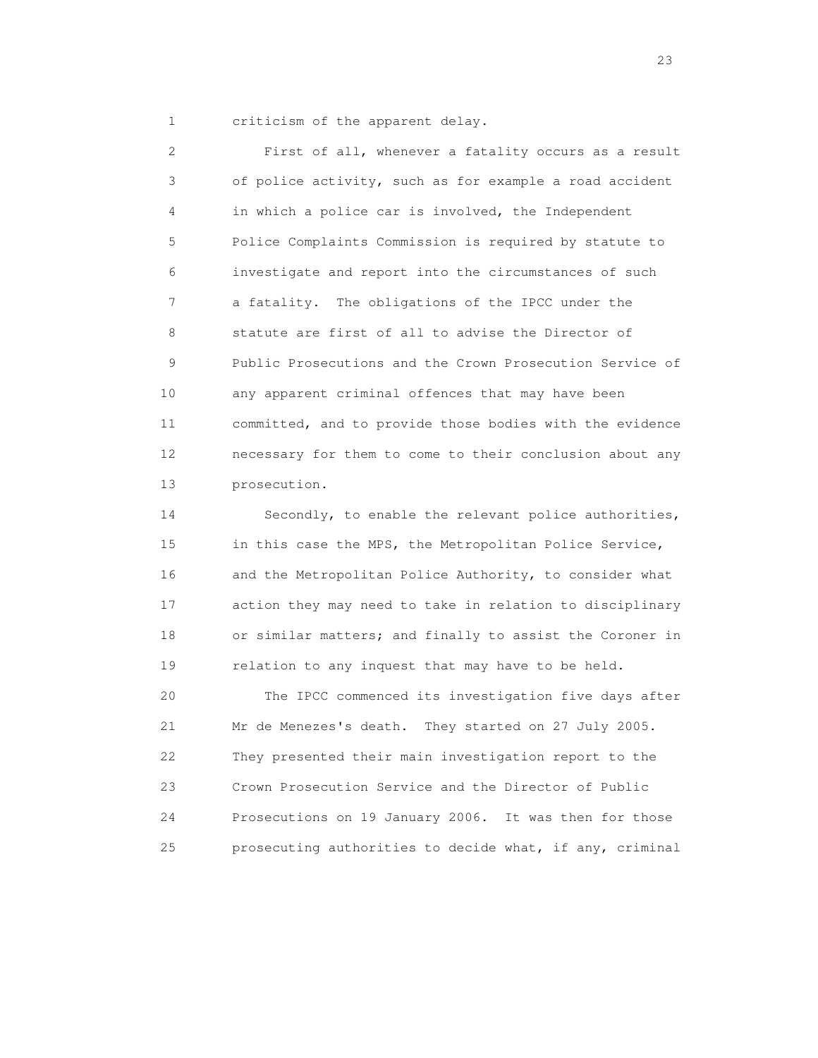1 criticism of the apparent delay.

 2 First of all, whenever a fatality occurs as a result 3 of police activity, such as for example a road accident 4 in which a police car is involved, the Independent 5 Police Complaints Commission is required by statute to 6 investigate and report into the circumstances of such 7 a fatality. The obligations of the IPCC under the 8 statute are first of all to advise the Director of 9 Public Prosecutions and the Crown Prosecution Service of 10 any apparent criminal offences that may have been 11 committed, and to provide those bodies with the evidence 12 necessary for them to come to their conclusion about any 13 prosecution.

 14 Secondly, to enable the relevant police authorities, 15 in this case the MPS, the Metropolitan Police Service, 16 and the Metropolitan Police Authority, to consider what 17 action they may need to take in relation to disciplinary 18 or similar matters; and finally to assist the Coroner in 19 relation to any inquest that may have to be held.

 20 The IPCC commenced its investigation five days after 21 Mr de Menezes's death. They started on 27 July 2005. 22 They presented their main investigation report to the 23 Crown Prosecution Service and the Director of Public 24 Prosecutions on 19 January 2006. It was then for those 25 prosecuting authorities to decide what, if any, criminal

23 and 23 and 23 and 23 and 23 and 23 and 23 and 23 and 23 and 23 and 23 and 23 and 23 and 23 and 23 and 23 and 23 and 24 and 25 and 25 and 26 and 26 and 26 and 26 and 26 and 26 and 26 and 26 and 26 and 26 and 26 and 26 an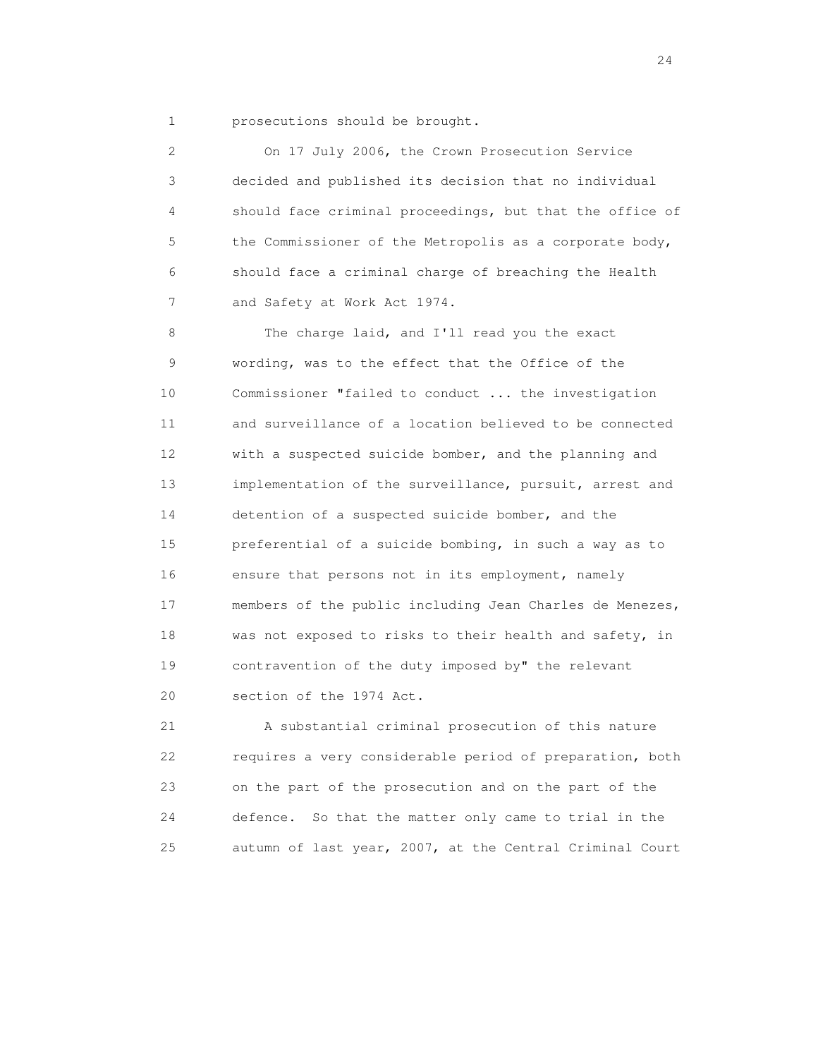1 prosecutions should be brought.

 2 On 17 July 2006, the Crown Prosecution Service 3 decided and published its decision that no individual 4 should face criminal proceedings, but that the office of 5 the Commissioner of the Metropolis as a corporate body, 6 should face a criminal charge of breaching the Health 7 and Safety at Work Act 1974. 8 The charge laid, and I'll read you the exact 9 wording, was to the effect that the Office of the 10 Commissioner "failed to conduct ... the investigation 11 and surveillance of a location believed to be connected 12 with a suspected suicide bomber, and the planning and 13 implementation of the surveillance, pursuit, arrest and 14 detention of a suspected suicide bomber, and the 15 preferential of a suicide bombing, in such a way as to 16 ensure that persons not in its employment, namely 17 members of the public including Jean Charles de Menezes, 18 was not exposed to risks to their health and safety, in 19 contravention of the duty imposed by" the relevant 20 section of the 1974 Act.

 21 A substantial criminal prosecution of this nature 22 requires a very considerable period of preparation, both 23 on the part of the prosecution and on the part of the 24 defence. So that the matter only came to trial in the 25 autumn of last year, 2007, at the Central Criminal Court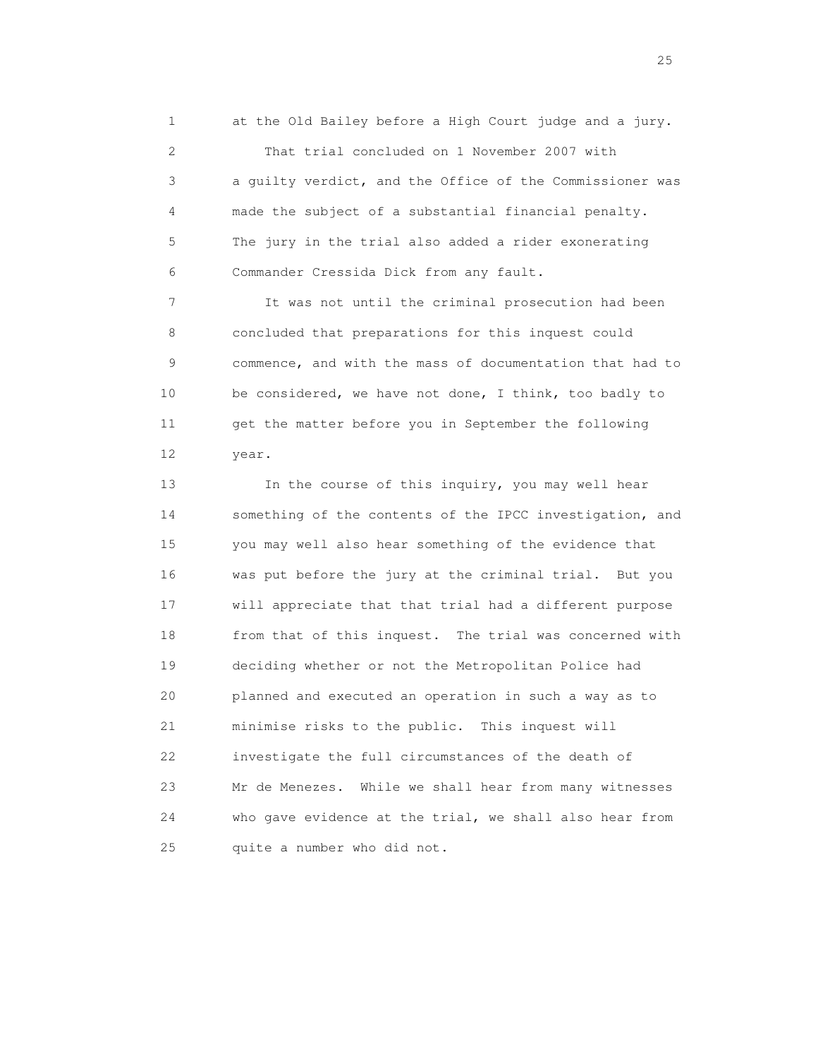1 at the Old Bailey before a High Court judge and a jury. 2 That trial concluded on 1 November 2007 with 3 a guilty verdict, and the Office of the Commissioner was 4 made the subject of a substantial financial penalty. 5 The jury in the trial also added a rider exonerating 6 Commander Cressida Dick from any fault.

 7 It was not until the criminal prosecution had been 8 concluded that preparations for this inquest could 9 commence, and with the mass of documentation that had to 10 be considered, we have not done, I think, too badly to 11 get the matter before you in September the following 12 year.

13 In the course of this inquiry, you may well hear 14 something of the contents of the IPCC investigation, and 15 you may well also hear something of the evidence that 16 was put before the jury at the criminal trial. But you 17 will appreciate that that trial had a different purpose 18 from that of this inquest. The trial was concerned with 19 deciding whether or not the Metropolitan Police had 20 planned and executed an operation in such a way as to 21 minimise risks to the public. This inquest will 22 investigate the full circumstances of the death of 23 Mr de Menezes. While we shall hear from many witnesses 24 who gave evidence at the trial, we shall also hear from 25 quite a number who did not.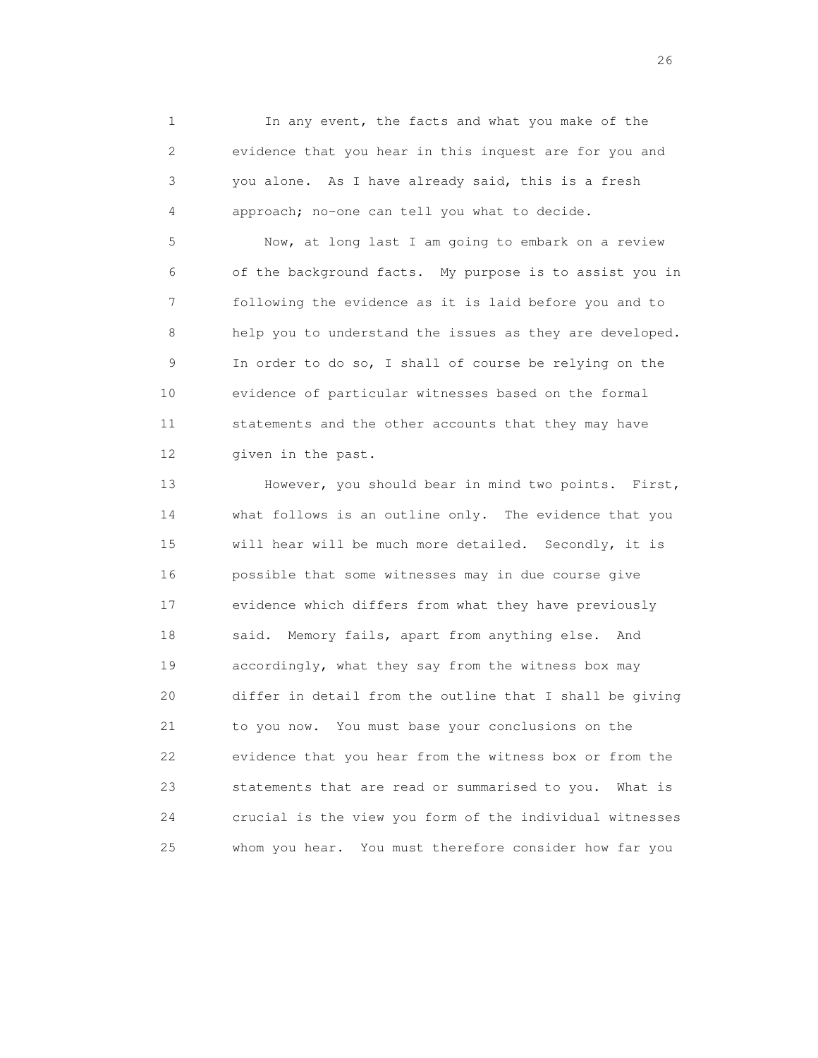1 In any event, the facts and what you make of the 2 evidence that you hear in this inquest are for you and 3 you alone. As I have already said, this is a fresh 4 approach; no-one can tell you what to decide.

 5 Now, at long last I am going to embark on a review 6 of the background facts. My purpose is to assist you in 7 following the evidence as it is laid before you and to 8 help you to understand the issues as they are developed. 9 In order to do so, I shall of course be relying on the 10 evidence of particular witnesses based on the formal 11 statements and the other accounts that they may have 12 given in the past.

13 However, you should bear in mind two points. First, 14 what follows is an outline only. The evidence that you 15 will hear will be much more detailed. Secondly, it is 16 possible that some witnesses may in due course give 17 evidence which differs from what they have previously 18 said. Memory fails, apart from anything else. And 19 accordingly, what they say from the witness box may 20 differ in detail from the outline that I shall be giving 21 to you now. You must base your conclusions on the 22 evidence that you hear from the witness box or from the 23 statements that are read or summarised to you. What is 24 crucial is the view you form of the individual witnesses 25 whom you hear. You must therefore consider how far you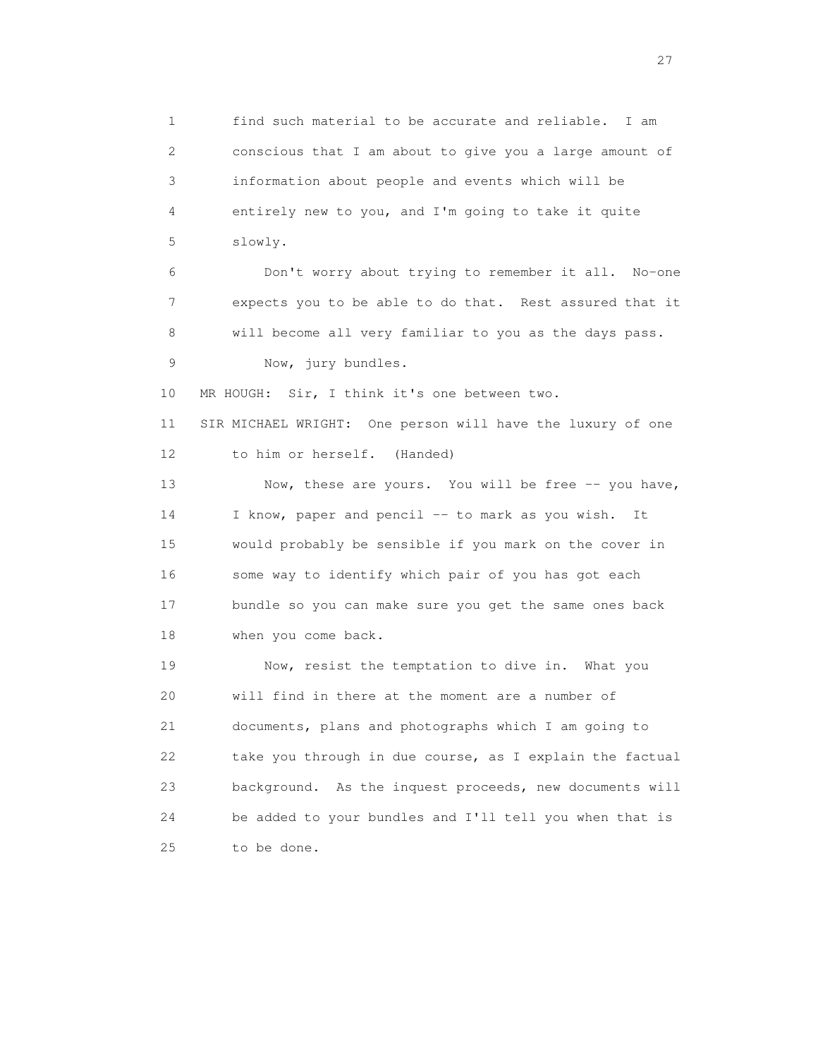1 find such material to be accurate and reliable. I am 2 conscious that I am about to give you a large amount of 3 information about people and events which will be 4 entirely new to you, and I'm going to take it quite 5 slowly. 6 Don't worry about trying to remember it all. No-one 7 expects you to be able to do that. Rest assured that it 8 will become all very familiar to you as the days pass. 9 Now, jury bundles. 10 MR HOUGH: Sir, I think it's one between two. 11 SIR MICHAEL WRIGHT: One person will have the luxury of one 12 to him or herself. (Handed) 13 Now, these are yours. You will be free -- you have, 14 I know, paper and pencil -- to mark as you wish. It 15 would probably be sensible if you mark on the cover in 16 some way to identify which pair of you has got each 17 bundle so you can make sure you get the same ones back 18 when you come back. 19 Now, resist the temptation to dive in. What you 20 will find in there at the moment are a number of 21 documents, plans and photographs which I am going to 22 take you through in due course, as I explain the factual 23 background. As the inquest proceeds, new documents will 24 be added to your bundles and I'll tell you when that is 25 to be done.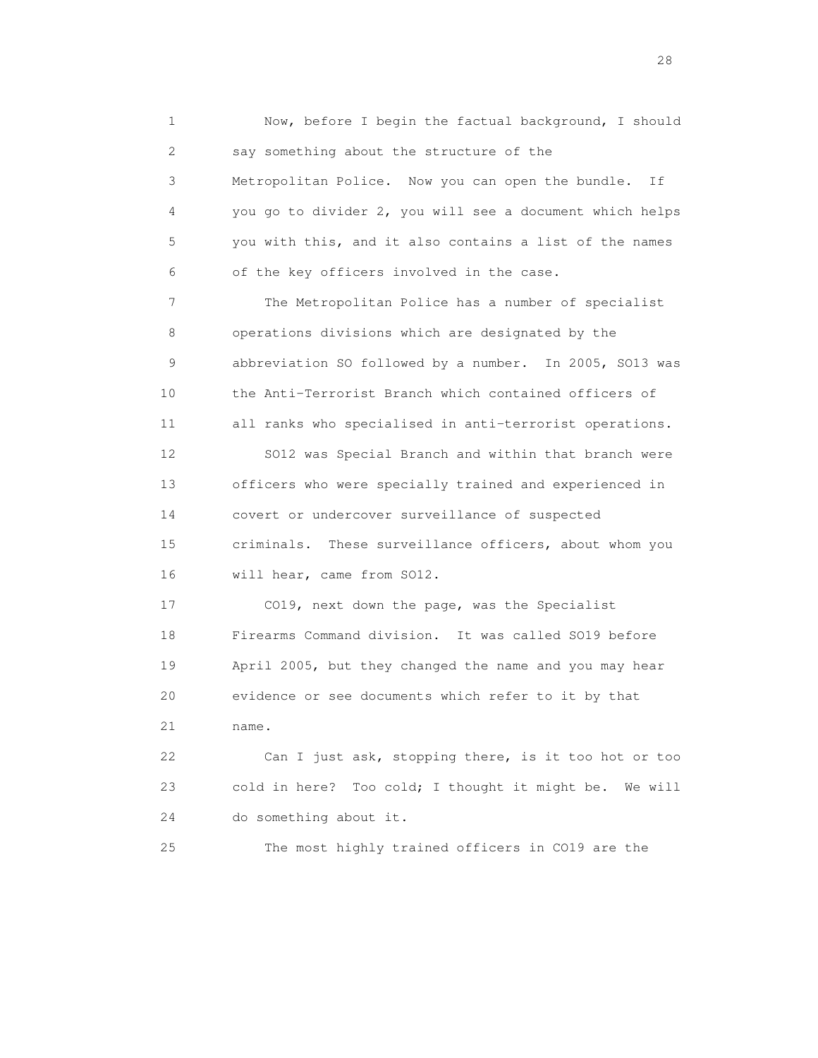1 Now, before I begin the factual background, I should 2 say something about the structure of the 3 Metropolitan Police. Now you can open the bundle. If 4 you go to divider 2, you will see a document which helps 5 you with this, and it also contains a list of the names 6 of the key officers involved in the case. 7 The Metropolitan Police has a number of specialist 8 operations divisions which are designated by the 9 abbreviation SO followed by a number. In 2005, SO13 was 10 the Anti-Terrorist Branch which contained officers of 11 all ranks who specialised in anti-terrorist operations. 12 SO12 was Special Branch and within that branch were 13 officers who were specially trained and experienced in 14 covert or undercover surveillance of suspected 15 criminals. These surveillance officers, about whom you 16 will hear, came from SO12. 17 CO19, next down the page, was the Specialist 18 Firearms Command division. It was called SO19 before 19 April 2005, but they changed the name and you may hear 20 evidence or see documents which refer to it by that 21 name. 22 Can I just ask, stopping there, is it too hot or too 23 cold in here? Too cold; I thought it might be. We will 24 do something about it. 25 The most highly trained officers in CO19 are the

28 and 28 and 28 and 28 and 28 and 28 and 28 and 28 and 28 and 28 and 28 and 28 and 28 and 28 and 28 and 28 and 28 and 28 and 28 and 28 and 28 and 28 and 28 and 28 and 28 and 28 and 28 and 28 and 28 and 28 and 28 and 28 an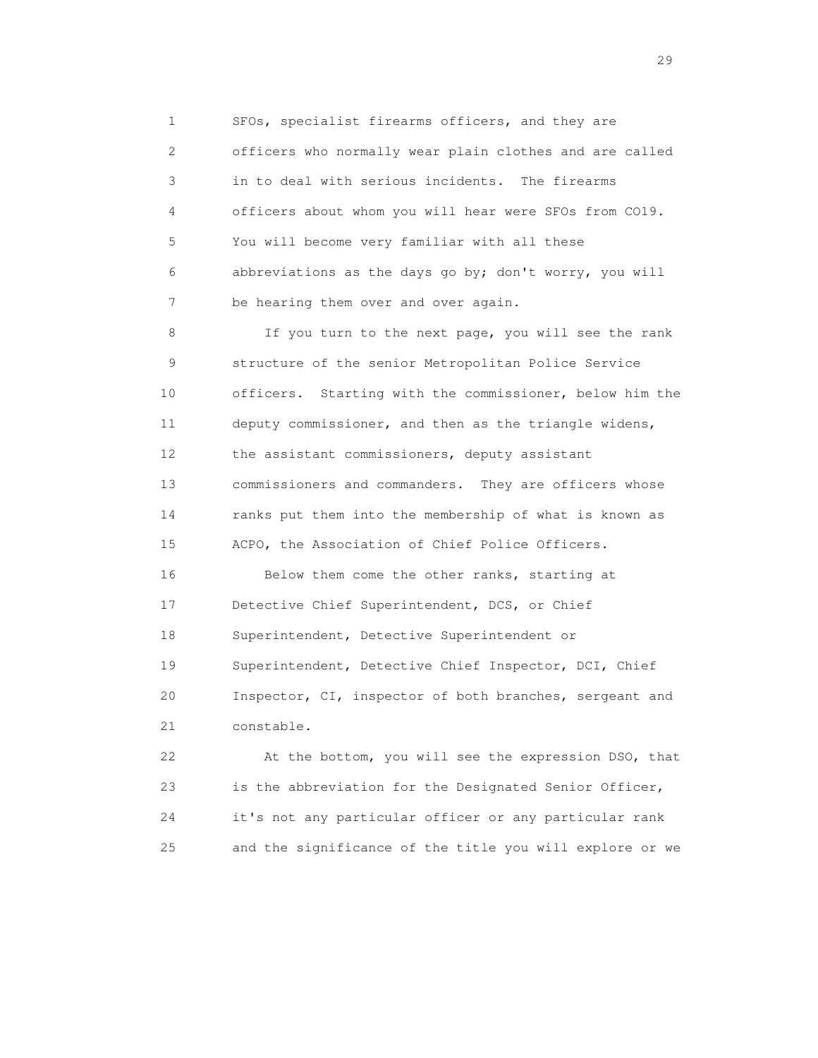1 SFOs, specialist firearms officers, and they are 2 officers who normally wear plain clothes and are called 3 in to deal with serious incidents. The firearms 4 officers about whom you will hear were SFOs from CO19. 5 You will become very familiar with all these 6 abbreviations as the days go by; don't worry, you will 7 be hearing them over and over again.

 8 If you turn to the next page, you will see the rank 9 structure of the senior Metropolitan Police Service 10 officers. Starting with the commissioner, below him the 11 deputy commissioner, and then as the triangle widens, 12 the assistant commissioners, deputy assistant 13 commissioners and commanders. They are officers whose 14 ranks put them into the membership of what is known as 15 ACPO, the Association of Chief Police Officers.

 16 Below them come the other ranks, starting at 17 Detective Chief Superintendent, DCS, or Chief 18 Superintendent, Detective Superintendent or 19 Superintendent, Detective Chief Inspector, DCI, Chief 20 Inspector, CI, inspector of both branches, sergeant and 21 constable.

 22 At the bottom, you will see the expression DSO, that 23 is the abbreviation for the Designated Senior Officer, 24 it's not any particular officer or any particular rank 25 and the significance of the title you will explore or we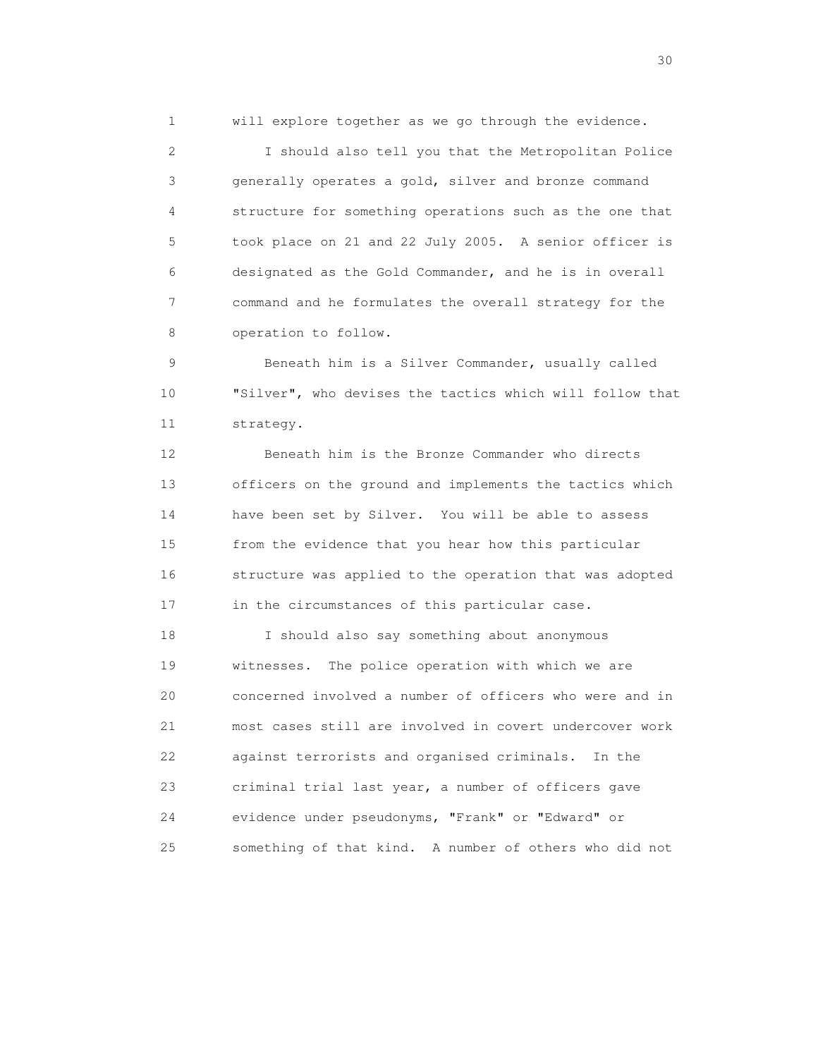1 will explore together as we go through the evidence.

 2 I should also tell you that the Metropolitan Police 3 generally operates a gold, silver and bronze command 4 structure for something operations such as the one that 5 took place on 21 and 22 July 2005. A senior officer is 6 designated as the Gold Commander, and he is in overall 7 command and he formulates the overall strategy for the 8 operation to follow.

 9 Beneath him is a Silver Commander, usually called 10 "Silver", who devises the tactics which will follow that 11 strategy.

 12 Beneath him is the Bronze Commander who directs 13 officers on the ground and implements the tactics which 14 have been set by Silver. You will be able to assess 15 from the evidence that you hear how this particular 16 structure was applied to the operation that was adopted 17 in the circumstances of this particular case.

 18 I should also say something about anonymous 19 witnesses. The police operation with which we are 20 concerned involved a number of officers who were and in 21 most cases still are involved in covert undercover work 22 against terrorists and organised criminals. In the 23 criminal trial last year, a number of officers gave 24 evidence under pseudonyms, "Frank" or "Edward" or 25 something of that kind. A number of others who did not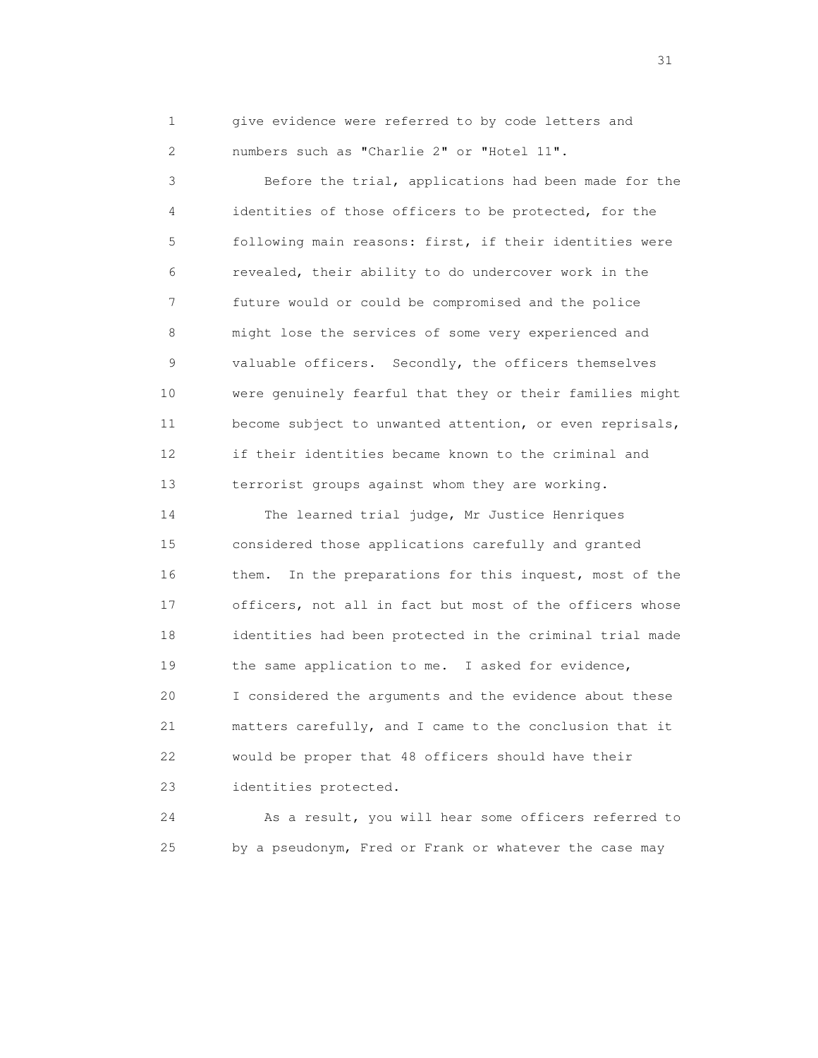1 give evidence were referred to by code letters and 2 numbers such as "Charlie 2" or "Hotel 11".

 3 Before the trial, applications had been made for the 4 identities of those officers to be protected, for the 5 following main reasons: first, if their identities were 6 revealed, their ability to do undercover work in the 7 future would or could be compromised and the police 8 might lose the services of some very experienced and 9 valuable officers. Secondly, the officers themselves 10 were genuinely fearful that they or their families might 11 become subject to unwanted attention, or even reprisals, 12 if their identities became known to the criminal and 13 terrorist groups against whom they are working.

 14 The learned trial judge, Mr Justice Henriques 15 considered those applications carefully and granted 16 them. In the preparations for this inquest, most of the 17 officers, not all in fact but most of the officers whose 18 identities had been protected in the criminal trial made 19 the same application to me. I asked for evidence, 20 I considered the arguments and the evidence about these 21 matters carefully, and I came to the conclusion that it 22 would be proper that 48 officers should have their 23 identities protected.

 24 As a result, you will hear some officers referred to 25 by a pseudonym, Fred or Frank or whatever the case may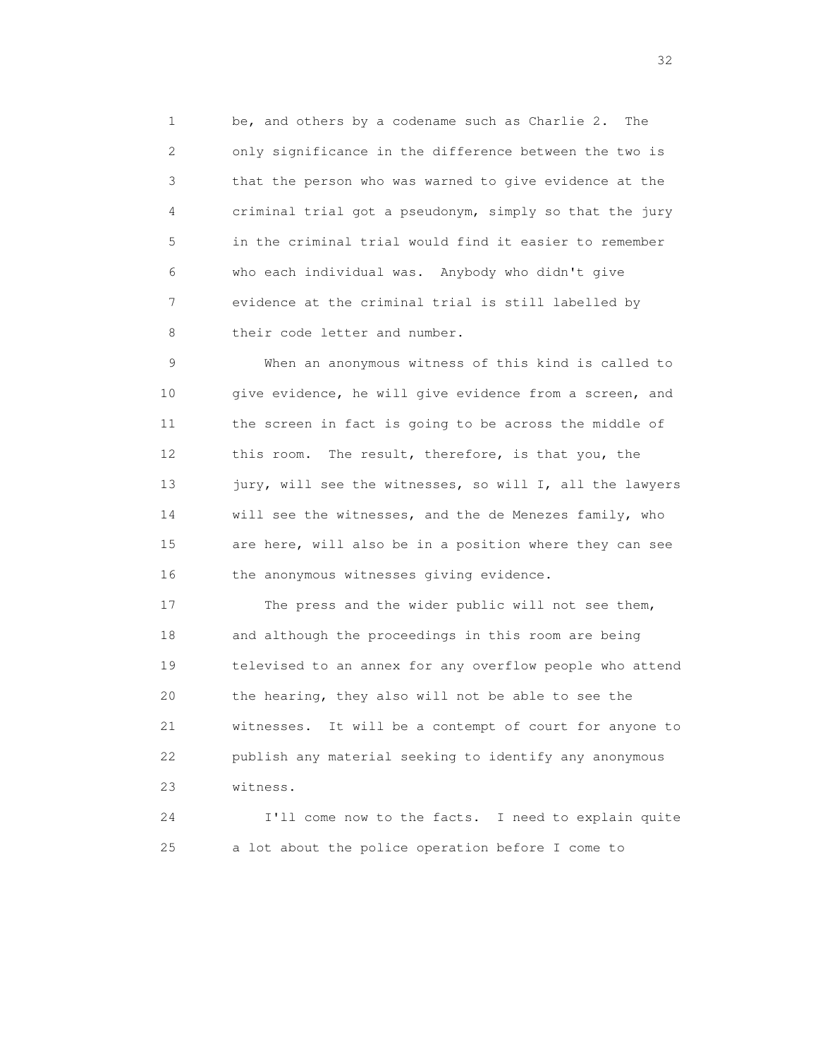1 be, and others by a codename such as Charlie 2. The 2 only significance in the difference between the two is 3 that the person who was warned to give evidence at the 4 criminal trial got a pseudonym, simply so that the jury 5 in the criminal trial would find it easier to remember 6 who each individual was. Anybody who didn't give 7 evidence at the criminal trial is still labelled by 8 their code letter and number.

 9 When an anonymous witness of this kind is called to 10 give evidence, he will give evidence from a screen, and 11 the screen in fact is going to be across the middle of 12 this room. The result, therefore, is that you, the 13 jury, will see the witnesses, so will I, all the lawyers 14 will see the witnesses, and the de Menezes family, who 15 are here, will also be in a position where they can see 16 the anonymous witnesses giving evidence.

17 The press and the wider public will not see them, 18 and although the proceedings in this room are being 19 televised to an annex for any overflow people who attend 20 the hearing, they also will not be able to see the 21 witnesses. It will be a contempt of court for anyone to 22 publish any material seeking to identify any anonymous 23 witness.

 24 I'll come now to the facts. I need to explain quite 25 a lot about the police operation before I come to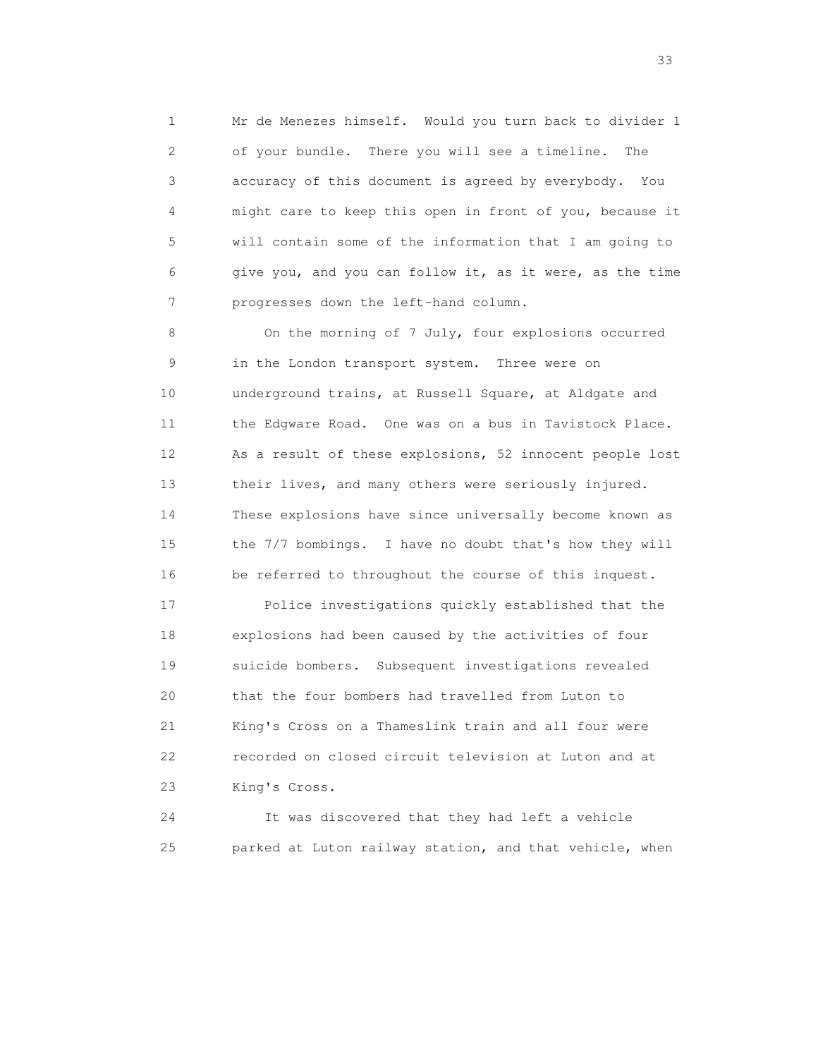1 Mr de Menezes himself. Would you turn back to divider 1 2 of your bundle. There you will see a timeline. The 3 accuracy of this document is agreed by everybody. You 4 might care to keep this open in front of you, because it 5 will contain some of the information that I am going to 6 give you, and you can follow it, as it were, as the time 7 progresses down the left-hand column.

8 On the morning of 7 July, four explosions occurred 9 in the London transport system. Three were on 10 underground trains, at Russell Square, at Aldgate and 11 the Edgware Road. One was on a bus in Tavistock Place. 12 As a result of these explosions, 52 innocent people lost 13 their lives, and many others were seriously injured. 14 These explosions have since universally become known as 15 the 7/7 bombings. I have no doubt that's how they will 16 be referred to throughout the course of this inquest.

 17 Police investigations quickly established that the 18 explosions had been caused by the activities of four 19 suicide bombers. Subsequent investigations revealed 20 that the four bombers had travelled from Luton to 21 King's Cross on a Thameslink train and all four were 22 recorded on closed circuit television at Luton and at 23 King's Cross.

 24 It was discovered that they had left a vehicle 25 parked at Luton railway station, and that vehicle, when

<u>33</u> and the state of the state of the state of the state of the state of the state of the state of the state of the state of the state of the state of the state of the state of the state of the state of the state of the s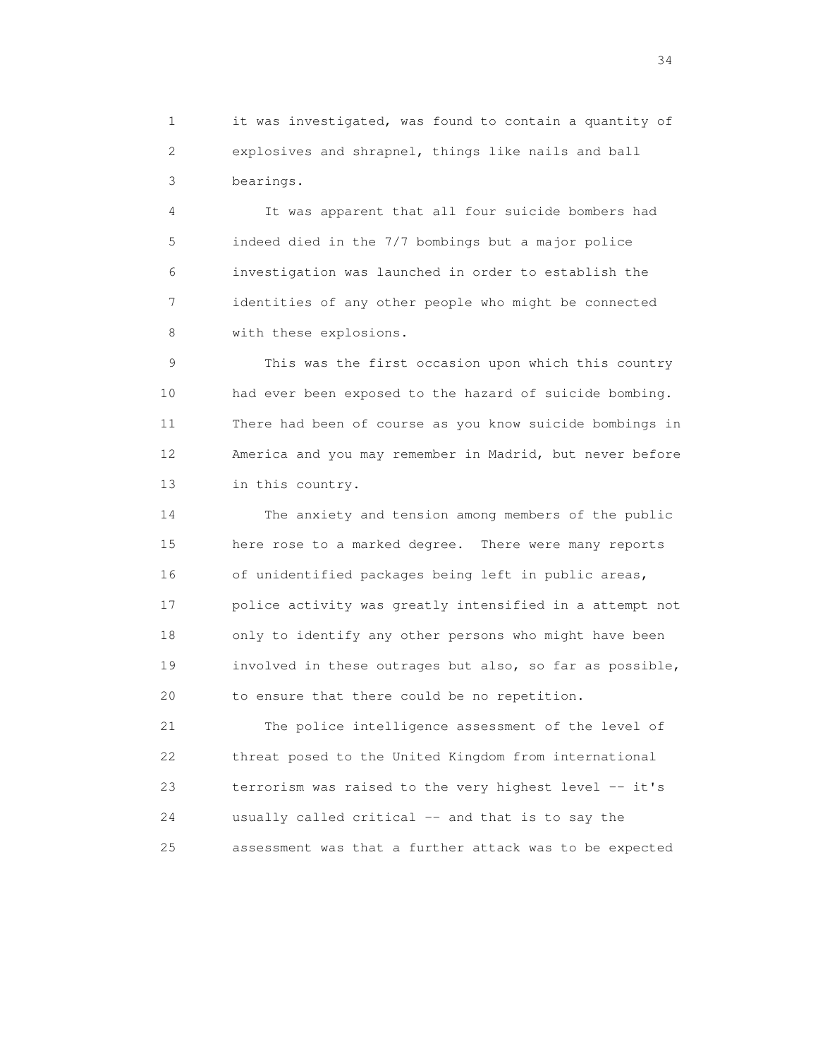1 it was investigated, was found to contain a quantity of 2 explosives and shrapnel, things like nails and ball 3 bearings.

 4 It was apparent that all four suicide bombers had 5 indeed died in the 7/7 bombings but a major police 6 investigation was launched in order to establish the 7 identities of any other people who might be connected 8 with these explosions.

 9 This was the first occasion upon which this country 10 had ever been exposed to the hazard of suicide bombing. 11 There had been of course as you know suicide bombings in 12 America and you may remember in Madrid, but never before 13 in this country.

 14 The anxiety and tension among members of the public 15 here rose to a marked degree. There were many reports 16 of unidentified packages being left in public areas, 17 police activity was greatly intensified in a attempt not 18 only to identify any other persons who might have been 19 involved in these outrages but also, so far as possible, 20 to ensure that there could be no repetition.

 21 The police intelligence assessment of the level of 22 threat posed to the United Kingdom from international 23 terrorism was raised to the very highest level -- it's 24 usually called critical -- and that is to say the 25 assessment was that a further attack was to be expected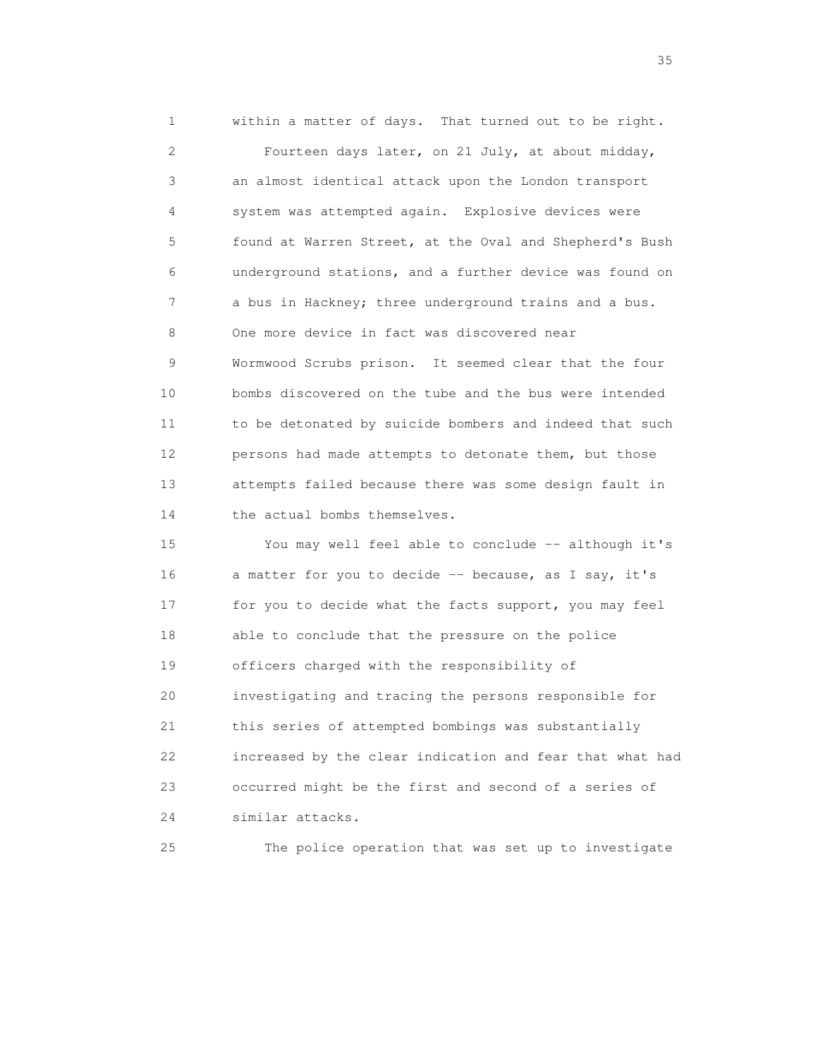1 within a matter of days. That turned out to be right. 2 Fourteen days later, on 21 July, at about midday, 3 an almost identical attack upon the London transport 4 system was attempted again. Explosive devices were 5 found at Warren Street, at the Oval and Shepherd's Bush 6 underground stations, and a further device was found on 7 a bus in Hackney; three underground trains and a bus. 8 One more device in fact was discovered near 9 Wormwood Scrubs prison. It seemed clear that the four 10 bombs discovered on the tube and the bus were intended 11 to be detonated by suicide bombers and indeed that such 12 persons had made attempts to detonate them, but those 13 attempts failed because there was some design fault in 14 the actual bombs themselves. 15 You may well feel able to conclude -- although it's 16 a matter for you to decide -- because, as I say, it's 17 for you to decide what the facts support, you may feel 18 able to conclude that the pressure on the police

 22 increased by the clear indication and fear that what had 23 occurred might be the first and second of a series of

20 investigating and tracing the persons responsible for

21 this series of attempted bombings was substantially

19 officers charged with the responsibility of

24 similar attacks.

25 The police operation that was set up to investigate

<u>35</u> and the state of the state of the state of the state of the state of the state of the state of the state of the state of the state of the state of the state of the state of the state of the state of the state of the s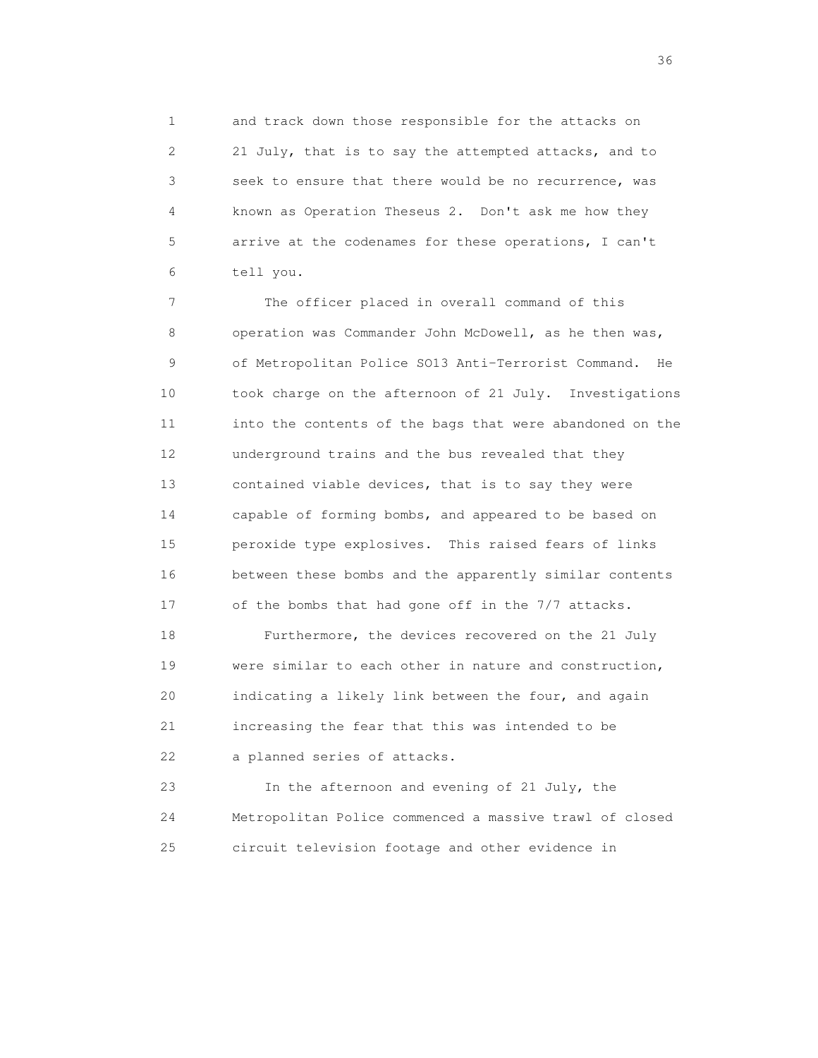1 and track down those responsible for the attacks on 2 21 July, that is to say the attempted attacks, and to 3 seek to ensure that there would be no recurrence, was 4 known as Operation Theseus 2. Don't ask me how they 5 arrive at the codenames for these operations, I can't 6 tell you.

 7 The officer placed in overall command of this 8 operation was Commander John McDowell, as he then was, 9 of Metropolitan Police SO13 Anti-Terrorist Command. He 10 took charge on the afternoon of 21 July. Investigations 11 into the contents of the bags that were abandoned on the 12 underground trains and the bus revealed that they 13 contained viable devices, that is to say they were 14 capable of forming bombs, and appeared to be based on 15 peroxide type explosives. This raised fears of links 16 between these bombs and the apparently similar contents 17 of the bombs that had gone off in the 7/7 attacks.

 18 Furthermore, the devices recovered on the 21 July 19 were similar to each other in nature and construction, 20 indicating a likely link between the four, and again 21 increasing the fear that this was intended to be 22 a planned series of attacks.

 23 In the afternoon and evening of 21 July, the 24 Metropolitan Police commenced a massive trawl of closed 25 circuit television footage and other evidence in

 $36<sup>2</sup>$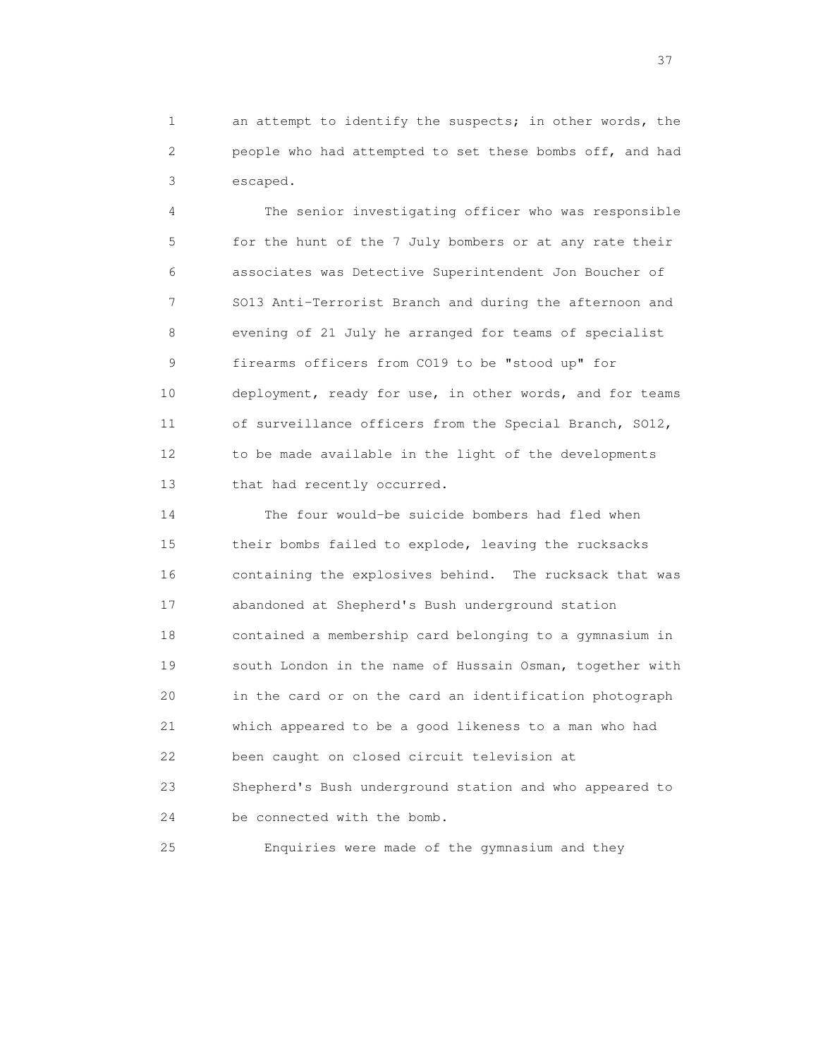1 an attempt to identify the suspects; in other words, the 2 people who had attempted to set these bombs off, and had 3 escaped.

 4 The senior investigating officer who was responsible 5 for the hunt of the 7 July bombers or at any rate their 6 associates was Detective Superintendent Jon Boucher of 7 SO13 Anti-Terrorist Branch and during the afternoon and 8 evening of 21 July he arranged for teams of specialist 9 firearms officers from CO19 to be "stood up" for 10 deployment, ready for use, in other words, and for teams 11 of surveillance officers from the Special Branch, SO12, 12 to be made available in the light of the developments 13 that had recently occurred.

 14 The four would-be suicide bombers had fled when 15 their bombs failed to explode, leaving the rucksacks 16 containing the explosives behind. The rucksack that was 17 abandoned at Shepherd's Bush underground station 18 contained a membership card belonging to a gymnasium in 19 south London in the name of Hussain Osman, together with 20 in the card or on the card an identification photograph 21 which appeared to be a good likeness to a man who had 22 been caught on closed circuit television at 23 Shepherd's Bush underground station and who appeared to 24 be connected with the bomb.

25 Enquiries were made of the gymnasium and they

<u>37</u>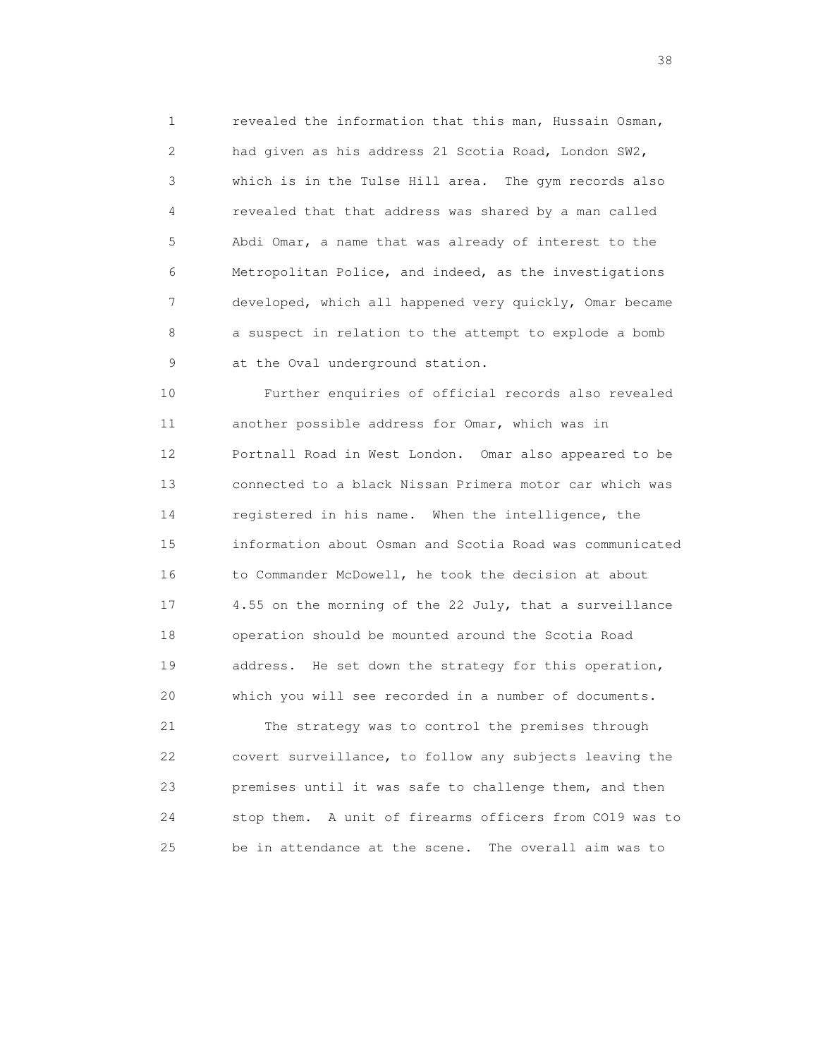1 revealed the information that this man, Hussain Osman, 2 had given as his address 21 Scotia Road, London SW2, 3 which is in the Tulse Hill area. The gym records also 4 revealed that that address was shared by a man called 5 Abdi Omar, a name that was already of interest to the 6 Metropolitan Police, and indeed, as the investigations 7 developed, which all happened very quickly, Omar became 8 a suspect in relation to the attempt to explode a bomb 9 at the Oval underground station.

 10 Further enquiries of official records also revealed 11 another possible address for Omar, which was in 12 Portnall Road in West London. Omar also appeared to be 13 connected to a black Nissan Primera motor car which was 14 registered in his name. When the intelligence, the 15 information about Osman and Scotia Road was communicated 16 to Commander McDowell, he took the decision at about 17 4.55 on the morning of the 22 July, that a surveillance 18 operation should be mounted around the Scotia Road 19 address. He set down the strategy for this operation, 20 which you will see recorded in a number of documents.

 21 The strategy was to control the premises through 22 covert surveillance, to follow any subjects leaving the 23 premises until it was safe to challenge them, and then 24 stop them. A unit of firearms officers from CO19 was to 25 be in attendance at the scene. The overall aim was to

and the state of the state of the state of the state of the state of the state of the state of the state of the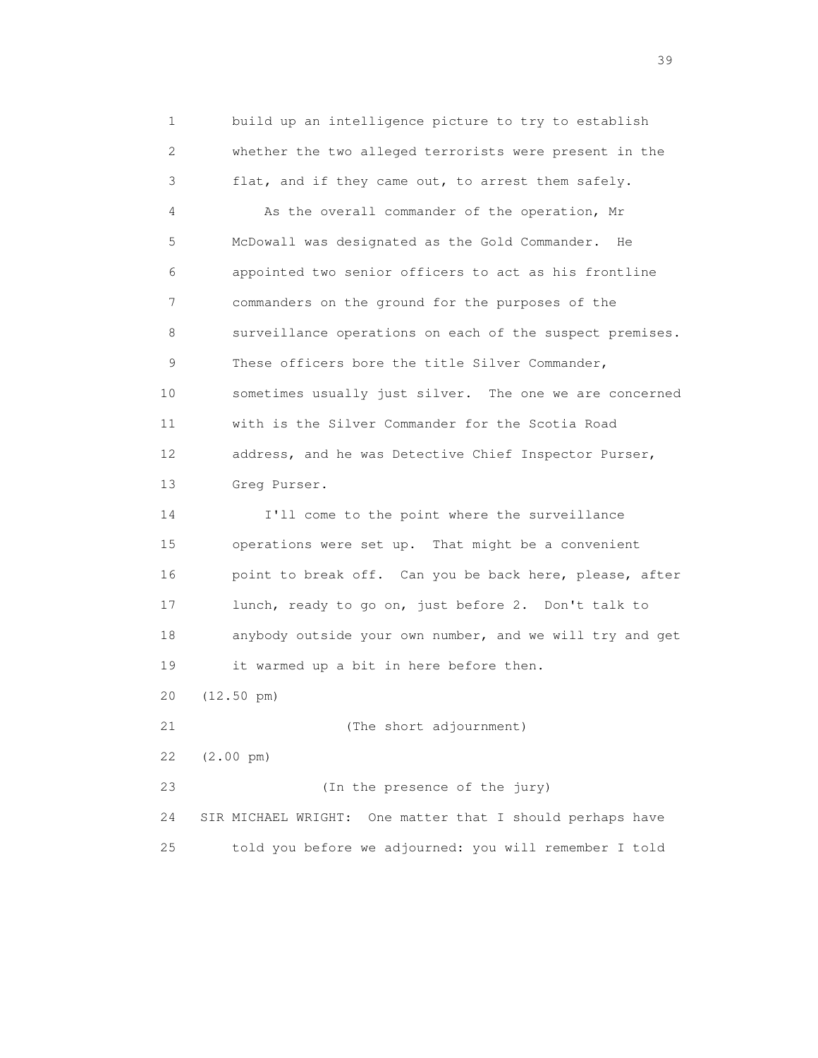1 build up an intelligence picture to try to establish 2 whether the two alleged terrorists were present in the 3 flat, and if they came out, to arrest them safely. 4 As the overall commander of the operation, Mr 5 McDowall was designated as the Gold Commander. He 6 appointed two senior officers to act as his frontline 7 commanders on the ground for the purposes of the 8 surveillance operations on each of the suspect premises. 9 These officers bore the title Silver Commander, 10 sometimes usually just silver. The one we are concerned 11 with is the Silver Commander for the Scotia Road 12 address, and he was Detective Chief Inspector Purser, 13 Greg Purser. 14 I'll come to the point where the surveillance 15 operations were set up. That might be a convenient 16 point to break off. Can you be back here, please, after 17 lunch, ready to go on, just before 2. Don't talk to 18 anybody outside your own number, and we will try and get 19 it warmed up a bit in here before then. 20 (12.50 pm) 21 (The short adjournment) 22 (2.00 pm) 23 (In the presence of the jury) 24 SIR MICHAEL WRIGHT: One matter that I should perhaps have 25 told you before we adjourned: you will remember I told

 $39<sup>2</sup>$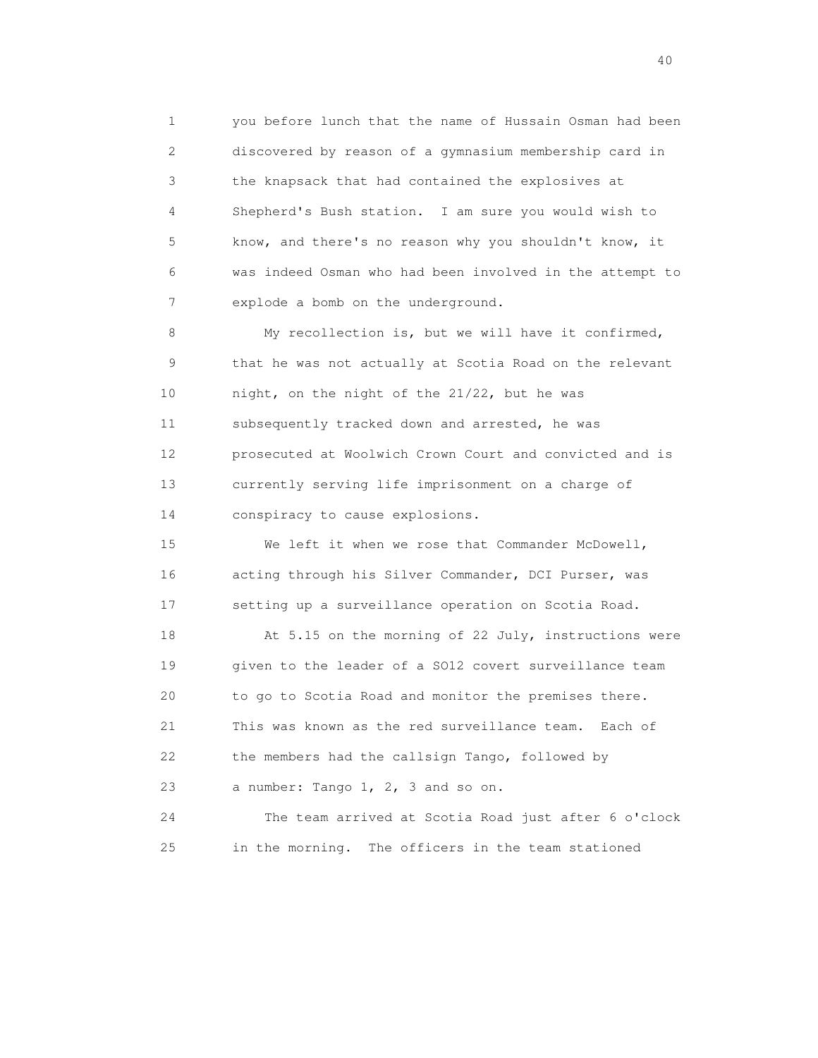1 you before lunch that the name of Hussain Osman had been 2 discovered by reason of a gymnasium membership card in 3 the knapsack that had contained the explosives at 4 Shepherd's Bush station. I am sure you would wish to 5 know, and there's no reason why you shouldn't know, it 6 was indeed Osman who had been involved in the attempt to 7 explode a bomb on the underground.

 8 My recollection is, but we will have it confirmed, 9 that he was not actually at Scotia Road on the relevant 10 night, on the night of the 21/22, but he was 11 subsequently tracked down and arrested, he was 12 prosecuted at Woolwich Crown Court and convicted and is 13 currently serving life imprisonment on a charge of 14 conspiracy to cause explosions.

 15 We left it when we rose that Commander McDowell, 16 acting through his Silver Commander, DCI Purser, was 17 setting up a surveillance operation on Scotia Road.

18 At 5.15 on the morning of 22 July, instructions were 19 given to the leader of a SO12 covert surveillance team 20 to go to Scotia Road and monitor the premises there. 21 This was known as the red surveillance team. Each of 22 the members had the callsign Tango, followed by 23 a number: Tango 1, 2, 3 and so on.

 24 The team arrived at Scotia Road just after 6 o'clock 25 in the morning. The officers in the team stationed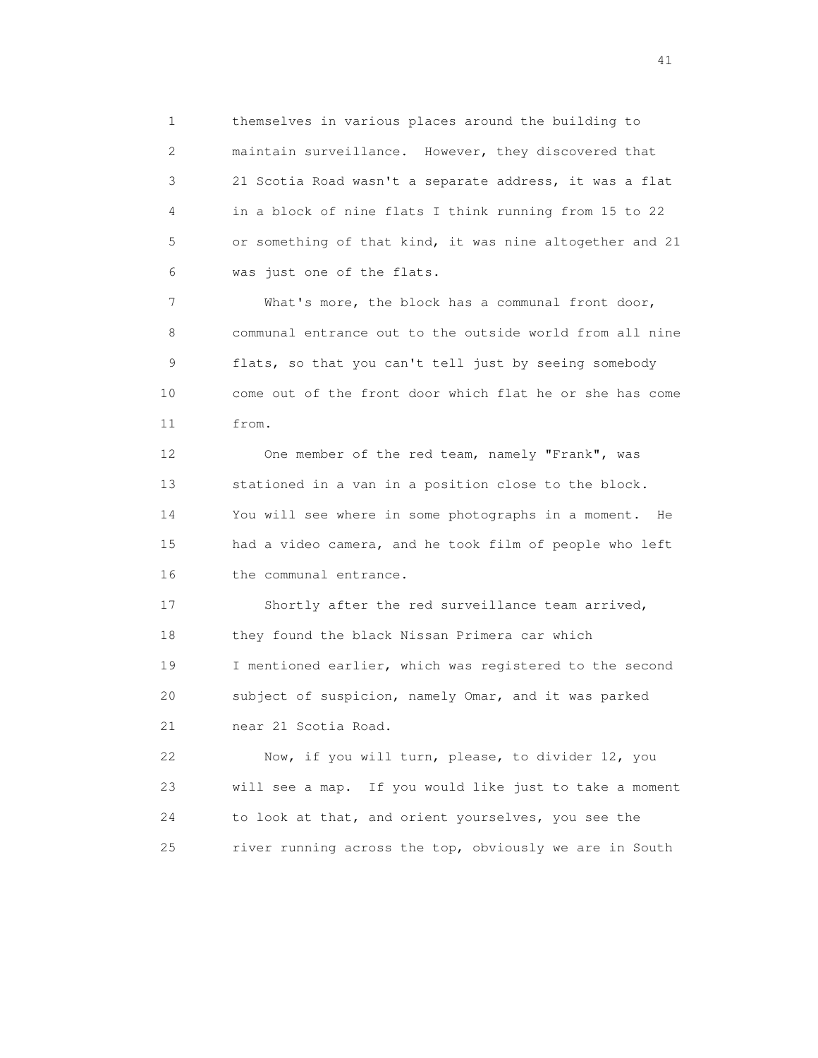1 themselves in various places around the building to 2 maintain surveillance. However, they discovered that 3 21 Scotia Road wasn't a separate address, it was a flat 4 in a block of nine flats I think running from 15 to 22 5 or something of that kind, it was nine altogether and 21 6 was just one of the flats.

 7 What's more, the block has a communal front door, 8 communal entrance out to the outside world from all nine 9 flats, so that you can't tell just by seeing somebody 10 come out of the front door which flat he or she has come 11 from.

 12 One member of the red team, namely "Frank", was 13 stationed in a van in a position close to the block. 14 You will see where in some photographs in a moment. He 15 had a video camera, and he took film of people who left 16 the communal entrance.

 17 Shortly after the red surveillance team arrived, 18 they found the black Nissan Primera car which 19 I mentioned earlier, which was registered to the second 20 subject of suspicion, namely Omar, and it was parked 21 near 21 Scotia Road.

 22 Now, if you will turn, please, to divider 12, you 23 will see a map. If you would like just to take a moment 24 to look at that, and orient yourselves, you see the 25 river running across the top, obviously we are in South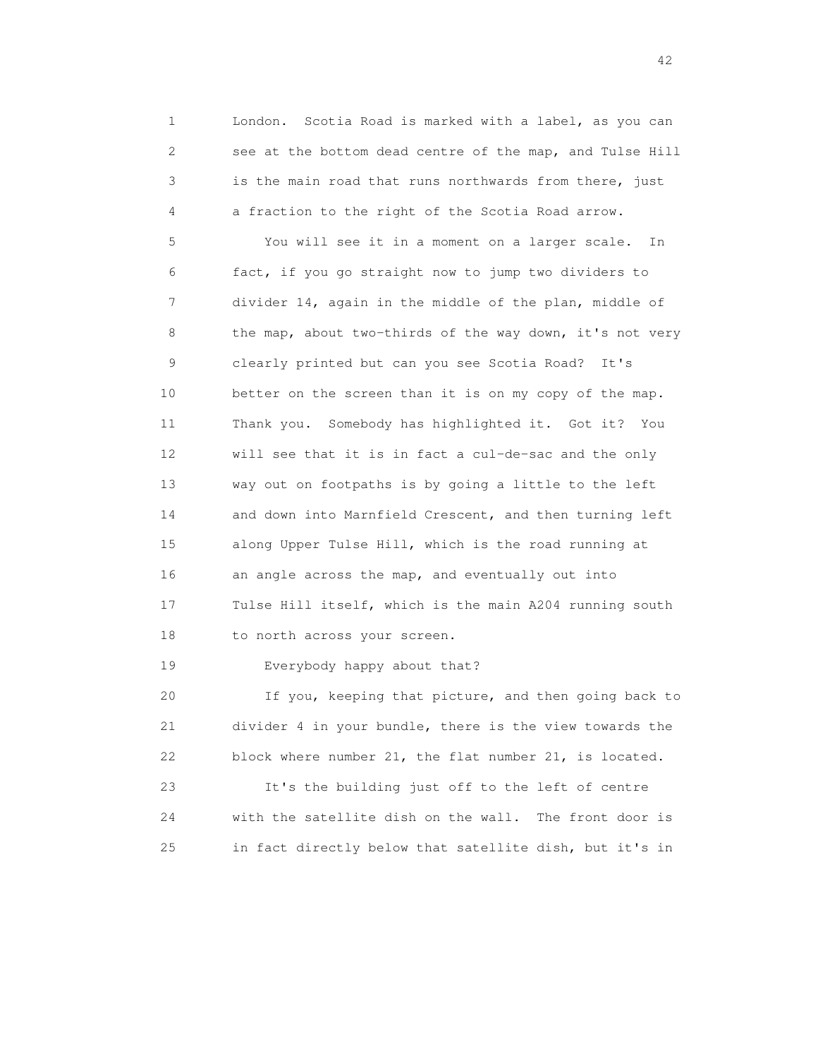1 London. Scotia Road is marked with a label, as you can 2 see at the bottom dead centre of the map, and Tulse Hill 3 is the main road that runs northwards from there, just 4 a fraction to the right of the Scotia Road arrow.

 5 You will see it in a moment on a larger scale. In 6 fact, if you go straight now to jump two dividers to 7 divider 14, again in the middle of the plan, middle of 8 the map, about two-thirds of the way down, it's not very 9 clearly printed but can you see Scotia Road? It's 10 better on the screen than it is on my copy of the map. 11 Thank you. Somebody has highlighted it. Got it? You 12 will see that it is in fact a cul-de-sac and the only 13 way out on footpaths is by going a little to the left 14 and down into Marnfield Crescent, and then turning left 15 along Upper Tulse Hill, which is the road running at 16 an angle across the map, and eventually out into 17 Tulse Hill itself, which is the main A204 running south 18 to north across your screen.

19 Everybody happy about that?

 20 If you, keeping that picture, and then going back to 21 divider 4 in your bundle, there is the view towards the 22 block where number 21, the flat number 21, is located.

 23 It's the building just off to the left of centre 24 with the satellite dish on the wall. The front door is 25 in fact directly below that satellite dish, but it's in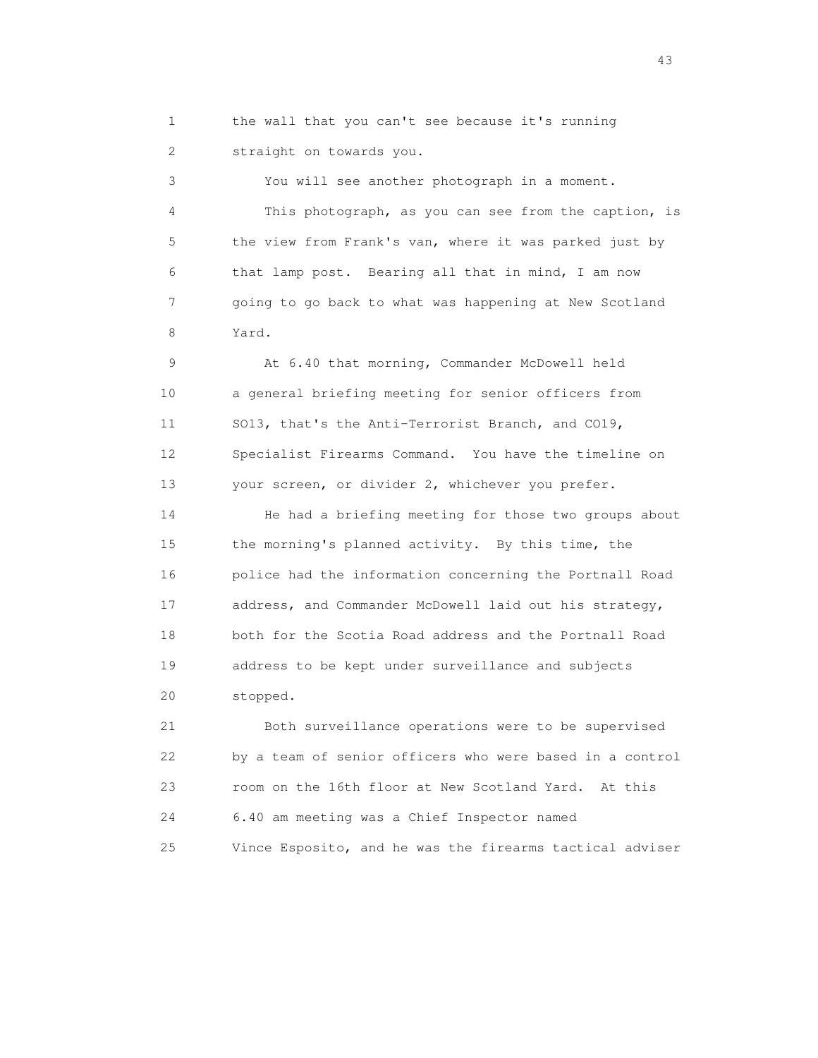1 the wall that you can't see because it's running 2 straight on towards you.

 3 You will see another photograph in a moment. 4 This photograph, as you can see from the caption, is 5 the view from Frank's van, where it was parked just by 6 that lamp post. Bearing all that in mind, I am now 7 going to go back to what was happening at New Scotland 8 Yard.

 9 At 6.40 that morning, Commander McDowell held 10 a general briefing meeting for senior officers from 11 SO13, that's the Anti-Terrorist Branch, and CO19, 12 Specialist Firearms Command. You have the timeline on 13 your screen, or divider 2, whichever you prefer.

 14 He had a briefing meeting for those two groups about 15 the morning's planned activity. By this time, the 16 police had the information concerning the Portnall Road 17 address, and Commander McDowell laid out his strategy, 18 both for the Scotia Road address and the Portnall Road 19 address to be kept under surveillance and subjects 20 stopped.

 21 Both surveillance operations were to be supervised 22 by a team of senior officers who were based in a control 23 room on the 16th floor at New Scotland Yard. At this 24 6.40 am meeting was a Chief Inspector named 25 Vince Esposito, and he was the firearms tactical adviser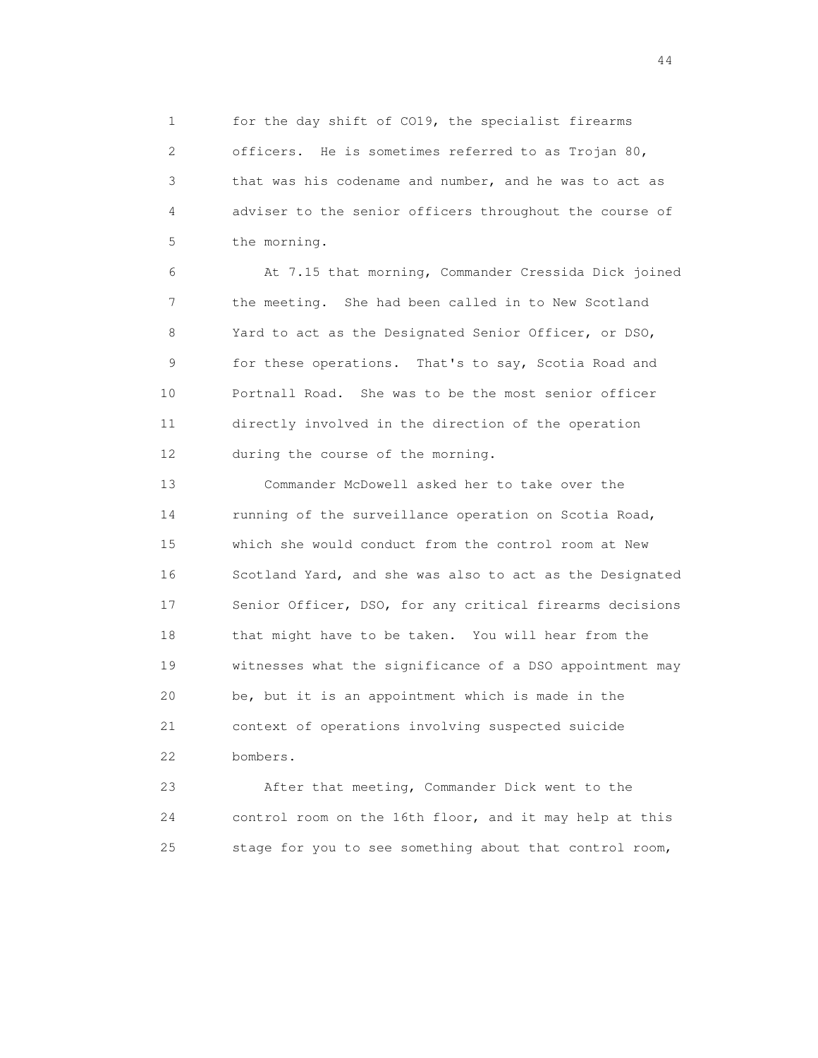1 for the day shift of CO19, the specialist firearms 2 officers. He is sometimes referred to as Trojan 80, 3 that was his codename and number, and he was to act as 4 adviser to the senior officers throughout the course of 5 the morning.

 6 At 7.15 that morning, Commander Cressida Dick joined 7 the meeting. She had been called in to New Scotland 8 Yard to act as the Designated Senior Officer, or DSO, 9 for these operations. That's to say, Scotia Road and 10 Portnall Road. She was to be the most senior officer 11 directly involved in the direction of the operation 12 during the course of the morning.

 13 Commander McDowell asked her to take over the 14 running of the surveillance operation on Scotia Road, 15 which she would conduct from the control room at New 16 Scotland Yard, and she was also to act as the Designated 17 Senior Officer, DSO, for any critical firearms decisions 18 that might have to be taken. You will hear from the 19 witnesses what the significance of a DSO appointment may 20 be, but it is an appointment which is made in the 21 context of operations involving suspected suicide 22 bombers.

 23 After that meeting, Commander Dick went to the 24 control room on the 16th floor, and it may help at this 25 stage for you to see something about that control room,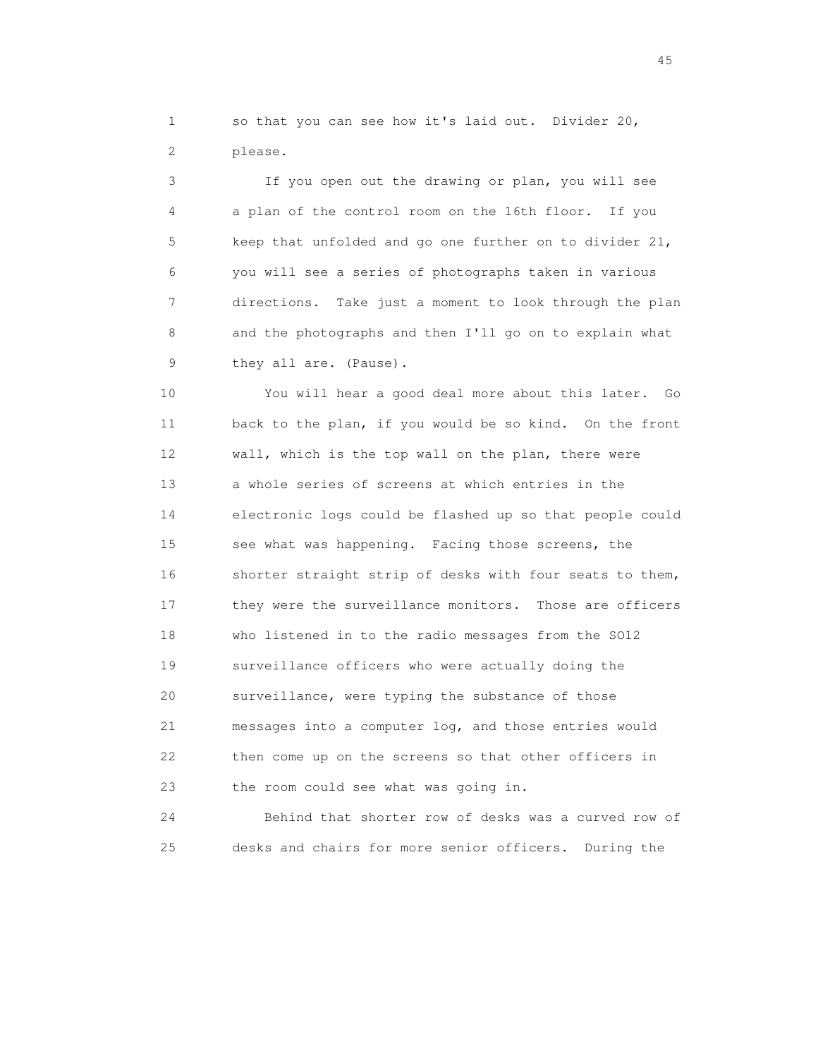1 so that you can see how it's laid out. Divider 20, 2 please.

 3 If you open out the drawing or plan, you will see 4 a plan of the control room on the 16th floor. If you 5 keep that unfolded and go one further on to divider 21, 6 you will see a series of photographs taken in various 7 directions. Take just a moment to look through the plan 8 and the photographs and then I'll go on to explain what 9 they all are. (Pause).

 10 You will hear a good deal more about this later. Go 11 back to the plan, if you would be so kind. On the front 12 wall, which is the top wall on the plan, there were 13 a whole series of screens at which entries in the 14 electronic logs could be flashed up so that people could 15 see what was happening. Facing those screens, the 16 shorter straight strip of desks with four seats to them, 17 they were the surveillance monitors. Those are officers 18 who listened in to the radio messages from the SO12 19 surveillance officers who were actually doing the 20 surveillance, were typing the substance of those 21 messages into a computer log, and those entries would 22 then come up on the screens so that other officers in 23 the room could see what was going in.

 24 Behind that shorter row of desks was a curved row of 25 desks and chairs for more senior officers. During the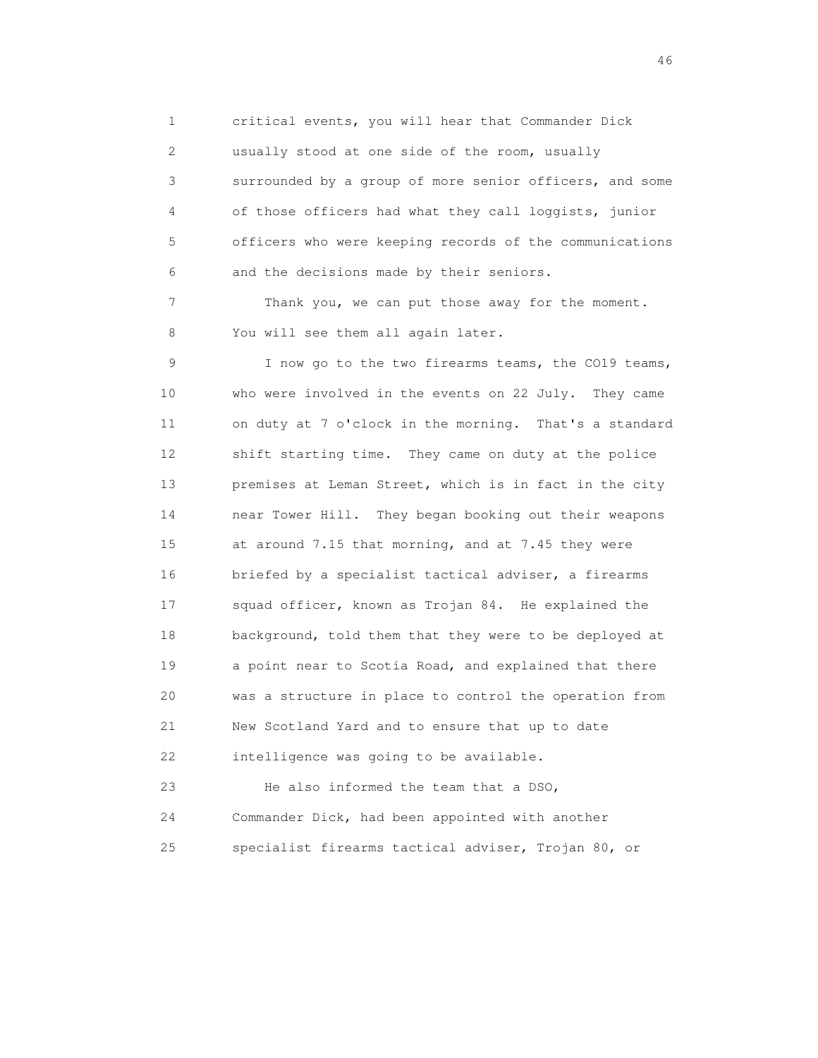1 critical events, you will hear that Commander Dick 2 usually stood at one side of the room, usually 3 surrounded by a group of more senior officers, and some 4 of those officers had what they call loggists, junior 5 officers who were keeping records of the communications 6 and the decisions made by their seniors.

 7 Thank you, we can put those away for the moment. 8 You will see them all again later.

 9 I now go to the two firearms teams, the CO19 teams, 10 who were involved in the events on 22 July. They came 11 on duty at 7 o'clock in the morning. That's a standard 12 shift starting time. They came on duty at the police 13 premises at Leman Street, which is in fact in the city 14 near Tower Hill. They began booking out their weapons 15 at around 7.15 that morning, and at 7.45 they were 16 briefed by a specialist tactical adviser, a firearms 17 squad officer, known as Trojan 84. He explained the 18 background, told them that they were to be deployed at 19 a point near to Scotia Road, and explained that there 20 was a structure in place to control the operation from 21 New Scotland Yard and to ensure that up to date 22 intelligence was going to be available.

 23 He also informed the team that a DSO, 24 Commander Dick, had been appointed with another 25 specialist firearms tactical adviser, Trojan 80, or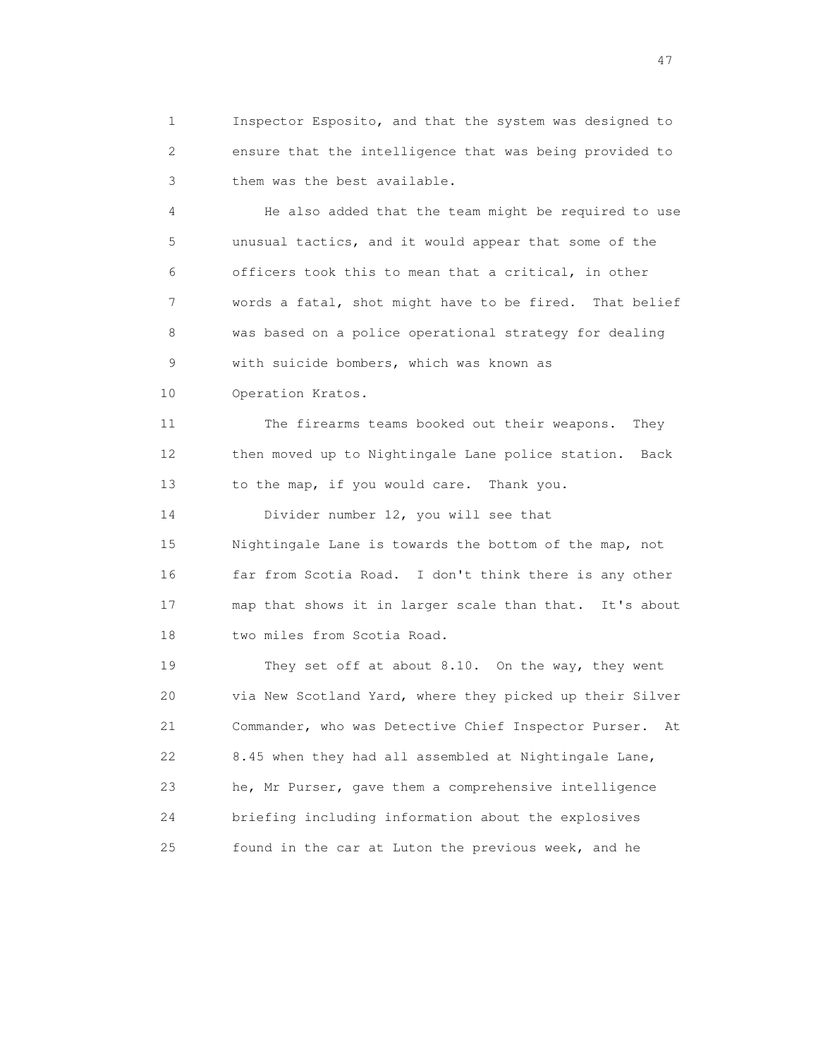1 Inspector Esposito, and that the system was designed to 2 ensure that the intelligence that was being provided to 3 them was the best available.

 4 He also added that the team might be required to use 5 unusual tactics, and it would appear that some of the 6 officers took this to mean that a critical, in other 7 words a fatal, shot might have to be fired. That belief 8 was based on a police operational strategy for dealing 9 with suicide bombers, which was known as 10 Operation Kratos.

 11 The firearms teams booked out their weapons. They 12 then moved up to Nightingale Lane police station. Back 13 to the map, if you would care. Thank you.

 14 Divider number 12, you will see that 15 Nightingale Lane is towards the bottom of the map, not 16 far from Scotia Road. I don't think there is any other 17 map that shows it in larger scale than that. It's about 18 two miles from Scotia Road.

 19 They set off at about 8.10. On the way, they went 20 via New Scotland Yard, where they picked up their Silver 21 Commander, who was Detective Chief Inspector Purser. At 22 8.45 when they had all assembled at Nightingale Lane, 23 he, Mr Purser, gave them a comprehensive intelligence 24 briefing including information about the explosives 25 found in the car at Luton the previous week, and he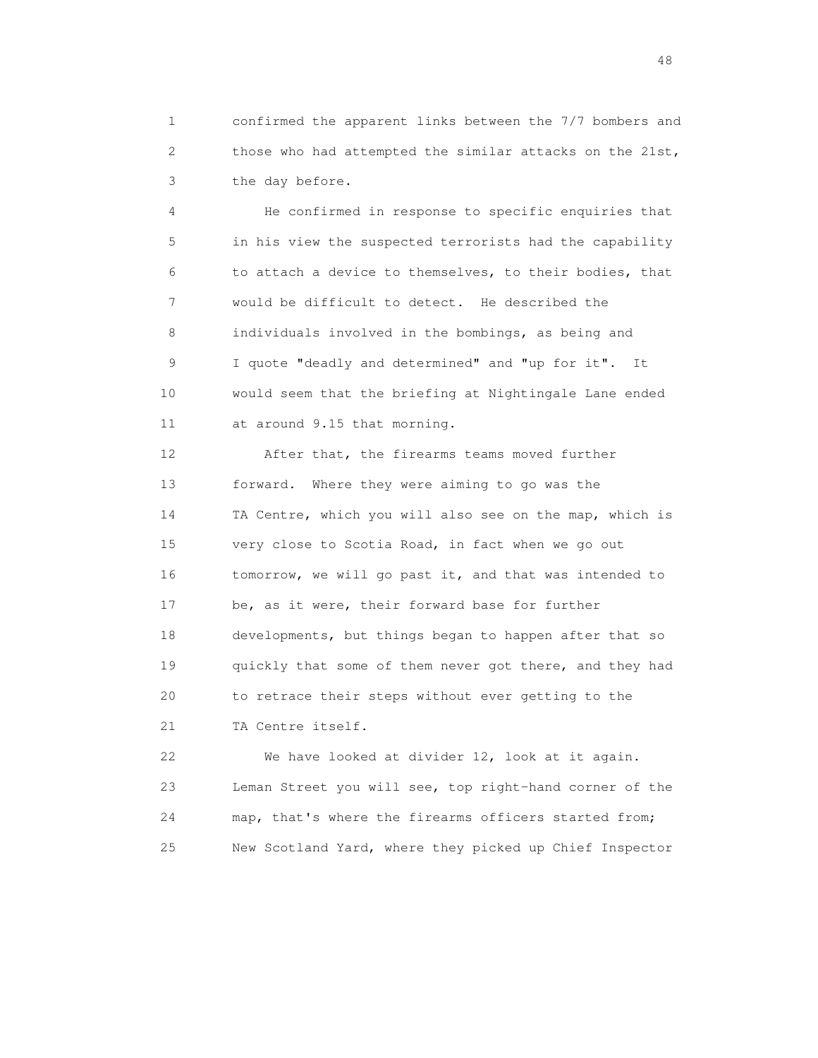1 confirmed the apparent links between the 7/7 bombers and 2 those who had attempted the similar attacks on the 21st, 3 the day before.

 4 He confirmed in response to specific enquiries that 5 in his view the suspected terrorists had the capability 6 to attach a device to themselves, to their bodies, that 7 would be difficult to detect. He described the 8 individuals involved in the bombings, as being and 9 I quote "deadly and determined" and "up for it". It 10 would seem that the briefing at Nightingale Lane ended 11 at around 9.15 that morning.

 12 After that, the firearms teams moved further 13 forward. Where they were aiming to go was the 14 TA Centre, which you will also see on the map, which is 15 very close to Scotia Road, in fact when we go out 16 tomorrow, we will go past it, and that was intended to 17 be, as it were, their forward base for further 18 developments, but things began to happen after that so 19 quickly that some of them never got there, and they had 20 to retrace their steps without ever getting to the 21 TA Centre itself.

 22 We have looked at divider 12, look at it again. 23 Leman Street you will see, top right-hand corner of the 24 map, that's where the firearms officers started from; 25 New Scotland Yard, where they picked up Chief Inspector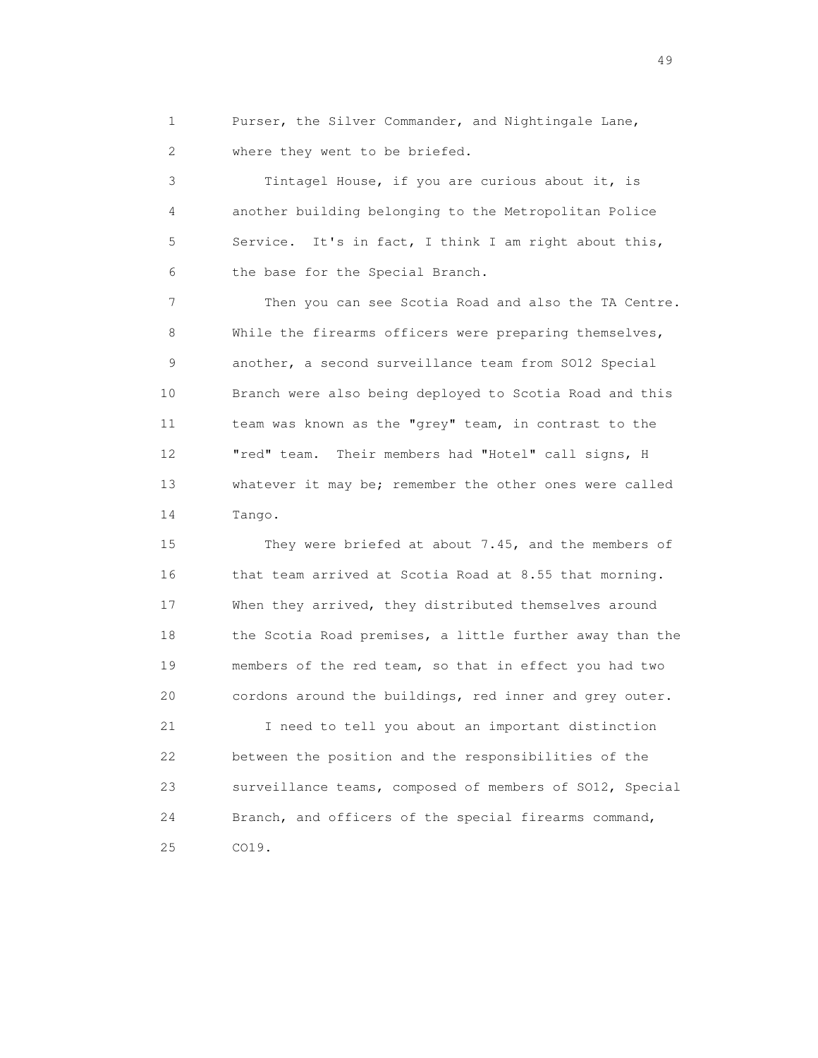1 Purser, the Silver Commander, and Nightingale Lane, 2 where they went to be briefed.

 3 Tintagel House, if you are curious about it, is 4 another building belonging to the Metropolitan Police 5 Service. It's in fact, I think I am right about this, 6 the base for the Special Branch.

 7 Then you can see Scotia Road and also the TA Centre. 8 While the firearms officers were preparing themselves, 9 another, a second surveillance team from SO12 Special 10 Branch were also being deployed to Scotia Road and this 11 team was known as the "grey" team, in contrast to the 12 "red" team. Their members had "Hotel" call signs, H 13 whatever it may be; remember the other ones were called 14 Tango.

 15 They were briefed at about 7.45, and the members of 16 that team arrived at Scotia Road at 8.55 that morning. 17 When they arrived, they distributed themselves around 18 the Scotia Road premises, a little further away than the 19 members of the red team, so that in effect you had two 20 cordons around the buildings, red inner and grey outer.

 21 I need to tell you about an important distinction 22 between the position and the responsibilities of the 23 surveillance teams, composed of members of SO12, Special 24 Branch, and officers of the special firearms command, 25 CO19.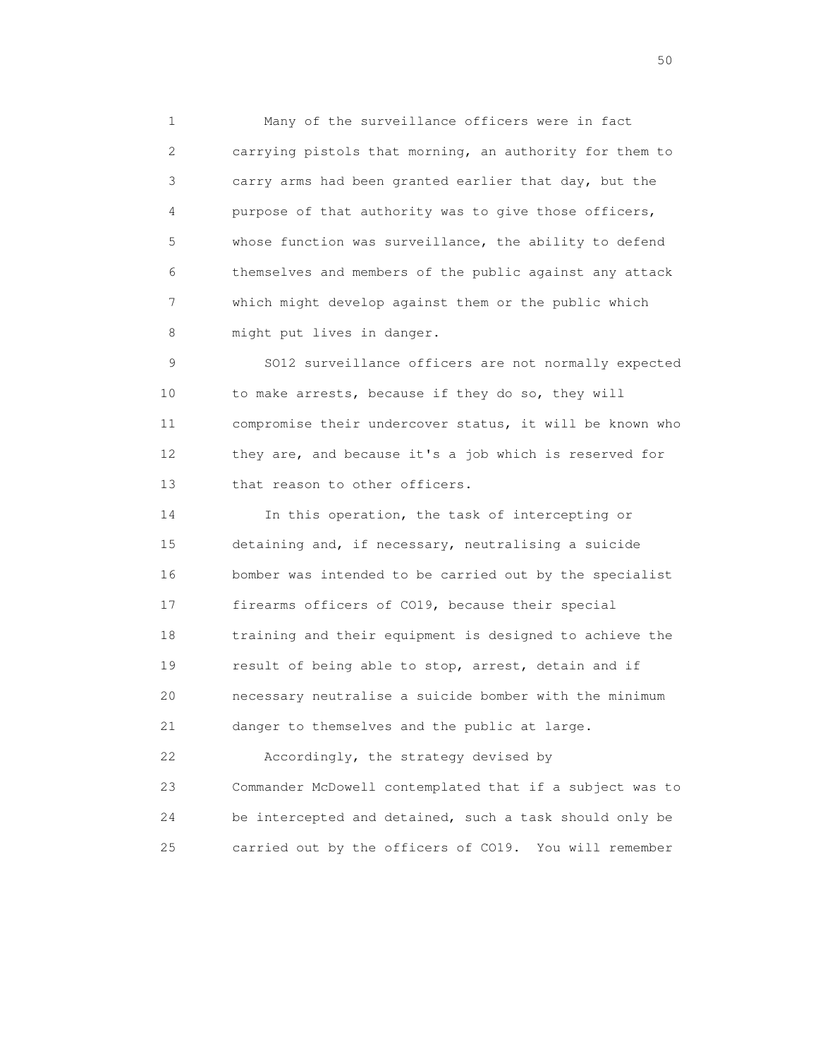1 Many of the surveillance officers were in fact 2 carrying pistols that morning, an authority for them to 3 carry arms had been granted earlier that day, but the 4 purpose of that authority was to give those officers, 5 whose function was surveillance, the ability to defend 6 themselves and members of the public against any attack 7 which might develop against them or the public which 8 might put lives in danger.

 9 SO12 surveillance officers are not normally expected 10 to make arrests, because if they do so, they will 11 compromise their undercover status, it will be known who 12 they are, and because it's a job which is reserved for 13 that reason to other officers.

 14 In this operation, the task of intercepting or 15 detaining and, if necessary, neutralising a suicide 16 bomber was intended to be carried out by the specialist 17 firearms officers of CO19, because their special 18 training and their equipment is designed to achieve the 19 result of being able to stop, arrest, detain and if 20 necessary neutralise a suicide bomber with the minimum 21 danger to themselves and the public at large.

 22 Accordingly, the strategy devised by 23 Commander McDowell contemplated that if a subject was to 24 be intercepted and detained, such a task should only be 25 carried out by the officers of CO19. You will remember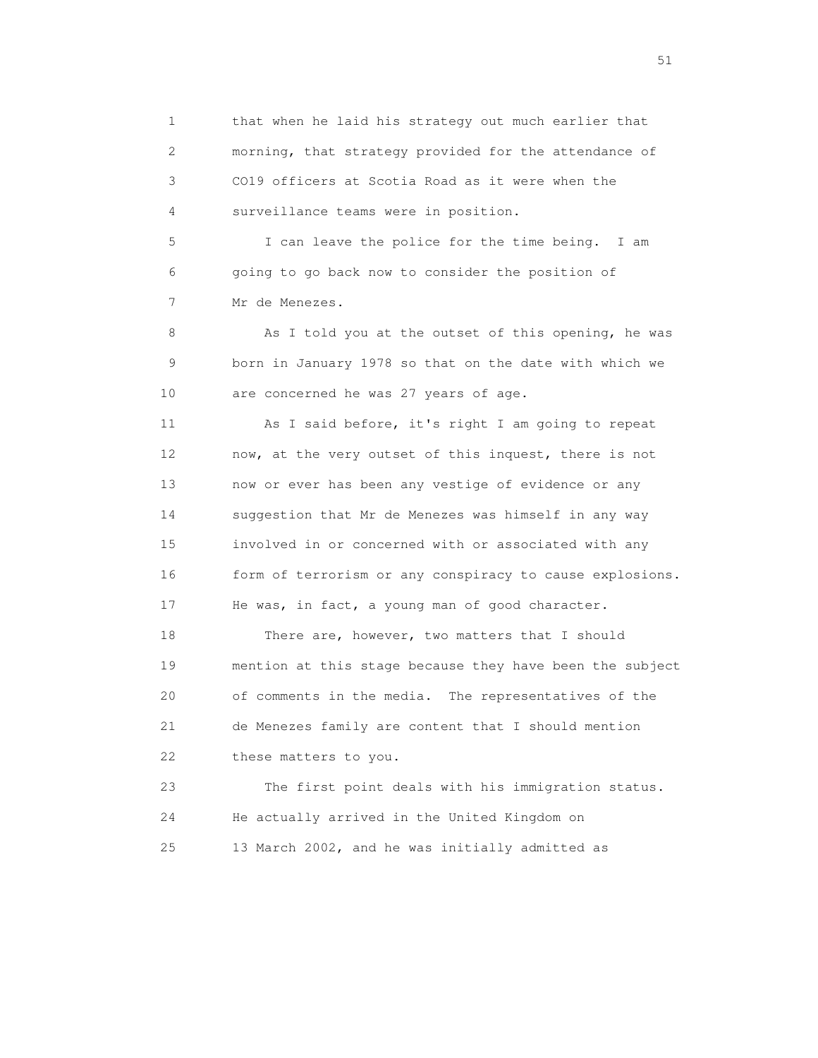1 that when he laid his strategy out much earlier that 2 morning, that strategy provided for the attendance of 3 CO19 officers at Scotia Road as it were when the 4 surveillance teams were in position. 5 I can leave the police for the time being. I am 6 going to go back now to consider the position of 7 Mr de Menezes. 8 As I told you at the outset of this opening, he was 9 born in January 1978 so that on the date with which we 10 are concerned he was 27 years of age. 11 As I said before, it's right I am going to repeat 12 now, at the very outset of this inquest, there is not 13 now or ever has been any vestige of evidence or any 14 suggestion that Mr de Menezes was himself in any way 15 involved in or concerned with or associated with any 16 form of terrorism or any conspiracy to cause explosions. 17 He was, in fact, a young man of good character. 18 There are, however, two matters that I should 19 mention at this stage because they have been the subject 20 of comments in the media. The representatives of the 21 de Menezes family are content that I should mention 22 these matters to you. 23 The first point deals with his immigration status. 24 He actually arrived in the United Kingdom on

25 13 March 2002, and he was initially admitted as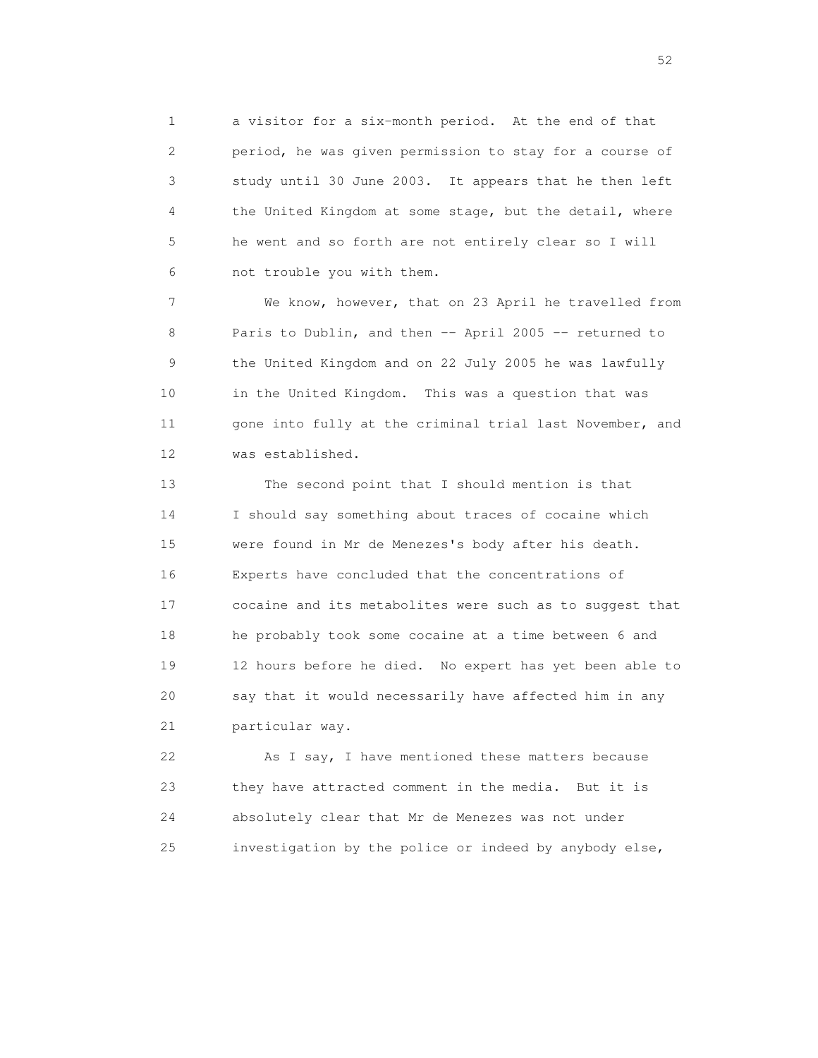1 a visitor for a six-month period. At the end of that 2 period, he was given permission to stay for a course of 3 study until 30 June 2003. It appears that he then left 4 the United Kingdom at some stage, but the detail, where 5 he went and so forth are not entirely clear so I will 6 not trouble you with them.

 7 We know, however, that on 23 April he travelled from 8 Paris to Dublin, and then -- April 2005 -- returned to 9 the United Kingdom and on 22 July 2005 he was lawfully 10 in the United Kingdom. This was a question that was 11 gone into fully at the criminal trial last November, and 12 was established.

 13 The second point that I should mention is that 14 I should say something about traces of cocaine which 15 were found in Mr de Menezes's body after his death. 16 Experts have concluded that the concentrations of 17 cocaine and its metabolites were such as to suggest that 18 he probably took some cocaine at a time between 6 and 19 12 hours before he died. No expert has yet been able to 20 say that it would necessarily have affected him in any 21 particular way.

 22 As I say, I have mentioned these matters because 23 they have attracted comment in the media. But it is 24 absolutely clear that Mr de Menezes was not under 25 investigation by the police or indeed by anybody else,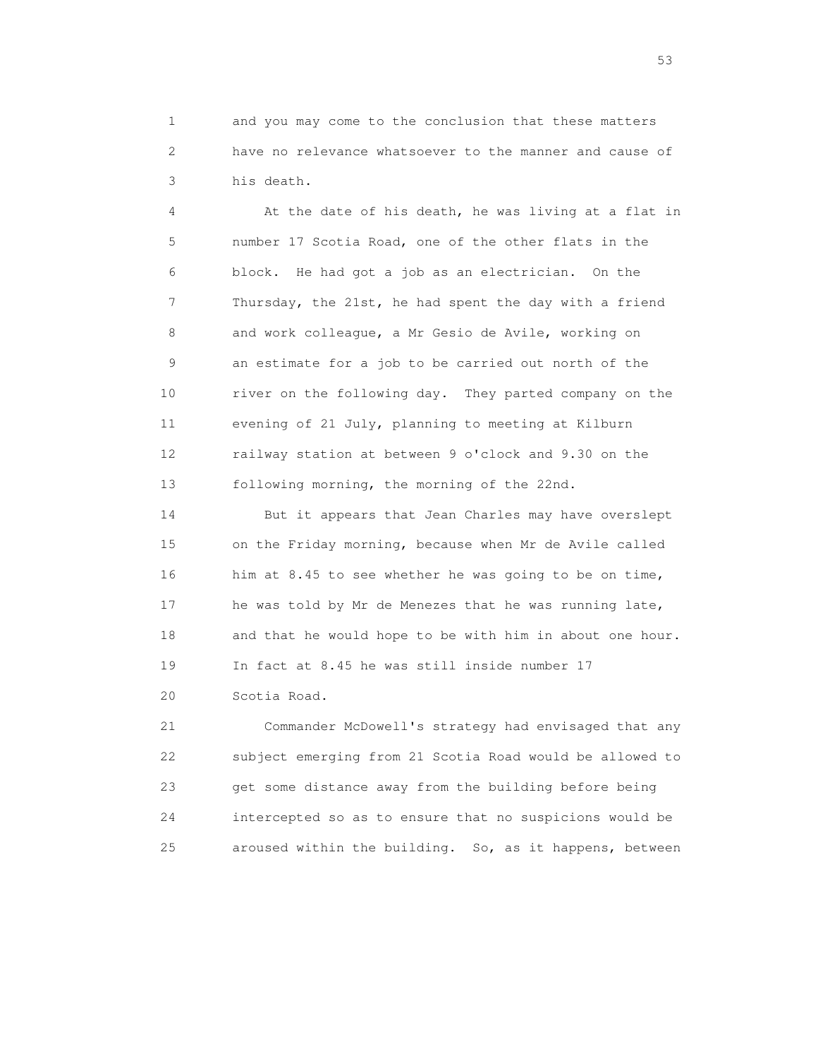1 and you may come to the conclusion that these matters 2 have no relevance whatsoever to the manner and cause of 3 his death.

 4 At the date of his death, he was living at a flat in 5 number 17 Scotia Road, one of the other flats in the 6 block. He had got a job as an electrician. On the 7 Thursday, the 21st, he had spent the day with a friend 8 and work colleague, a Mr Gesio de Avile, working on 9 an estimate for a job to be carried out north of the 10 river on the following day. They parted company on the 11 evening of 21 July, planning to meeting at Kilburn 12 railway station at between 9 o'clock and 9.30 on the 13 following morning, the morning of the 22nd.

 14 But it appears that Jean Charles may have overslept 15 on the Friday morning, because when Mr de Avile called 16 him at 8.45 to see whether he was going to be on time, 17 he was told by Mr de Menezes that he was running late, 18 and that he would hope to be with him in about one hour. 19 In fact at 8.45 he was still inside number 17 20 Scotia Road.

 21 Commander McDowell's strategy had envisaged that any 22 subject emerging from 21 Scotia Road would be allowed to 23 get some distance away from the building before being 24 intercepted so as to ensure that no suspicions would be 25 aroused within the building. So, as it happens, between

 $\sim$  53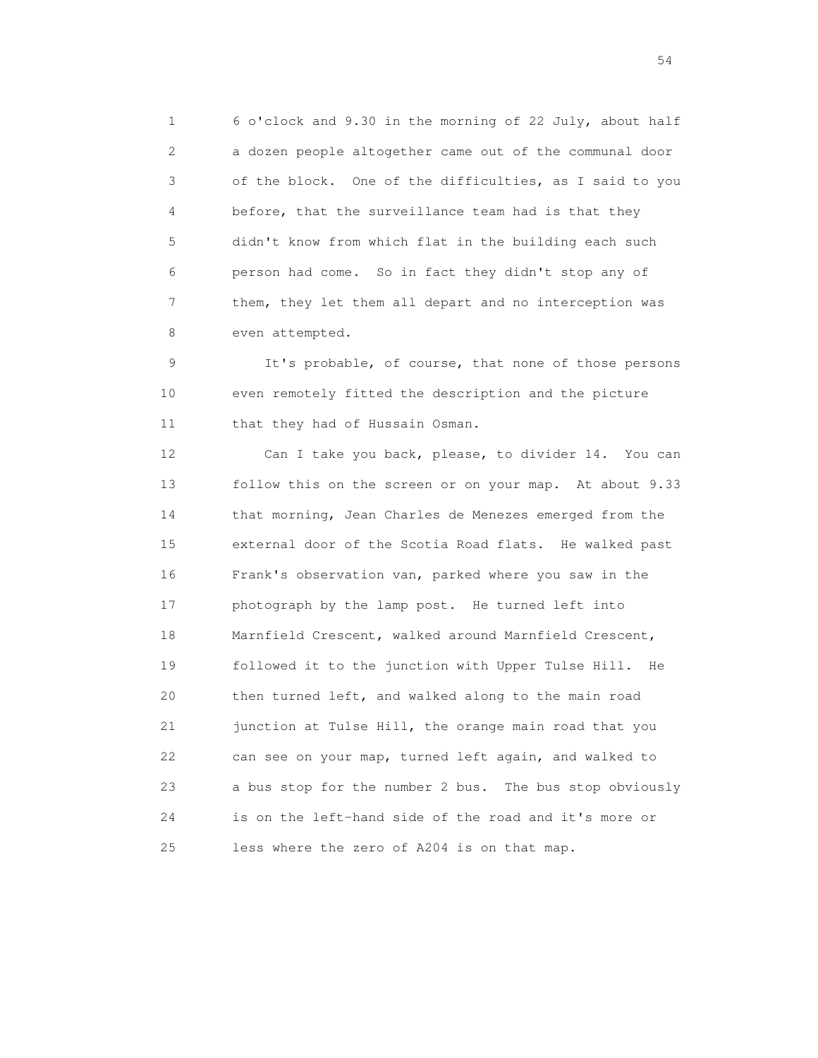1 6 o'clock and 9.30 in the morning of 22 July, about half 2 a dozen people altogether came out of the communal door 3 of the block. One of the difficulties, as I said to you 4 before, that the surveillance team had is that they 5 didn't know from which flat in the building each such 6 person had come. So in fact they didn't stop any of 7 them, they let them all depart and no interception was 8 even attempted.

 9 It's probable, of course, that none of those persons 10 even remotely fitted the description and the picture 11 that they had of Hussain Osman.

12 Can I take you back, please, to divider 14. You can 13 follow this on the screen or on your map. At about 9.33 14 that morning, Jean Charles de Menezes emerged from the 15 external door of the Scotia Road flats. He walked past 16 Frank's observation van, parked where you saw in the 17 photograph by the lamp post. He turned left into 18 Marnfield Crescent, walked around Marnfield Crescent, 19 followed it to the junction with Upper Tulse Hill. He 20 then turned left, and walked along to the main road 21 junction at Tulse Hill, the orange main road that you 22 can see on your map, turned left again, and walked to 23 a bus stop for the number 2 bus. The bus stop obviously 24 is on the left-hand side of the road and it's more or 25 less where the zero of A204 is on that map.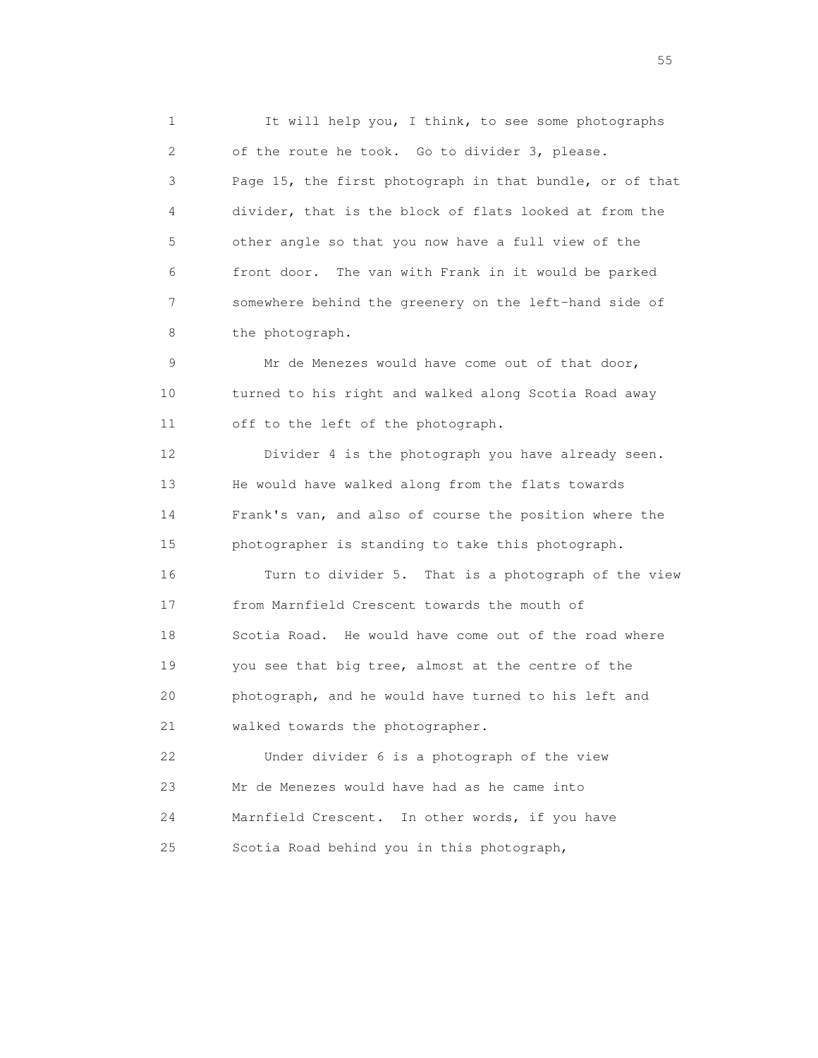1 It will help you, I think, to see some photographs 2 of the route he took. Go to divider 3, please. 3 Page 15, the first photograph in that bundle, or of that 4 divider, that is the block of flats looked at from the 5 other angle so that you now have a full view of the 6 front door. The van with Frank in it would be parked 7 somewhere behind the greenery on the left-hand side of 8 the photograph.

 9 Mr de Menezes would have come out of that door, 10 turned to his right and walked along Scotia Road away 11 off to the left of the photograph.

 12 Divider 4 is the photograph you have already seen. 13 He would have walked along from the flats towards 14 Frank's van, and also of course the position where the 15 photographer is standing to take this photograph.

 16 Turn to divider 5. That is a photograph of the view 17 from Marnfield Crescent towards the mouth of 18 Scotia Road. He would have come out of the road where 19 you see that big tree, almost at the centre of the 20 photograph, and he would have turned to his left and 21 walked towards the photographer.

 22 Under divider 6 is a photograph of the view 23 Mr de Menezes would have had as he came into 24 Marnfield Crescent. In other words, if you have 25 Scotia Road behind you in this photograph,

the state of the state of the state of the state of the state of the state of the state of the state of the state of the state of the state of the state of the state of the state of the state of the state of the state of t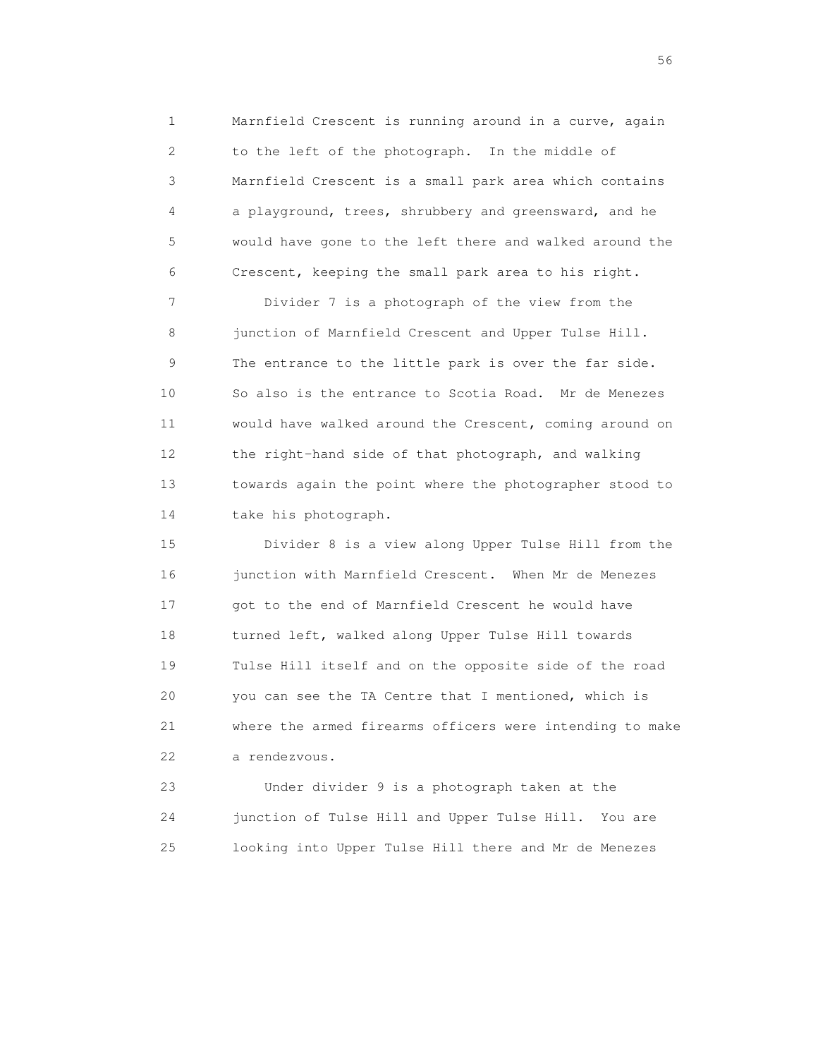1 Marnfield Crescent is running around in a curve, again 2 to the left of the photograph. In the middle of 3 Marnfield Crescent is a small park area which contains 4 a playground, trees, shrubbery and greensward, and he 5 would have gone to the left there and walked around the 6 Crescent, keeping the small park area to his right.

 7 Divider 7 is a photograph of the view from the 8 junction of Marnfield Crescent and Upper Tulse Hill. 9 The entrance to the little park is over the far side. 10 So also is the entrance to Scotia Road. Mr de Menezes 11 would have walked around the Crescent, coming around on 12 the right-hand side of that photograph, and walking 13 towards again the point where the photographer stood to 14 take his photograph.

 15 Divider 8 is a view along Upper Tulse Hill from the 16 junction with Marnfield Crescent. When Mr de Menezes 17 got to the end of Marnfield Crescent he would have 18 turned left, walked along Upper Tulse Hill towards 19 Tulse Hill itself and on the opposite side of the road 20 you can see the TA Centre that I mentioned, which is 21 where the armed firearms officers were intending to make 22 a rendezvous.

 23 Under divider 9 is a photograph taken at the 24 junction of Tulse Hill and Upper Tulse Hill. You are 25 looking into Upper Tulse Hill there and Mr de Menezes

 $56<sup>o</sup>$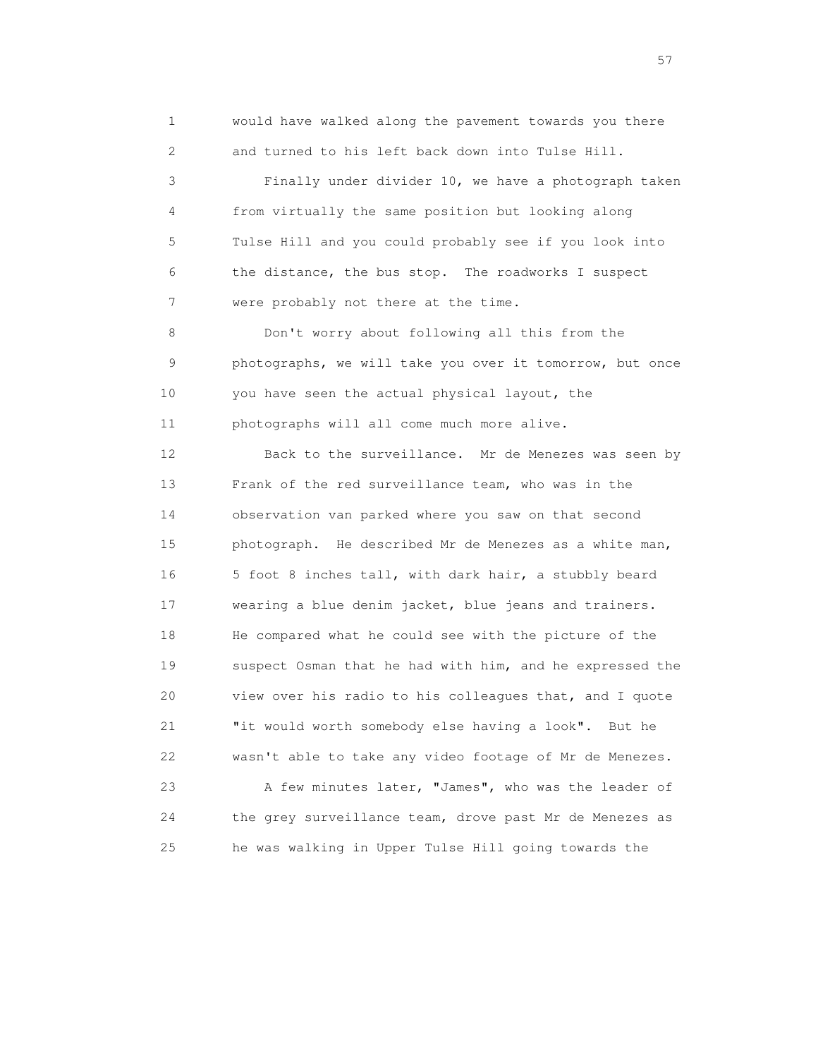1 would have walked along the pavement towards you there 2 and turned to his left back down into Tulse Hill.

 3 Finally under divider 10, we have a photograph taken 4 from virtually the same position but looking along 5 Tulse Hill and you could probably see if you look into 6 the distance, the bus stop. The roadworks I suspect 7 were probably not there at the time.

 8 Don't worry about following all this from the 9 photographs, we will take you over it tomorrow, but once 10 you have seen the actual physical layout, the 11 photographs will all come much more alive.

 12 Back to the surveillance. Mr de Menezes was seen by 13 Frank of the red surveillance team, who was in the 14 observation van parked where you saw on that second 15 photograph. He described Mr de Menezes as a white man, 16 5 foot 8 inches tall, with dark hair, a stubbly beard 17 wearing a blue denim jacket, blue jeans and trainers. 18 He compared what he could see with the picture of the 19 suspect Osman that he had with him, and he expressed the 20 view over his radio to his colleagues that, and I quote 21 "it would worth somebody else having a look". But he 22 wasn't able to take any video footage of Mr de Menezes.

 23 A few minutes later, "James", who was the leader of 24 the grey surveillance team, drove past Mr de Menezes as 25 he was walking in Upper Tulse Hill going towards the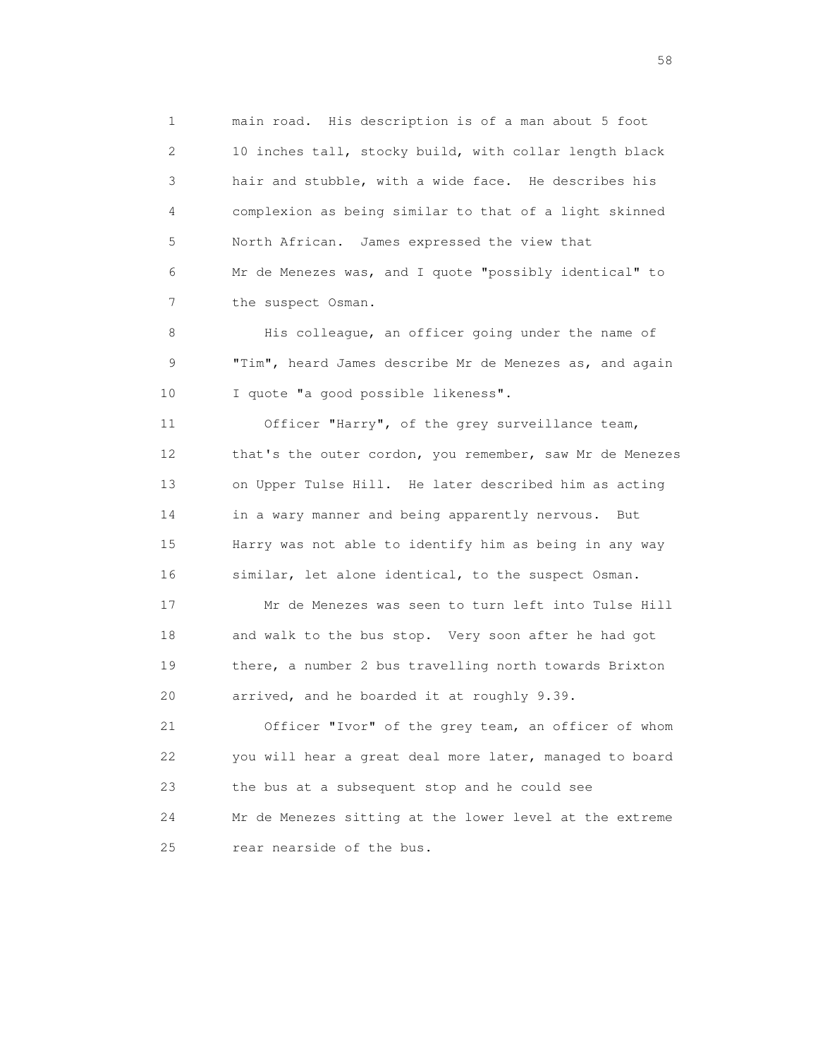1 main road. His description is of a man about 5 foot 2 10 inches tall, stocky build, with collar length black 3 hair and stubble, with a wide face. He describes his 4 complexion as being similar to that of a light skinned 5 North African. James expressed the view that 6 Mr de Menezes was, and I quote "possibly identical" to 7 the suspect Osman.

8 His colleague, an officer going under the name of 9 "Tim", heard James describe Mr de Menezes as, and again 10 I quote "a good possible likeness".

 11 Officer "Harry", of the grey surveillance team, 12 that's the outer cordon, you remember, saw Mr de Menezes 13 on Upper Tulse Hill. He later described him as acting 14 in a wary manner and being apparently nervous. But 15 Harry was not able to identify him as being in any way 16 similar, let alone identical, to the suspect Osman.

 17 Mr de Menezes was seen to turn left into Tulse Hill 18 and walk to the bus stop. Very soon after he had got 19 there, a number 2 bus travelling north towards Brixton 20 arrived, and he boarded it at roughly 9.39.

 21 Officer "Ivor" of the grey team, an officer of whom 22 you will hear a great deal more later, managed to board 23 the bus at a subsequent stop and he could see 24 Mr de Menezes sitting at the lower level at the extreme 25 rear nearside of the bus.

the state of the state of the state of the state of the state of the state of the state of the state of the state of the state of the state of the state of the state of the state of the state of the state of the state of t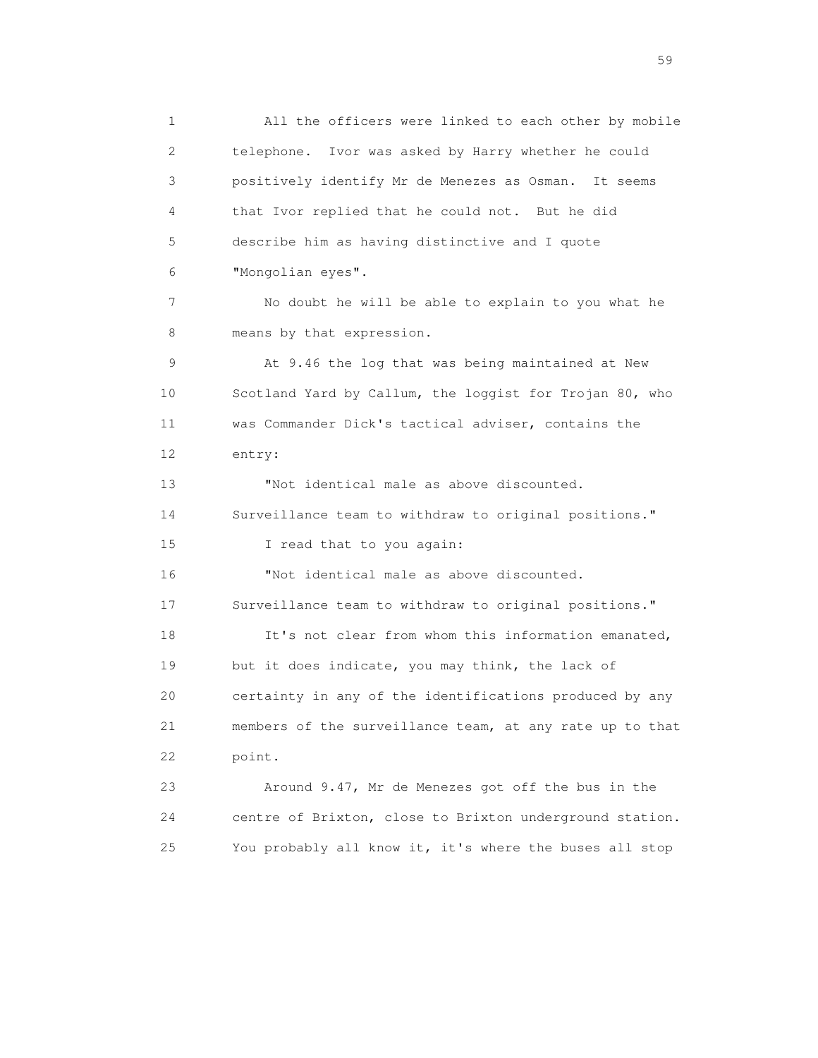1 All the officers were linked to each other by mobile 2 telephone. Ivor was asked by Harry whether he could 3 positively identify Mr de Menezes as Osman. It seems 4 that Ivor replied that he could not. But he did 5 describe him as having distinctive and I quote 6 "Mongolian eyes". 7 No doubt he will be able to explain to you what he 8 means by that expression. 9 At 9.46 the log that was being maintained at New 10 Scotland Yard by Callum, the loggist for Trojan 80, who 11 was Commander Dick's tactical adviser, contains the 12 entry: 13 "Not identical male as above discounted. 14 Surveillance team to withdraw to original positions." 15 I read that to you again: 16 "Not identical male as above discounted. 17 Surveillance team to withdraw to original positions." 18 It's not clear from whom this information emanated, 19 but it does indicate, you may think, the lack of 20 certainty in any of the identifications produced by any 21 members of the surveillance team, at any rate up to that 22 point. 23 Around 9.47, Mr de Menezes got off the bus in the 24 centre of Brixton, close to Brixton underground station.

25 You probably all know it, it's where the buses all stop

the contract of the contract of the contract of the contract of the contract of the contract of the contract of the contract of the contract of the contract of the contract of the contract of the contract of the contract o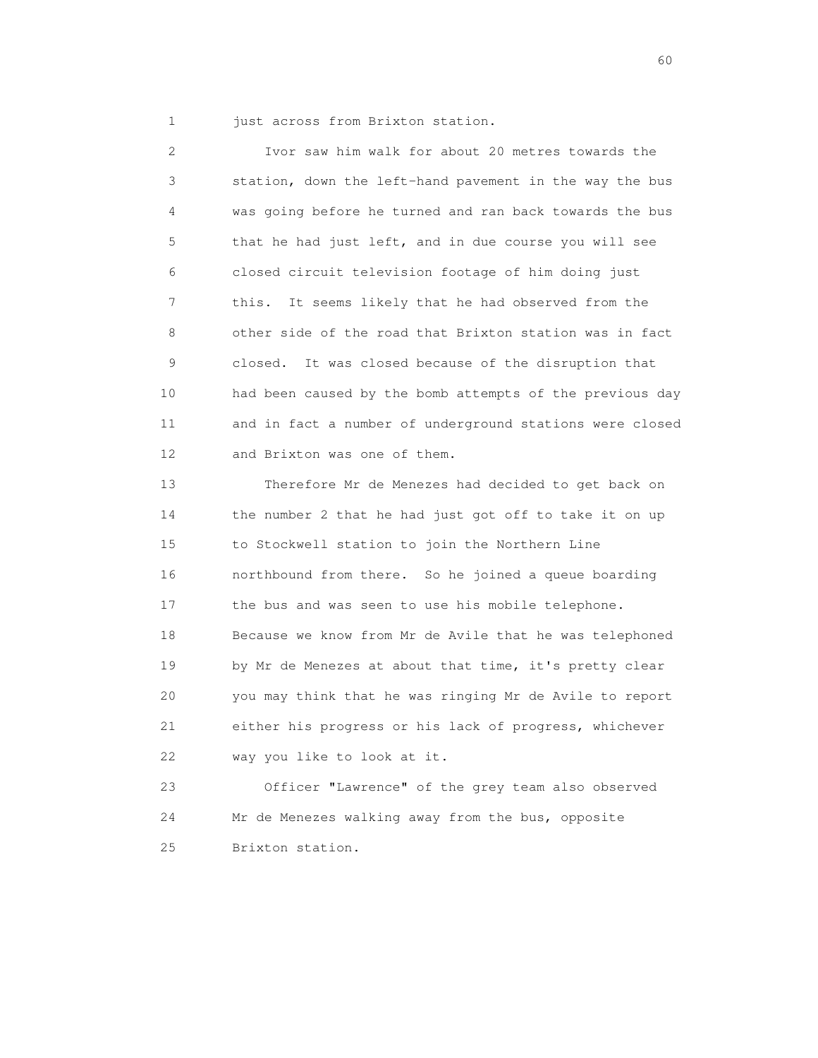1 just across from Brixton station.

 2 Ivor saw him walk for about 20 metres towards the 3 station, down the left-hand pavement in the way the bus 4 was going before he turned and ran back towards the bus 5 that he had just left, and in due course you will see 6 closed circuit television footage of him doing just 7 this. It seems likely that he had observed from the 8 other side of the road that Brixton station was in fact 9 closed. It was closed because of the disruption that 10 had been caused by the bomb attempts of the previous day 11 and in fact a number of underground stations were closed 12 and Brixton was one of them.

 13 Therefore Mr de Menezes had decided to get back on 14 the number 2 that he had just got off to take it on up 15 to Stockwell station to join the Northern Line 16 northbound from there. So he joined a queue boarding 17 the bus and was seen to use his mobile telephone. 18 Because we know from Mr de Avile that he was telephoned 19 by Mr de Menezes at about that time, it's pretty clear 20 you may think that he was ringing Mr de Avile to report 21 either his progress or his lack of progress, whichever 22 way you like to look at it.

 23 Officer "Lawrence" of the grey team also observed 24 Mr de Menezes walking away from the bus, opposite 25 Brixton station.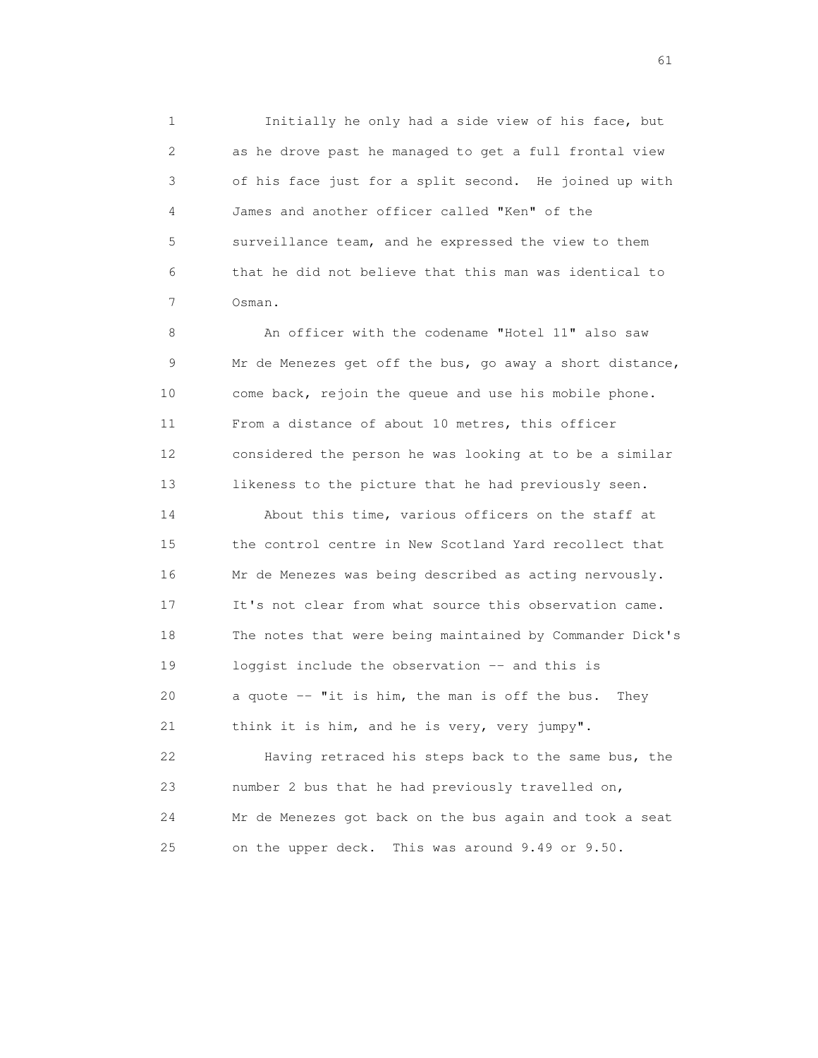1 Initially he only had a side view of his face, but 2 as he drove past he managed to get a full frontal view 3 of his face just for a split second. He joined up with 4 James and another officer called "Ken" of the 5 surveillance team, and he expressed the view to them 6 that he did not believe that this man was identical to 7 Osman.

 8 An officer with the codename "Hotel 11" also saw 9 Mr de Menezes get off the bus, go away a short distance, 10 come back, rejoin the queue and use his mobile phone. 11 From a distance of about 10 metres, this officer 12 considered the person he was looking at to be a similar 13 likeness to the picture that he had previously seen.

 14 About this time, various officers on the staff at 15 the control centre in New Scotland Yard recollect that 16 Mr de Menezes was being described as acting nervously. 17 It's not clear from what source this observation came. 18 The notes that were being maintained by Commander Dick's 19 loggist include the observation -- and this is 20 a quote -- "it is him, the man is off the bus. They 21 think it is him, and he is very, very jumpy".

 22 Having retraced his steps back to the same bus, the 23 number 2 bus that he had previously travelled on, 24 Mr de Menezes got back on the bus again and took a seat 25 on the upper deck. This was around 9.49 or 9.50.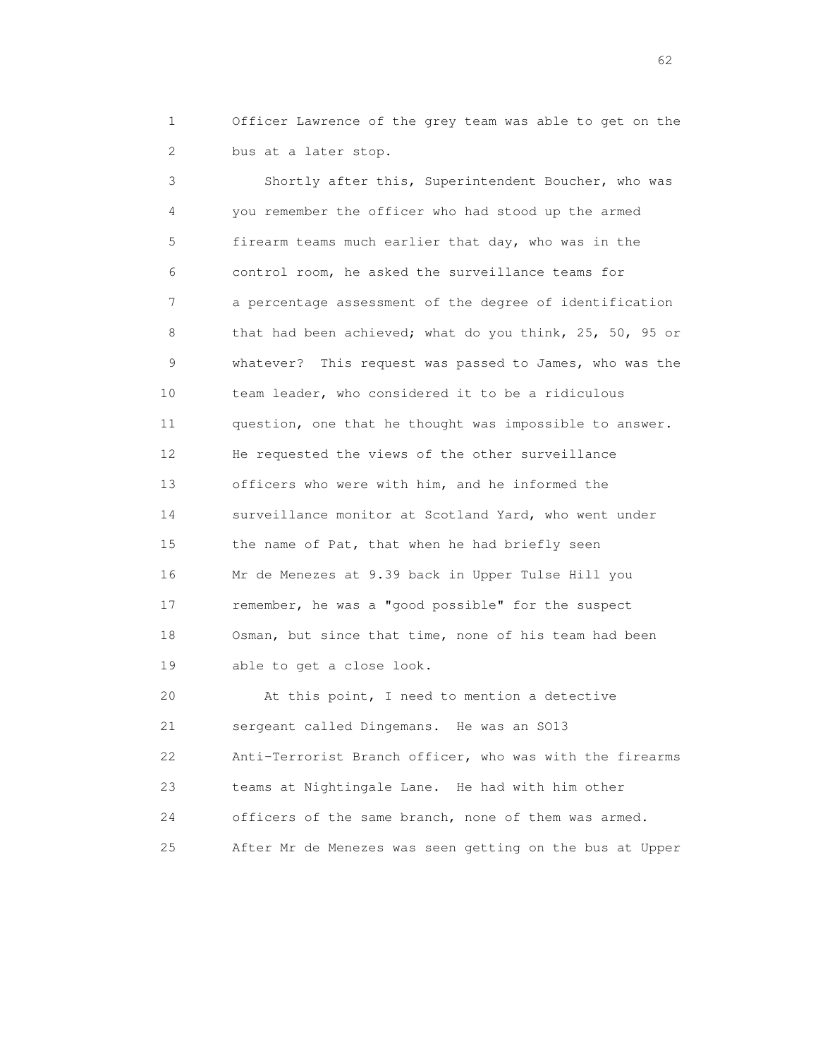1 Officer Lawrence of the grey team was able to get on the 2 bus at a later stop.

 3 Shortly after this, Superintendent Boucher, who was 4 you remember the officer who had stood up the armed 5 firearm teams much earlier that day, who was in the 6 control room, he asked the surveillance teams for 7 a percentage assessment of the degree of identification 8 that had been achieved; what do you think, 25, 50, 95 or 9 whatever? This request was passed to James, who was the 10 team leader, who considered it to be a ridiculous 11 question, one that he thought was impossible to answer. 12 He requested the views of the other surveillance 13 officers who were with him, and he informed the 14 surveillance monitor at Scotland Yard, who went under 15 the name of Pat, that when he had briefly seen 16 Mr de Menezes at 9.39 back in Upper Tulse Hill you 17 remember, he was a "good possible" for the suspect 18 Osman, but since that time, none of his team had been 19 able to get a close look.

 20 At this point, I need to mention a detective 21 sergeant called Dingemans. He was an SO13 22 Anti-Terrorist Branch officer, who was with the firearms 23 teams at Nightingale Lane. He had with him other 24 officers of the same branch, none of them was armed. 25 After Mr de Menezes was seen getting on the bus at Upper

 $\sim$  62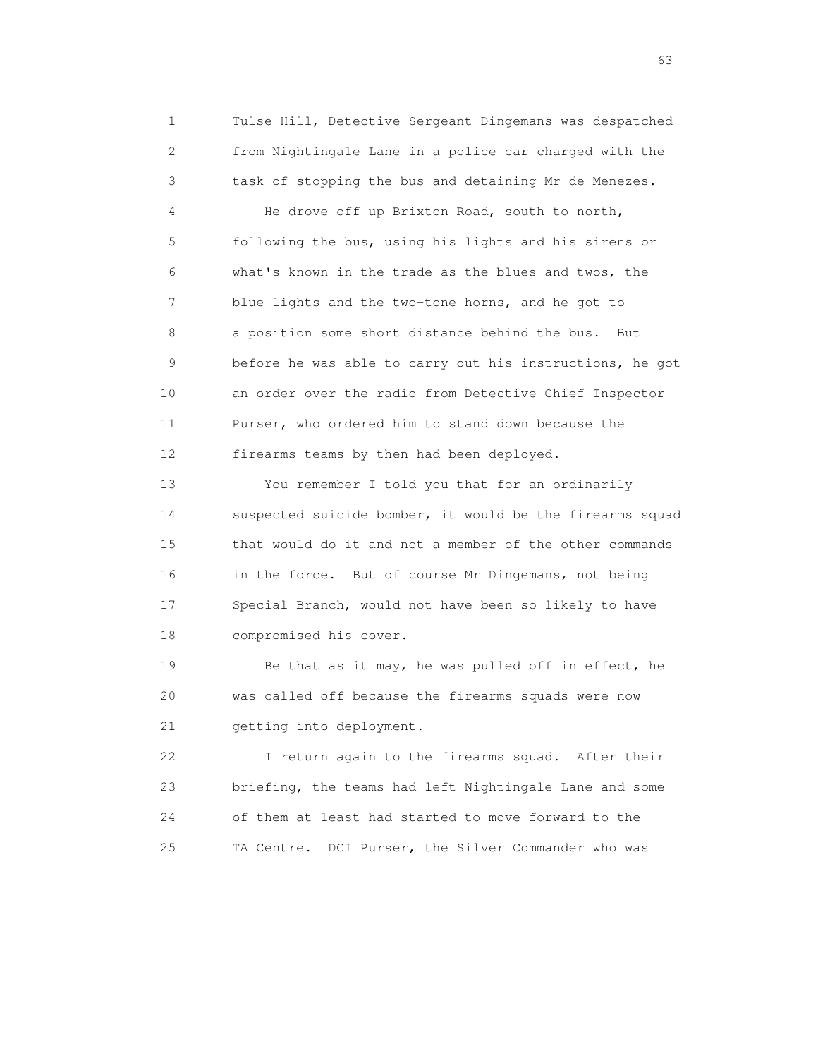1 Tulse Hill, Detective Sergeant Dingemans was despatched 2 from Nightingale Lane in a police car charged with the 3 task of stopping the bus and detaining Mr de Menezes.

 4 He drove off up Brixton Road, south to north, 5 following the bus, using his lights and his sirens or 6 what's known in the trade as the blues and twos, the 7 blue lights and the two-tone horns, and he got to 8 a position some short distance behind the bus. But 9 before he was able to carry out his instructions, he got 10 an order over the radio from Detective Chief Inspector 11 Purser, who ordered him to stand down because the 12 firearms teams by then had been deployed.

 13 You remember I told you that for an ordinarily 14 suspected suicide bomber, it would be the firearms squad 15 that would do it and not a member of the other commands 16 in the force. But of course Mr Dingemans, not being 17 Special Branch, would not have been so likely to have 18 compromised his cover.

19 Be that as it may, he was pulled off in effect, he 20 was called off because the firearms squads were now 21 getting into deployment.

 22 I return again to the firearms squad. After their 23 briefing, the teams had left Nightingale Lane and some 24 of them at least had started to move forward to the 25 TA Centre. DCI Purser, the Silver Commander who was

experience of the contract of the contract of the contract of the contract of the contract of the contract of the contract of the contract of the contract of the contract of the contract of the contract of the contract of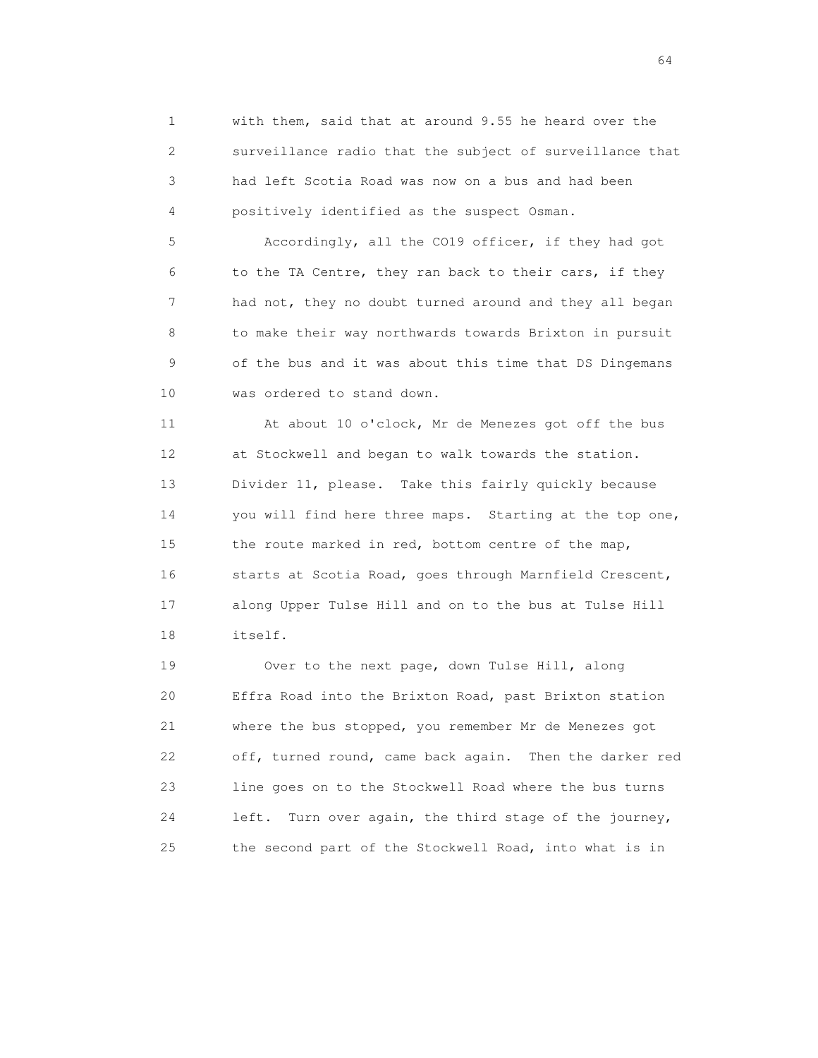1 with them, said that at around 9.55 he heard over the 2 surveillance radio that the subject of surveillance that 3 had left Scotia Road was now on a bus and had been 4 positively identified as the suspect Osman.

 5 Accordingly, all the CO19 officer, if they had got 6 to the TA Centre, they ran back to their cars, if they 7 had not, they no doubt turned around and they all began 8 to make their way northwards towards Brixton in pursuit 9 of the bus and it was about this time that DS Dingemans 10 was ordered to stand down.

 11 At about 10 o'clock, Mr de Menezes got off the bus 12 at Stockwell and began to walk towards the station. 13 Divider 11, please. Take this fairly quickly because 14 you will find here three maps. Starting at the top one, 15 the route marked in red, bottom centre of the map, 16 starts at Scotia Road, goes through Marnfield Crescent, 17 along Upper Tulse Hill and on to the bus at Tulse Hill 18 itself.

 19 Over to the next page, down Tulse Hill, along 20 Effra Road into the Brixton Road, past Brixton station 21 where the bus stopped, you remember Mr de Menezes got 22 off, turned round, came back again. Then the darker red 23 line goes on to the Stockwell Road where the bus turns 24 left. Turn over again, the third stage of the journey, 25 the second part of the Stockwell Road, into what is in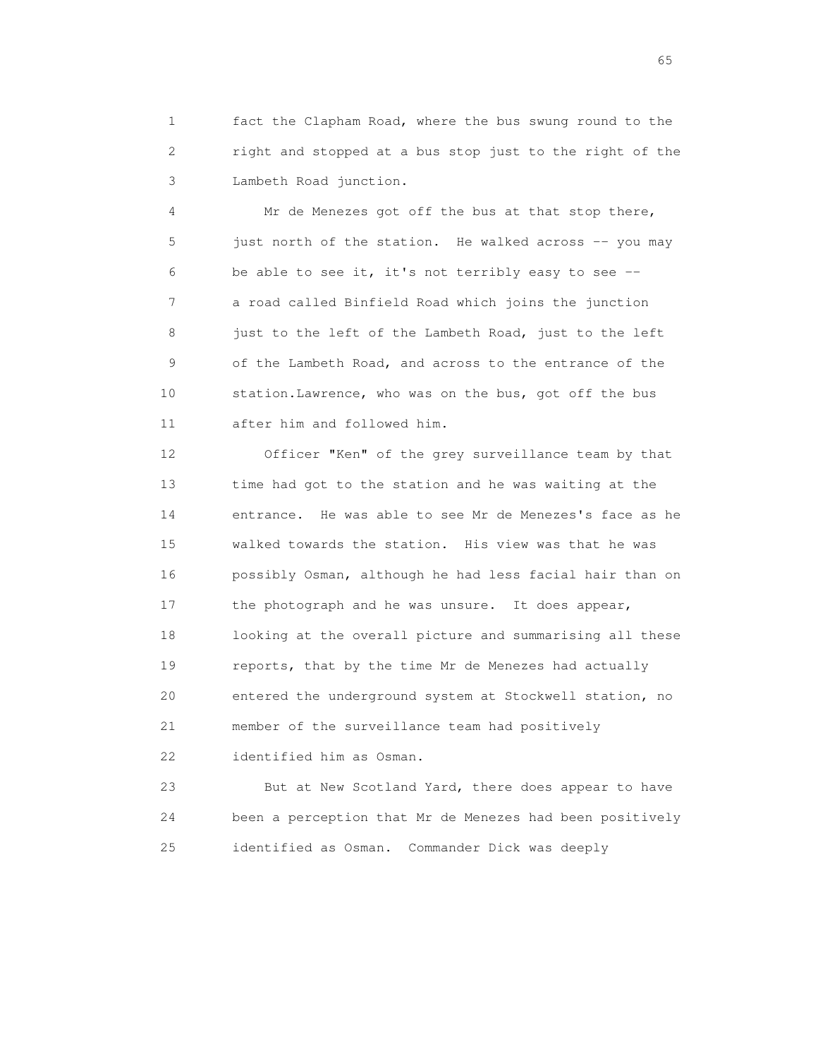1 fact the Clapham Road, where the bus swung round to the 2 right and stopped at a bus stop just to the right of the 3 Lambeth Road junction.

 4 Mr de Menezes got off the bus at that stop there, 5 just north of the station. He walked across -- you may 6 be able to see it, it's not terribly easy to see -- 7 a road called Binfield Road which joins the junction 8 just to the left of the Lambeth Road, just to the left 9 of the Lambeth Road, and across to the entrance of the 10 station.Lawrence, who was on the bus, got off the bus 11 after him and followed him.

 12 Officer "Ken" of the grey surveillance team by that 13 time had got to the station and he was waiting at the 14 entrance. He was able to see Mr de Menezes's face as he 15 walked towards the station. His view was that he was 16 possibly Osman, although he had less facial hair than on 17 the photograph and he was unsure. It does appear, 18 looking at the overall picture and summarising all these 19 reports, that by the time Mr de Menezes had actually 20 entered the underground system at Stockwell station, no 21 member of the surveillance team had positively 22 identified him as Osman.

 23 But at New Scotland Yard, there does appear to have 24 been a perception that Mr de Menezes had been positively 25 identified as Osman. Commander Dick was deeply

 $\sim$  65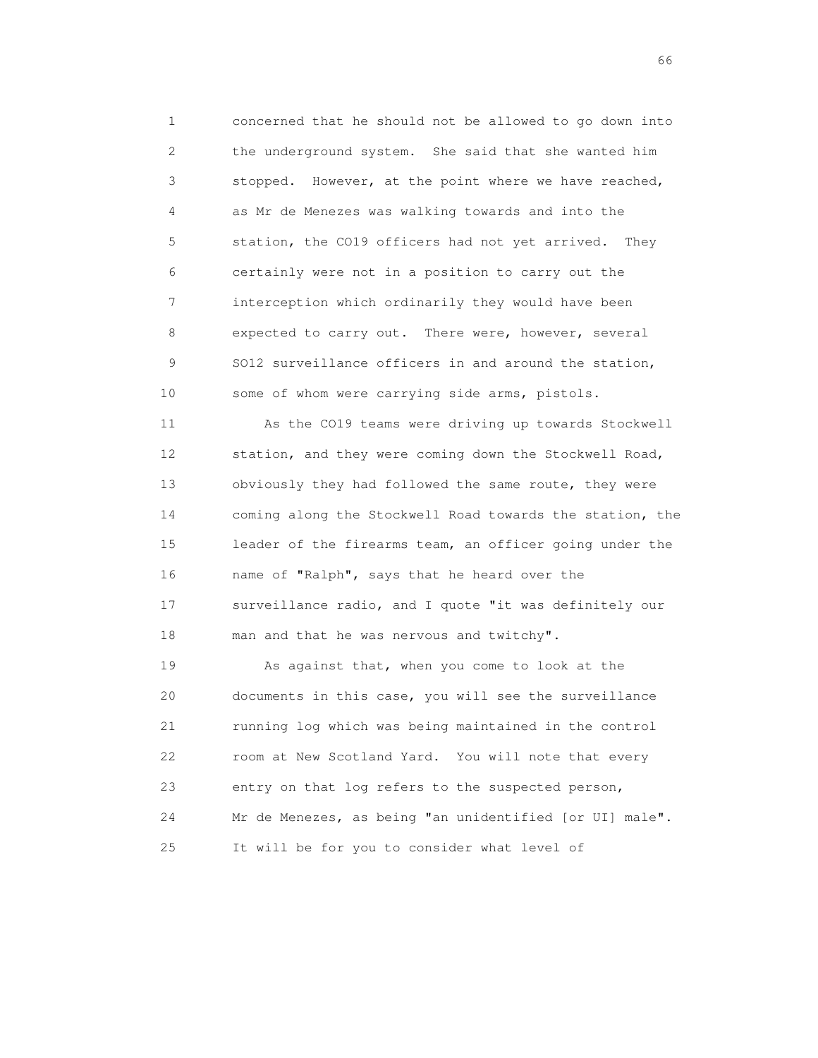1 concerned that he should not be allowed to go down into 2 the underground system. She said that she wanted him 3 stopped. However, at the point where we have reached, 4 as Mr de Menezes was walking towards and into the 5 station, the CO19 officers had not yet arrived. They 6 certainly were not in a position to carry out the 7 interception which ordinarily they would have been 8 expected to carry out. There were, however, several 9 SO12 surveillance officers in and around the station, 10 some of whom were carrying side arms, pistols.

 11 As the CO19 teams were driving up towards Stockwell 12 station, and they were coming down the Stockwell Road, 13 obviously they had followed the same route, they were 14 coming along the Stockwell Road towards the station, the 15 leader of the firearms team, an officer going under the 16 name of "Ralph", says that he heard over the 17 surveillance radio, and I quote "it was definitely our 18 man and that he was nervous and twitchy".

 19 As against that, when you come to look at the 20 documents in this case, you will see the surveillance 21 running log which was being maintained in the control 22 room at New Scotland Yard. You will note that every 23 entry on that log refers to the suspected person, 24 Mr de Menezes, as being "an unidentified [or UI] male". 25 It will be for you to consider what level of

 $\sim$  66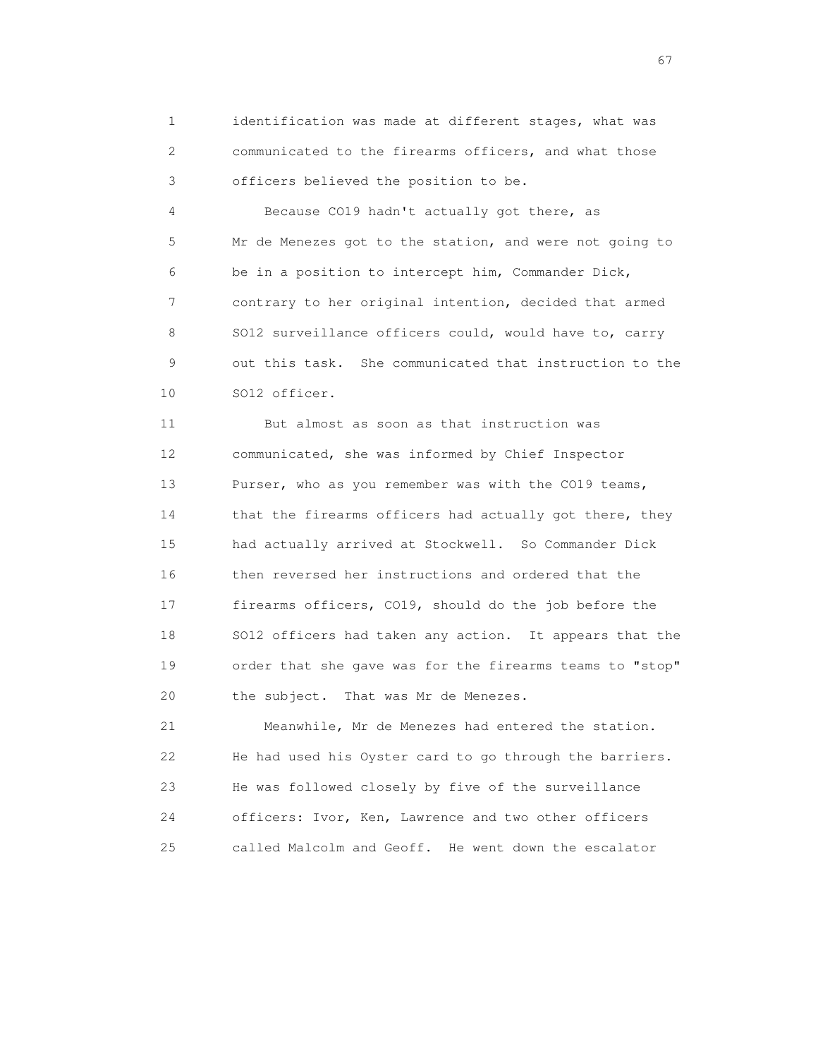1 identification was made at different stages, what was 2 communicated to the firearms officers, and what those 3 officers believed the position to be.

 4 Because CO19 hadn't actually got there, as 5 Mr de Menezes got to the station, and were not going to 6 be in a position to intercept him, Commander Dick, 7 contrary to her original intention, decided that armed 8 SO12 surveillance officers could, would have to, carry 9 out this task. She communicated that instruction to the 10 SO12 officer.

 11 But almost as soon as that instruction was 12 communicated, she was informed by Chief Inspector 13 Purser, who as you remember was with the CO19 teams, 14 that the firearms officers had actually got there, they 15 had actually arrived at Stockwell. So Commander Dick 16 then reversed her instructions and ordered that the 17 firearms officers, CO19, should do the job before the 18 SO12 officers had taken any action. It appears that the 19 order that she gave was for the firearms teams to "stop" 20 the subject. That was Mr de Menezes.

 21 Meanwhile, Mr de Menezes had entered the station. 22 He had used his Oyster card to go through the barriers. 23 He was followed closely by five of the surveillance 24 officers: Ivor, Ken, Lawrence and two other officers 25 called Malcolm and Geoff. He went down the escalator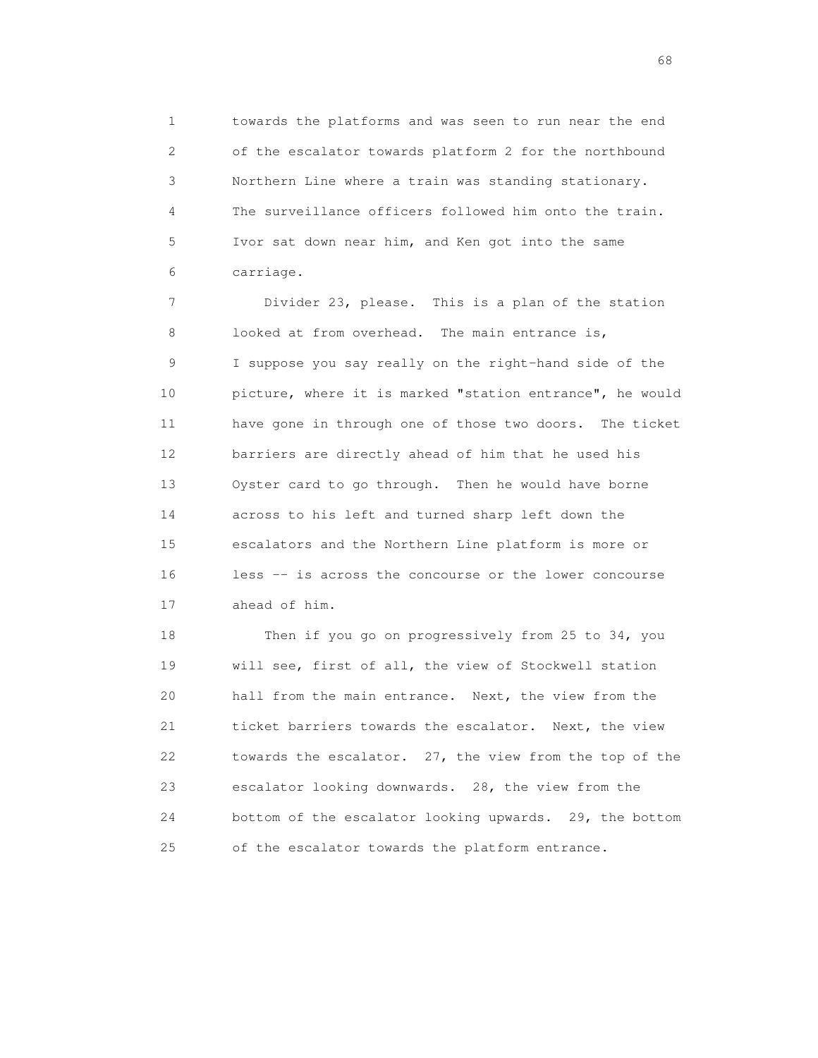1 towards the platforms and was seen to run near the end 2 of the escalator towards platform 2 for the northbound 3 Northern Line where a train was standing stationary. 4 The surveillance officers followed him onto the train. 5 Ivor sat down near him, and Ken got into the same 6 carriage.

 7 Divider 23, please. This is a plan of the station 8 looked at from overhead. The main entrance is, 9 I suppose you say really on the right-hand side of the 10 picture, where it is marked "station entrance", he would 11 have gone in through one of those two doors. The ticket 12 barriers are directly ahead of him that he used his 13 Oyster card to go through. Then he would have borne 14 across to his left and turned sharp left down the 15 escalators and the Northern Line platform is more or 16 less -- is across the concourse or the lower concourse 17 ahead of him.

18 Then if you go on progressively from 25 to 34, you 19 will see, first of all, the view of Stockwell station 20 hall from the main entrance. Next, the view from the 21 ticket barriers towards the escalator. Next, the view 22 towards the escalator. 27, the view from the top of the 23 escalator looking downwards. 28, the view from the 24 bottom of the escalator looking upwards. 29, the bottom 25 of the escalator towards the platform entrance.

entration of the contract of the contract of the contract of the contract of the contract of the contract of the contract of the contract of the contract of the contract of the contract of the contract of the contract of t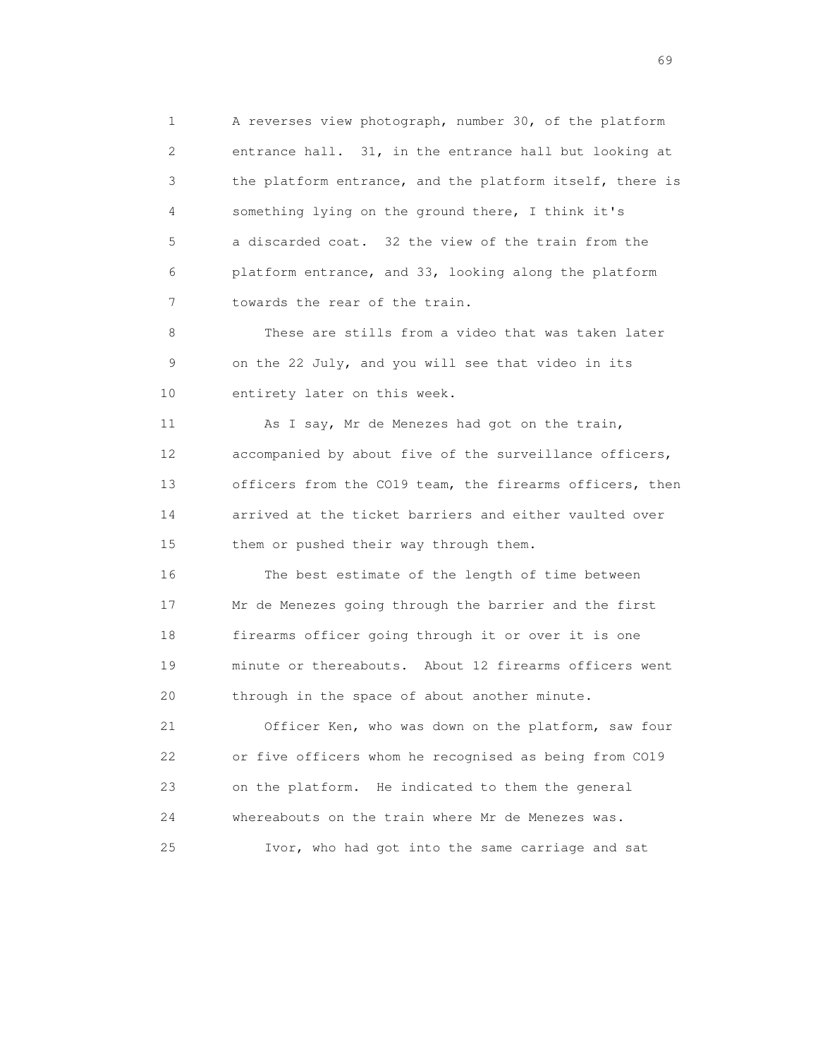1 A reverses view photograph, number 30, of the platform 2 entrance hall. 31, in the entrance hall but looking at 3 the platform entrance, and the platform itself, there is 4 something lying on the ground there, I think it's 5 a discarded coat. 32 the view of the train from the 6 platform entrance, and 33, looking along the platform 7 towards the rear of the train.

 8 These are stills from a video that was taken later 9 on the 22 July, and you will see that video in its 10 entirety later on this week.

11 As I say, Mr de Menezes had got on the train, 12 accompanied by about five of the surveillance officers, 13 officers from the CO19 team, the firearms officers, then 14 arrived at the ticket barriers and either vaulted over 15 them or pushed their way through them.

 16 The best estimate of the length of time between 17 Mr de Menezes going through the barrier and the first 18 firearms officer going through it or over it is one 19 minute or thereabouts. About 12 firearms officers went 20 through in the space of about another minute.

 21 Officer Ken, who was down on the platform, saw four 22 or five officers whom he recognised as being from CO19 23 on the platform. He indicated to them the general 24 whereabouts on the train where Mr de Menezes was. 25 Ivor, who had got into the same carriage and sat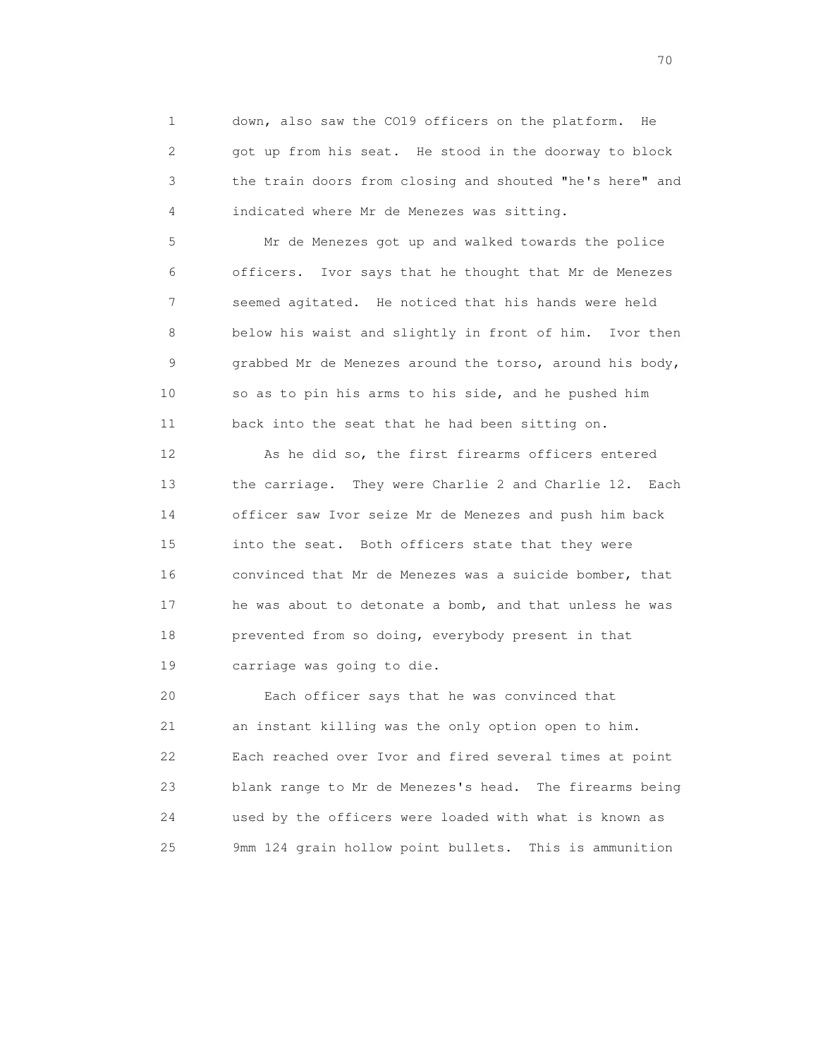1 down, also saw the CO19 officers on the platform. He 2 got up from his seat. He stood in the doorway to block 3 the train doors from closing and shouted "he's here" and 4 indicated where Mr de Menezes was sitting.

 5 Mr de Menezes got up and walked towards the police 6 officers. Ivor says that he thought that Mr de Menezes 7 seemed agitated. He noticed that his hands were held 8 below his waist and slightly in front of him. Ivor then 9 grabbed Mr de Menezes around the torso, around his body, 10 so as to pin his arms to his side, and he pushed him 11 back into the seat that he had been sitting on.

 12 As he did so, the first firearms officers entered 13 the carriage. They were Charlie 2 and Charlie 12. Each 14 officer saw Ivor seize Mr de Menezes and push him back 15 into the seat. Both officers state that they were 16 convinced that Mr de Menezes was a suicide bomber, that 17 he was about to detonate a bomb, and that unless he was 18 prevented from so doing, everybody present in that 19 carriage was going to die.

 20 Each officer says that he was convinced that 21 an instant killing was the only option open to him. 22 Each reached over Ivor and fired several times at point 23 blank range to Mr de Menezes's head. The firearms being 24 used by the officers were loaded with what is known as 25 9mm 124 grain hollow point bullets. This is ammunition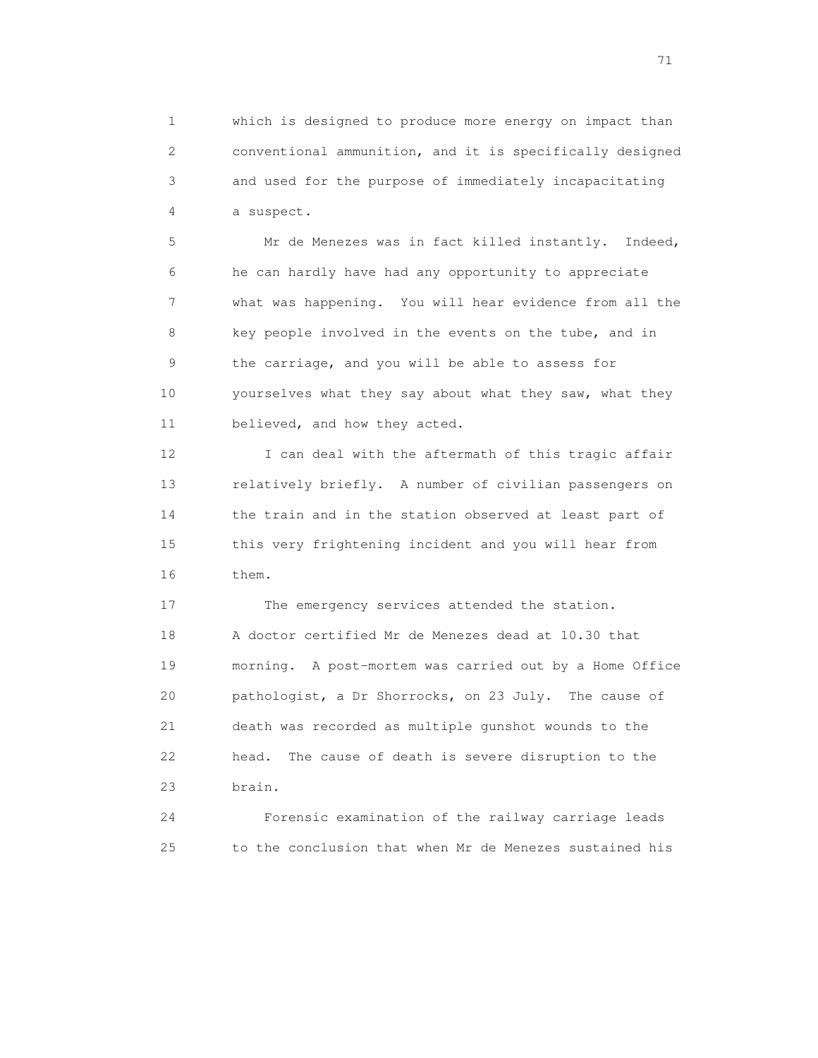1 which is designed to produce more energy on impact than 2 conventional ammunition, and it is specifically designed 3 and used for the purpose of immediately incapacitating 4 a suspect.

 5 Mr de Menezes was in fact killed instantly. Indeed, 6 he can hardly have had any opportunity to appreciate 7 what was happening. You will hear evidence from all the 8 key people involved in the events on the tube, and in 9 the carriage, and you will be able to assess for 10 yourselves what they say about what they saw, what they 11 believed, and how they acted.

12 I can deal with the aftermath of this tragic affair 13 relatively briefly. A number of civilian passengers on 14 the train and in the station observed at least part of 15 this very frightening incident and you will hear from 16 them.

 17 The emergency services attended the station. 18 A doctor certified Mr de Menezes dead at 10.30 that 19 morning. A post-mortem was carried out by a Home Office 20 pathologist, a Dr Shorrocks, on 23 July. The cause of 21 death was recorded as multiple gunshot wounds to the 22 head. The cause of death is severe disruption to the 23 brain.

 24 Forensic examination of the railway carriage leads 25 to the conclusion that when Mr de Menezes sustained his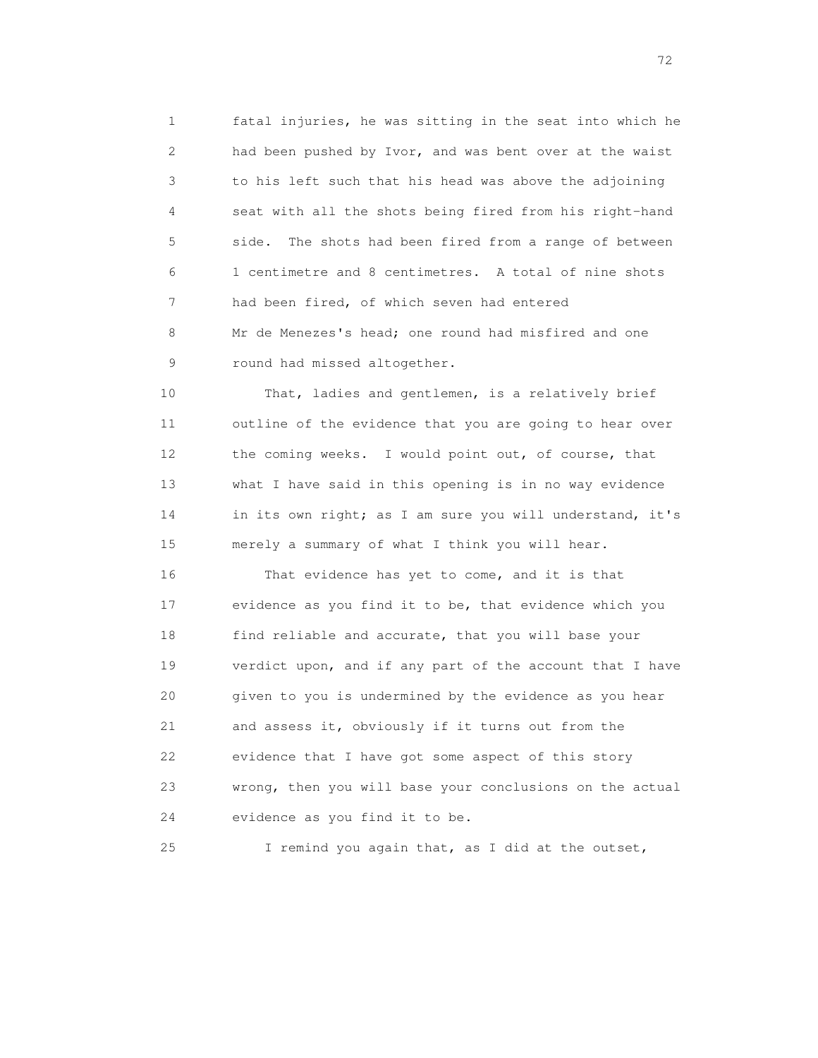1 fatal injuries, he was sitting in the seat into which he 2 had been pushed by Ivor, and was bent over at the waist 3 to his left such that his head was above the adjoining 4 seat with all the shots being fired from his right-hand 5 side. The shots had been fired from a range of between 6 1 centimetre and 8 centimetres. A total of nine shots 7 had been fired, of which seven had entered 8 Mr de Menezes's head; one round had misfired and one 9 round had missed altogether.

10 That, ladies and gentlemen, is a relatively brief 11 outline of the evidence that you are going to hear over 12 the coming weeks. I would point out, of course, that 13 what I have said in this opening is in no way evidence 14 in its own right; as I am sure you will understand, it's 15 merely a summary of what I think you will hear.

 16 That evidence has yet to come, and it is that 17 evidence as you find it to be, that evidence which you 18 find reliable and accurate, that you will base your 19 verdict upon, and if any part of the account that I have 20 given to you is undermined by the evidence as you hear 21 and assess it, obviously if it turns out from the 22 evidence that I have got some aspect of this story 23 wrong, then you will base your conclusions on the actual 24 evidence as you find it to be.

25 I remind you again that, as I did at the outset,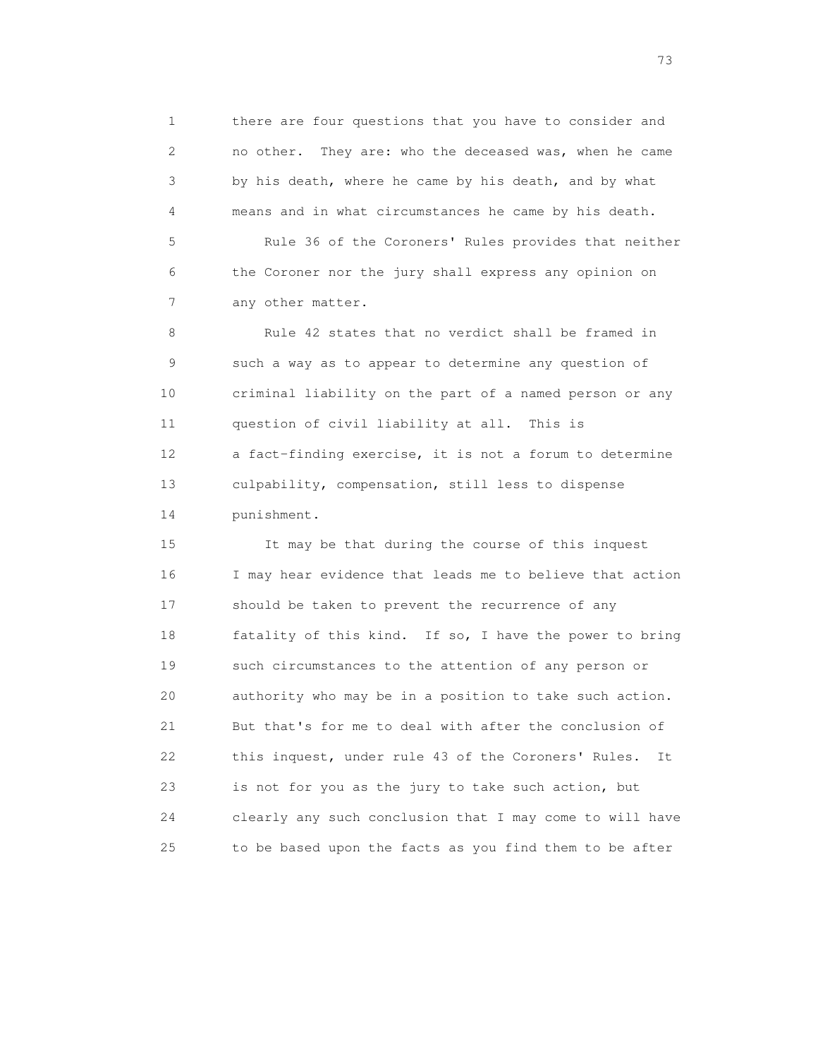1 there are four questions that you have to consider and 2 no other. They are: who the deceased was, when he came 3 by his death, where he came by his death, and by what 4 means and in what circumstances he came by his death. 5 Rule 36 of the Coroners' Rules provides that neither 6 the Coroner nor the jury shall express any opinion on 7 any other matter. 8 Rule 42 states that no verdict shall be framed in 9 such a way as to appear to determine any question of

 10 criminal liability on the part of a named person or any 11 question of civil liability at all. This is 12 a fact-finding exercise, it is not a forum to determine 13 culpability, compensation, still less to dispense 14 punishment.

 15 It may be that during the course of this inquest 16 I may hear evidence that leads me to believe that action 17 should be taken to prevent the recurrence of any 18 fatality of this kind. If so, I have the power to bring 19 such circumstances to the attention of any person or 20 authority who may be in a position to take such action. 21 But that's for me to deal with after the conclusion of 22 this inquest, under rule 43 of the Coroners' Rules. It 23 is not for you as the jury to take such action, but 24 clearly any such conclusion that I may come to will have 25 to be based upon the facts as you find them to be after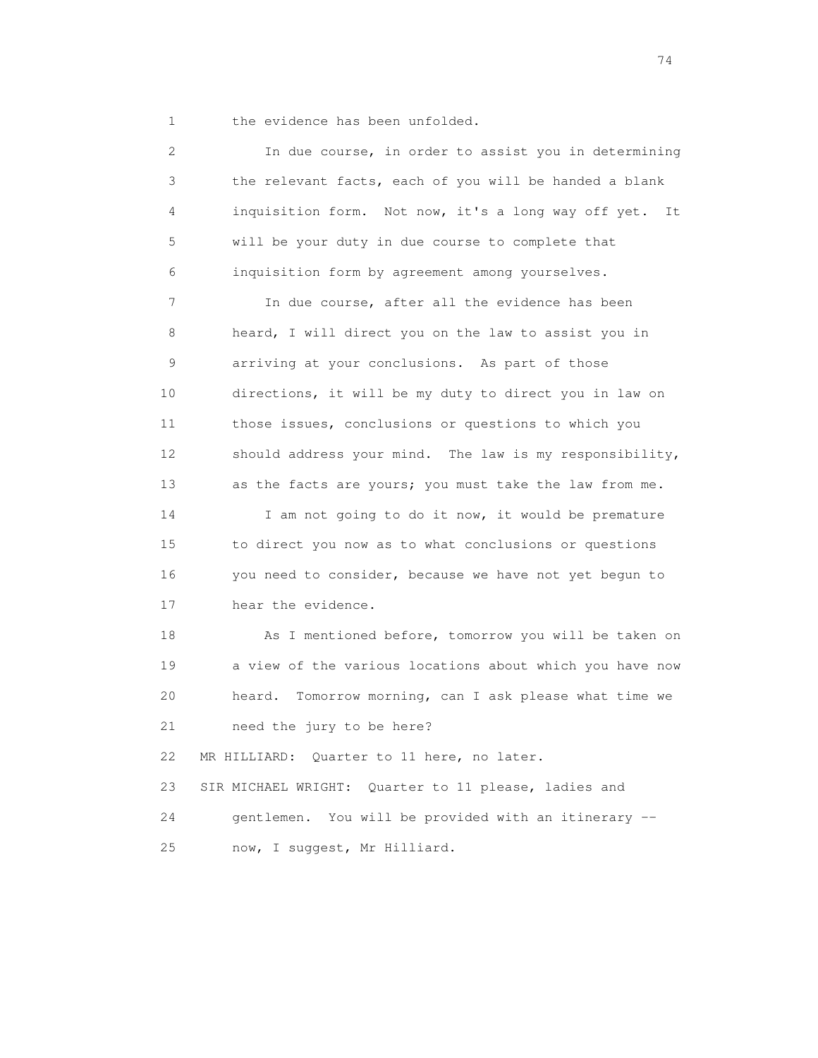1 the evidence has been unfolded.

| 2  | In due course, in order to assist you in determining      |
|----|-----------------------------------------------------------|
| 3  | the relevant facts, each of you will be handed a blank    |
| 4  | inquisition form. Not now, it's a long way off yet.<br>It |
| 5  | will be your duty in due course to complete that          |
| 6  | inquisition form by agreement among yourselves.           |
| 7  | In due course, after all the evidence has been            |
| 8  | heard, I will direct you on the law to assist you in      |
| 9  | arriving at your conclusions. As part of those            |
| 10 | directions, it will be my duty to direct you in law on    |
| 11 | those issues, conclusions or questions to which you       |
| 12 | should address your mind. The law is my responsibility,   |
| 13 | as the facts are yours; you must take the law from me.    |
| 14 | I am not going to do it now, it would be premature        |
| 15 | to direct you now as to what conclusions or questions     |
| 16 | you need to consider, because we have not yet begun to    |
| 17 | hear the evidence.                                        |
| 18 | As I mentioned before, tomorrow you will be taken on      |
| 19 | a view of the various locations about which you have now  |
| 20 | Tomorrow morning, can I ask please what time we<br>heard. |
| 21 | need the jury to be here?                                 |
| 22 | MR HILLIARD: Quarter to 11 here, no later.                |
| 23 | SIR MICHAEL WRIGHT: Quarter to 11 please, ladies and      |
| 24 | You will be provided with an itinerary --<br>gentlemen.   |
| 25 | now, I suggest, Mr Hilliard.                              |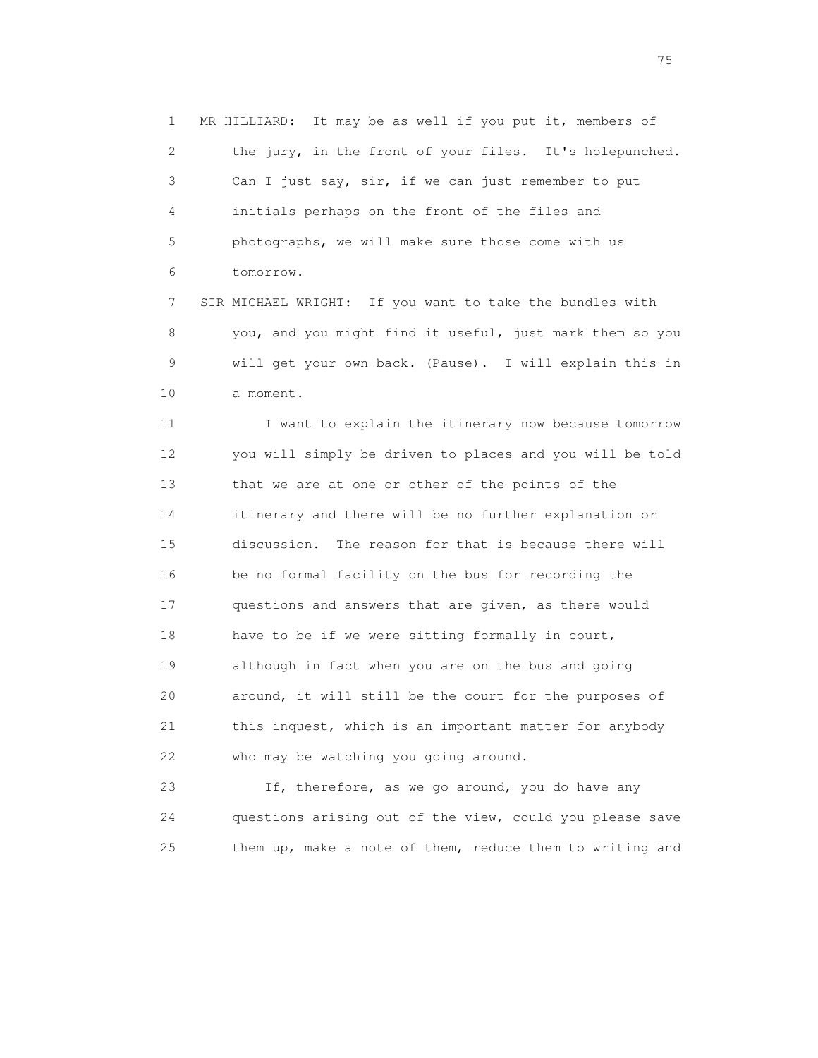1 MR HILLIARD: It may be as well if you put it, members of 2 the jury, in the front of your files. It's holepunched. 3 Can I just say, sir, if we can just remember to put 4 initials perhaps on the front of the files and 5 photographs, we will make sure those come with us 6 tomorrow.

 7 SIR MICHAEL WRIGHT: If you want to take the bundles with 8 you, and you might find it useful, just mark them so you 9 will get your own back. (Pause). I will explain this in 10 a moment.

11 I want to explain the itinerary now because tomorrow 12 you will simply be driven to places and you will be told 13 that we are at one or other of the points of the 14 itinerary and there will be no further explanation or 15 discussion. The reason for that is because there will 16 be no formal facility on the bus for recording the 17 questions and answers that are given, as there would 18 have to be if we were sitting formally in court, 19 although in fact when you are on the bus and going 20 around, it will still be the court for the purposes of 21 this inquest, which is an important matter for anybody 22 who may be watching you going around.

 23 If, therefore, as we go around, you do have any 24 questions arising out of the view, could you please save 25 them up, make a note of them, reduce them to writing and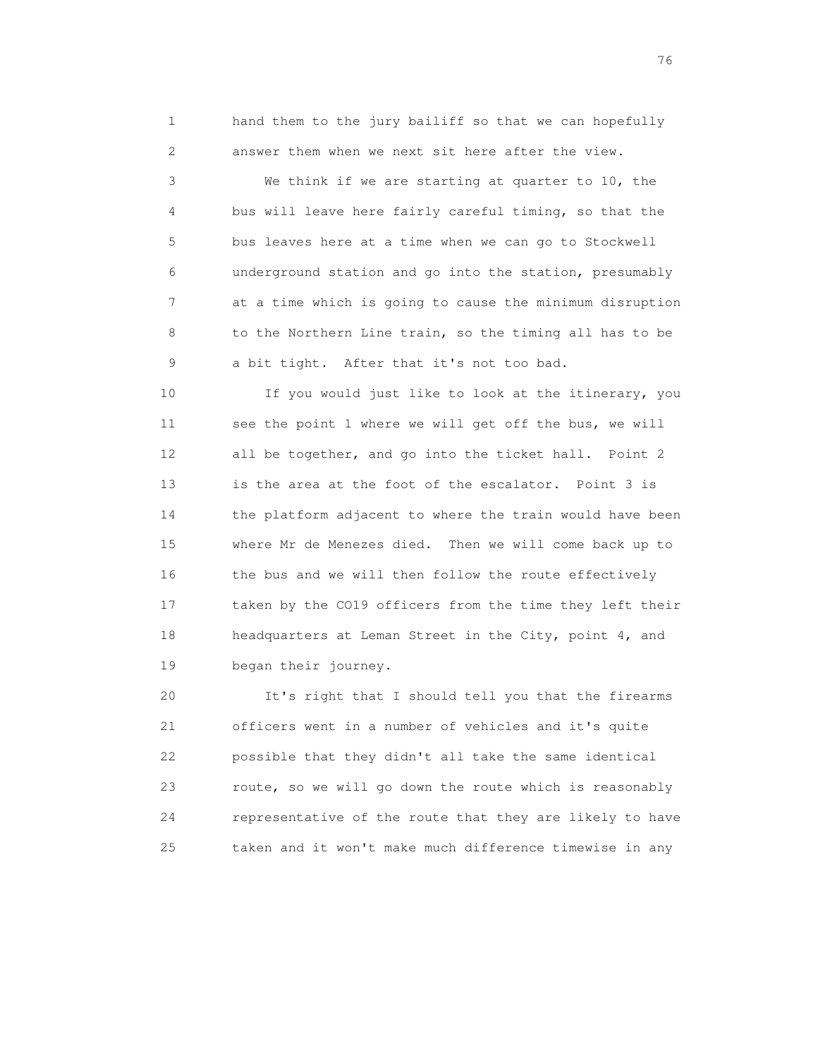1 hand them to the jury bailiff so that we can hopefully 2 answer them when we next sit here after the view.

 3 We think if we are starting at quarter to 10, the 4 bus will leave here fairly careful timing, so that the 5 bus leaves here at a time when we can go to Stockwell 6 underground station and go into the station, presumably 7 at a time which is going to cause the minimum disruption 8 to the Northern Line train, so the timing all has to be 9 a bit tight. After that it's not too bad.

10 If you would just like to look at the itinerary, you 11 see the point 1 where we will get off the bus, we will 12 all be together, and go into the ticket hall. Point 2 13 is the area at the foot of the escalator. Point 3 is 14 the platform adjacent to where the train would have been 15 where Mr de Menezes died. Then we will come back up to 16 the bus and we will then follow the route effectively 17 taken by the CO19 officers from the time they left their 18 headquarters at Leman Street in the City, point 4, and 19 began their journey.

 20 It's right that I should tell you that the firearms 21 officers went in a number of vehicles and it's quite 22 possible that they didn't all take the same identical 23 route, so we will go down the route which is reasonably 24 representative of the route that they are likely to have 25 taken and it won't make much difference timewise in any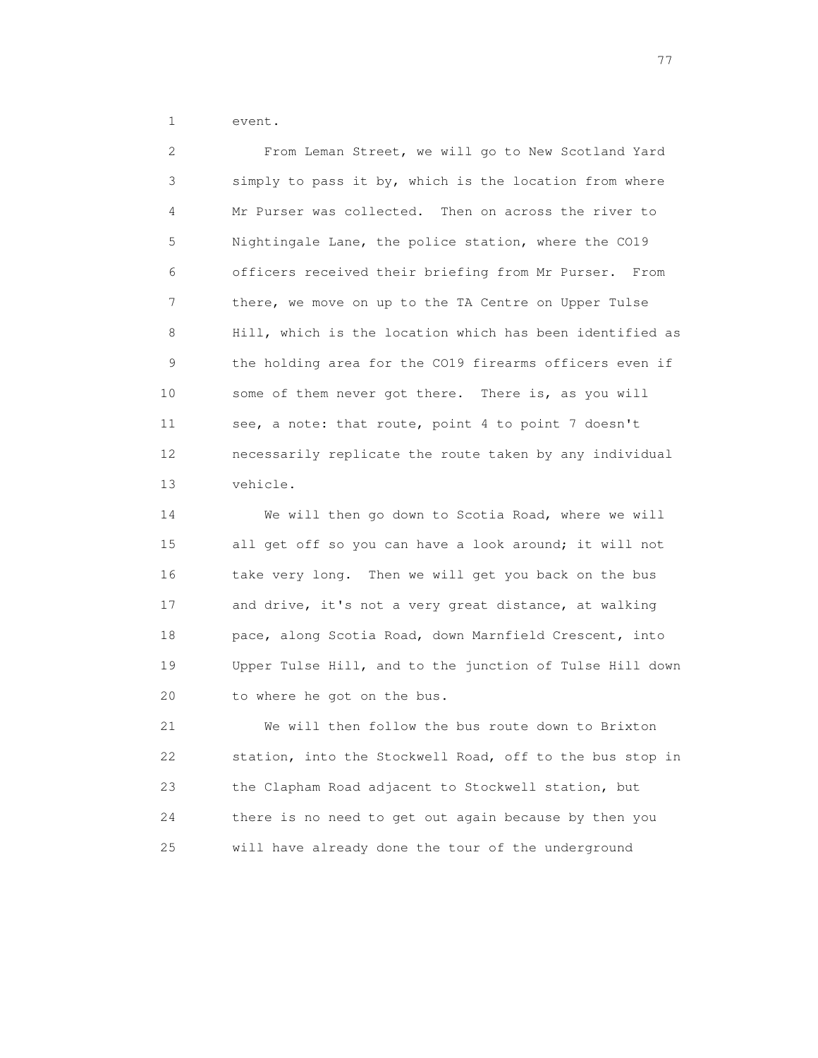1 event.

 2 From Leman Street, we will go to New Scotland Yard 3 simply to pass it by, which is the location from where 4 Mr Purser was collected. Then on across the river to 5 Nightingale Lane, the police station, where the CO19 6 officers received their briefing from Mr Purser. From 7 there, we move on up to the TA Centre on Upper Tulse 8 Hill, which is the location which has been identified as 9 the holding area for the CO19 firearms officers even if 10 some of them never got there. There is, as you will 11 see, a note: that route, point 4 to point 7 doesn't 12 necessarily replicate the route taken by any individual 13 vehicle.

 14 We will then go down to Scotia Road, where we will 15 all get off so you can have a look around; it will not 16 take very long. Then we will get you back on the bus 17 and drive, it's not a very great distance, at walking 18 pace, along Scotia Road, down Marnfield Crescent, into 19 Upper Tulse Hill, and to the junction of Tulse Hill down 20 to where he got on the bus.

 21 We will then follow the bus route down to Brixton 22 station, into the Stockwell Road, off to the bus stop in 23 the Clapham Road adjacent to Stockwell station, but 24 there is no need to get out again because by then you 25 will have already done the tour of the underground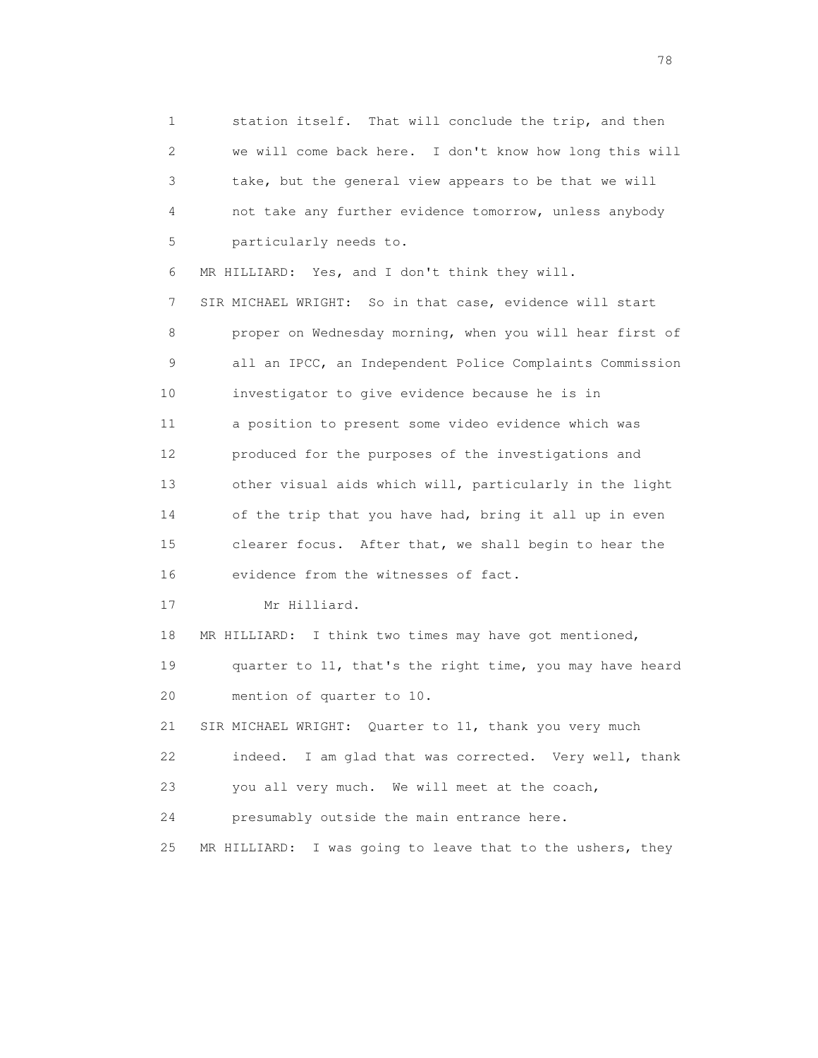1 station itself. That will conclude the trip, and then 2 we will come back here. I don't know how long this will 3 take, but the general view appears to be that we will 4 not take any further evidence tomorrow, unless anybody 5 particularly needs to.

 6 MR HILLIARD: Yes, and I don't think they will. 7 SIR MICHAEL WRIGHT: So in that case, evidence will start 8 proper on Wednesday morning, when you will hear first of 9 all an IPCC, an Independent Police Complaints Commission 10 investigator to give evidence because he is in 11 a position to present some video evidence which was 12 produced for the purposes of the investigations and 13 other visual aids which will, particularly in the light 14 of the trip that you have had, bring it all up in even 15 clearer focus. After that, we shall begin to hear the 16 evidence from the witnesses of fact.

17 Mr Hilliard.

18 MR HILLIARD: I think two times may have got mentioned,

 19 quarter to 11, that's the right time, you may have heard 20 mention of quarter to 10.

 21 SIR MICHAEL WRIGHT: Quarter to 11, thank you very much 22 indeed. I am glad that was corrected. Very well, thank 23 you all very much. We will meet at the coach,

24 presumably outside the main entrance here.

25 MR HILLIARD: I was going to leave that to the ushers, they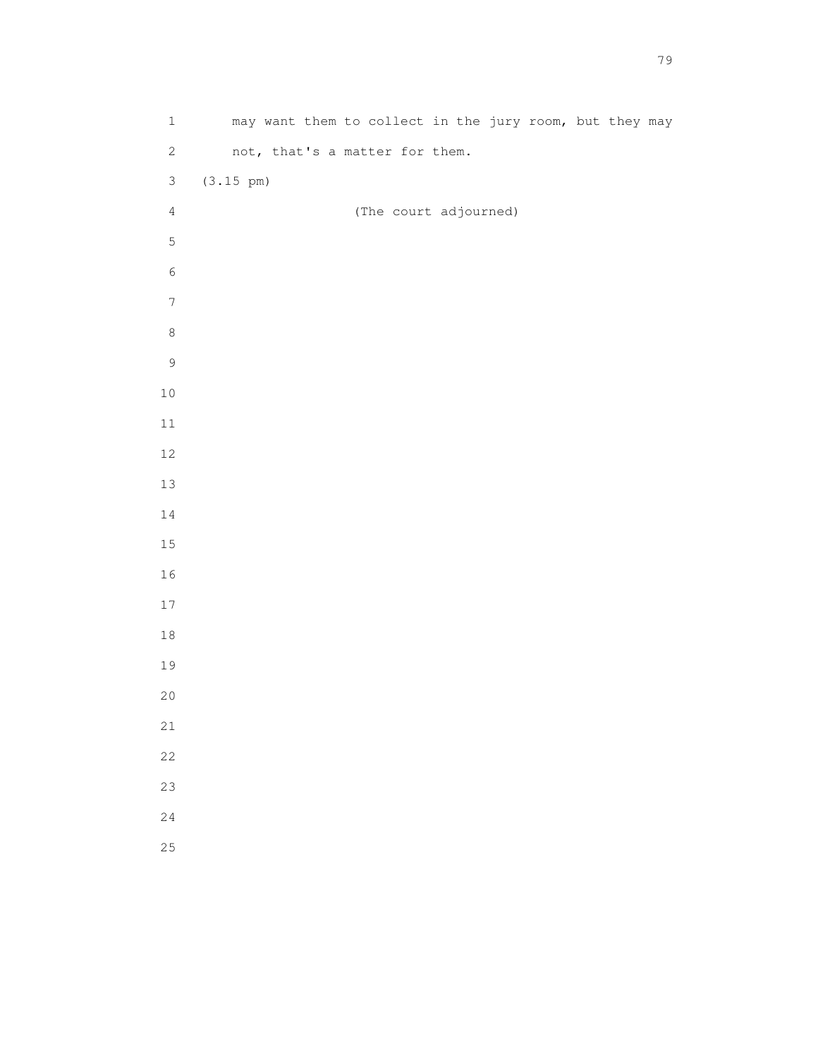| $\mathbf{1}$     | may want them to collect in the jury room, but they may |
|------------------|---------------------------------------------------------|
| $\sqrt{2}$       | not, that's a matter for them.                          |
| $\mathfrak{Z}$   | $(3.15 \text{ pm})$                                     |
| $\sqrt{4}$       | (The court adjourned)                                   |
| $\mathsf S$      |                                                         |
| $\epsilon$       |                                                         |
| $\boldsymbol{7}$ |                                                         |
| $\,8\,$          |                                                         |
| $\mathsf 9$      |                                                         |
| $1\,0$           |                                                         |
| $11\,$           |                                                         |
| $12\,$           |                                                         |
| $13\,$           |                                                         |
| $1\,4$           |                                                         |
| $15\,$           |                                                         |
| 16               |                                                         |
| $17\,$           |                                                         |
| $1\,8$           |                                                         |
| 19               |                                                         |
| $20$             |                                                         |
| $2\sqrt{1}$      |                                                         |
| 22               |                                                         |
| 23               |                                                         |
| 24               |                                                         |
| 25               |                                                         |